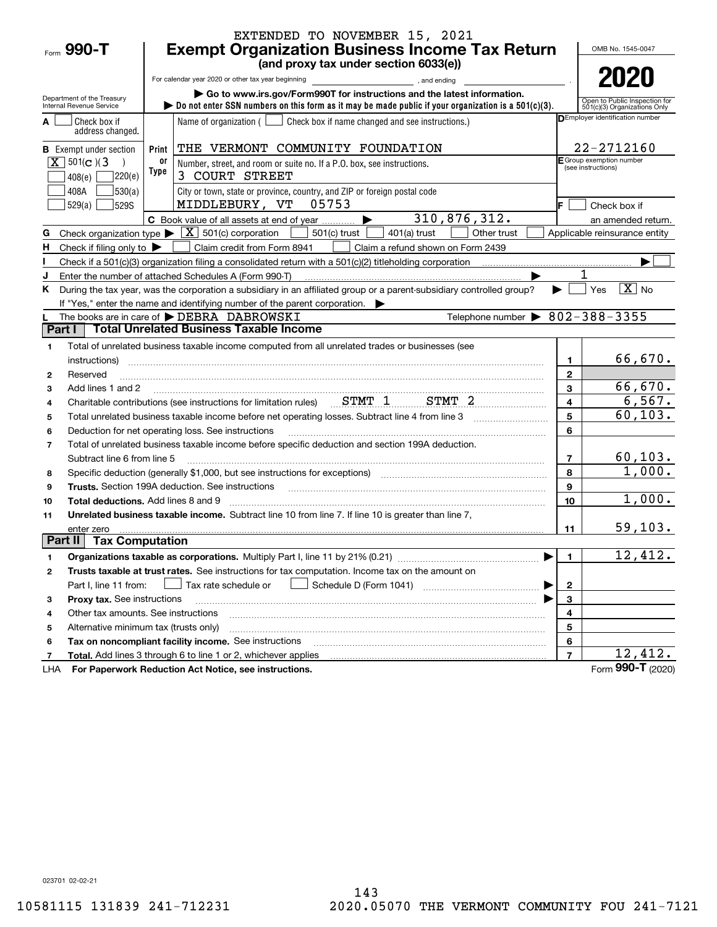|                                                     |                                                       | EXTENDED TO NOVEMBER 15, 2021                                                                                                                                                                                                  |                         |                                                                 |  |  |  |
|-----------------------------------------------------|-------------------------------------------------------|--------------------------------------------------------------------------------------------------------------------------------------------------------------------------------------------------------------------------------|-------------------------|-----------------------------------------------------------------|--|--|--|
| Form 990-T                                          | <b>Exempt Organization Business Income Tax Return</b> |                                                                                                                                                                                                                                |                         |                                                                 |  |  |  |
|                                                     |                                                       | (and proxy tax under section 6033(e))                                                                                                                                                                                          |                         |                                                                 |  |  |  |
|                                                     |                                                       | For calendar year 2020 or other tax year beginning<br>and ending<br>and ending<br>and ending                                                                                                                                   |                         | 2020                                                            |  |  |  |
| Department of the Treasury                          |                                                       | Go to www.irs.gov/Form990T for instructions and the latest information.                                                                                                                                                        |                         | Open to Public Inspection for                                   |  |  |  |
| Internal Revenue Service                            |                                                       | bo not enter SSN numbers on this form as it may be made public if your organization is a $501(c)(3)$ .                                                                                                                         |                         | 501(c)(3) Organizations Only<br>DEmployer identification number |  |  |  |
| Check box if<br>address changed.                    |                                                       | Name of organization ( $\Box$ Check box if name changed and see instructions.)                                                                                                                                                 |                         |                                                                 |  |  |  |
| <b>B</b> Exempt under section                       | Print                                                 | THE VERMONT COMMUNITY FOUNDATION                                                                                                                                                                                               |                         | 22-2712160                                                      |  |  |  |
| $X \mid 501(c)$ (3)                                 | 0ľ<br>Type                                            | Number, street, and room or suite no. If a P.O. box, see instructions.                                                                                                                                                         |                         | E Group exemption number<br>(see instructions)                  |  |  |  |
| 408(e)                                              | 220(e)                                                | 3 COURT STREET                                                                                                                                                                                                                 |                         |                                                                 |  |  |  |
| 408A                                                | 530(a)                                                | City or town, state or province, country, and ZIP or foreign postal code                                                                                                                                                       |                         |                                                                 |  |  |  |
| 529(a)<br>529S                                      |                                                       | MIDDLEBURY, VT<br>05753                                                                                                                                                                                                        |                         | Check box if                                                    |  |  |  |
|                                                     |                                                       | 310,876,312.<br>C Book value of all assets at end of year<br>▶                                                                                                                                                                 |                         | an amended return.                                              |  |  |  |
| G                                                   |                                                       | Check organization type $\blacktriangleright \boxed{X}$ 501(c) corporation<br>501(c) trust<br>$401(a)$ trust<br>Other trust                                                                                                    |                         | Applicable reinsurance entity                                   |  |  |  |
| Check if filing only to $\blacktriangleright$<br>н. |                                                       | Claim credit from Form 8941<br>Claim a refund shown on Form 2439                                                                                                                                                               |                         |                                                                 |  |  |  |
|                                                     |                                                       |                                                                                                                                                                                                                                |                         |                                                                 |  |  |  |
| J                                                   |                                                       | Enter the number of attached Schedules A (Form 990-T)                                                                                                                                                                          |                         | $ \mathbf{X} $ No                                               |  |  |  |
| K.                                                  |                                                       | During the tax year, was the corporation a subsidiary in an affiliated group or a parent-subsidiary controlled group?<br>If "Yes," enter the name and identifying number of the parent corporation.                            |                         | Yes                                                             |  |  |  |
|                                                     |                                                       | Telephone number $\triangleright$ 802-388-3355<br>The books are in care of DEBRA DABROWSKI                                                                                                                                     |                         |                                                                 |  |  |  |
| Part I                                              |                                                       | <b>Total Unrelated Business Taxable Income</b>                                                                                                                                                                                 |                         |                                                                 |  |  |  |
| 1                                                   |                                                       | Total of unrelated business taxable income computed from all unrelated trades or businesses (see                                                                                                                               |                         |                                                                 |  |  |  |
| instructions)                                       |                                                       |                                                                                                                                                                                                                                | 1                       | 66,670.                                                         |  |  |  |
| Reserved<br>$\mathbf{2}$                            |                                                       |                                                                                                                                                                                                                                | $\mathbf{2}$            |                                                                 |  |  |  |
| Add lines 1 and 2<br>3                              |                                                       |                                                                                                                                                                                                                                | 3                       | 66,670.                                                         |  |  |  |
| 4                                                   |                                                       | Charitable contributions (see instructions for limitation rules) STMT 1 STMT 2                                                                                                                                                 | $\overline{\mathbf{4}}$ | 6, 567.                                                         |  |  |  |
| 5                                                   |                                                       |                                                                                                                                                                                                                                | 5                       | 60, 103.                                                        |  |  |  |
| 6                                                   |                                                       | Deduction for net operating loss. See instructions                                                                                                                                                                             | 6                       |                                                                 |  |  |  |
| $\overline{7}$                                      |                                                       | Total of unrelated business taxable income before specific deduction and section 199A deduction.                                                                                                                               |                         |                                                                 |  |  |  |
| Subtract line 6 from line 5                         |                                                       |                                                                                                                                                                                                                                | $\overline{7}$          | $60, 103$ .                                                     |  |  |  |
| 8                                                   |                                                       | Specific deduction (generally \$1,000, but see instructions for exceptions) manufactured controller and the set                                                                                                                | 8                       | 1,000.                                                          |  |  |  |
| 9                                                   |                                                       | Trusts. Section 199A deduction. See instructions [11] material material material material material material material material material material material material material material material material material material materi | 9                       |                                                                 |  |  |  |
| <b>Total deductions.</b> Add lines 8 and 9<br>10    |                                                       |                                                                                                                                                                                                                                | 10                      | 1,000.                                                          |  |  |  |
| 11                                                  |                                                       | Unrelated business taxable income. Subtract line 10 from line 7. If line 10 is greater than line 7,                                                                                                                            |                         |                                                                 |  |  |  |
| enter zero                                          |                                                       |                                                                                                                                                                                                                                | 11                      | 59, 103.                                                        |  |  |  |
| Part II                                             | <b>Tax Computation</b>                                |                                                                                                                                                                                                                                |                         |                                                                 |  |  |  |
| 1                                                   |                                                       |                                                                                                                                                                                                                                | 1                       | 12,412.                                                         |  |  |  |
| 2                                                   |                                                       | Trusts taxable at trust rates. See instructions for tax computation. Income tax on the amount on                                                                                                                               |                         |                                                                 |  |  |  |
| Part I, line 11 from:                               |                                                       | Tax rate schedule or                                                                                                                                                                                                           | 2                       |                                                                 |  |  |  |
| Proxy tax. See instructions<br>з                    |                                                       |                                                                                                                                                                                                                                | 3                       |                                                                 |  |  |  |
| Other tax amounts. See instructions<br>4            |                                                       |                                                                                                                                                                                                                                | 4                       |                                                                 |  |  |  |
| Alternative minimum tax (trusts only)<br>5          |                                                       |                                                                                                                                                                                                                                | 5                       |                                                                 |  |  |  |
| 6                                                   |                                                       | Tax on noncompliant facility income. See instructions                                                                                                                                                                          | 6                       | 12,412.                                                         |  |  |  |
| 7                                                   |                                                       | Total. Add lines 3 through 6 to line 1 or 2, whichever applies                                                                                                                                                                 | $\overline{\mathbf{r}}$ | Form 990-T (2020)                                               |  |  |  |
| LHA                                                 |                                                       | For Paperwork Reduction Act Notice, see instructions.                                                                                                                                                                          |                         |                                                                 |  |  |  |

023701 02-02-21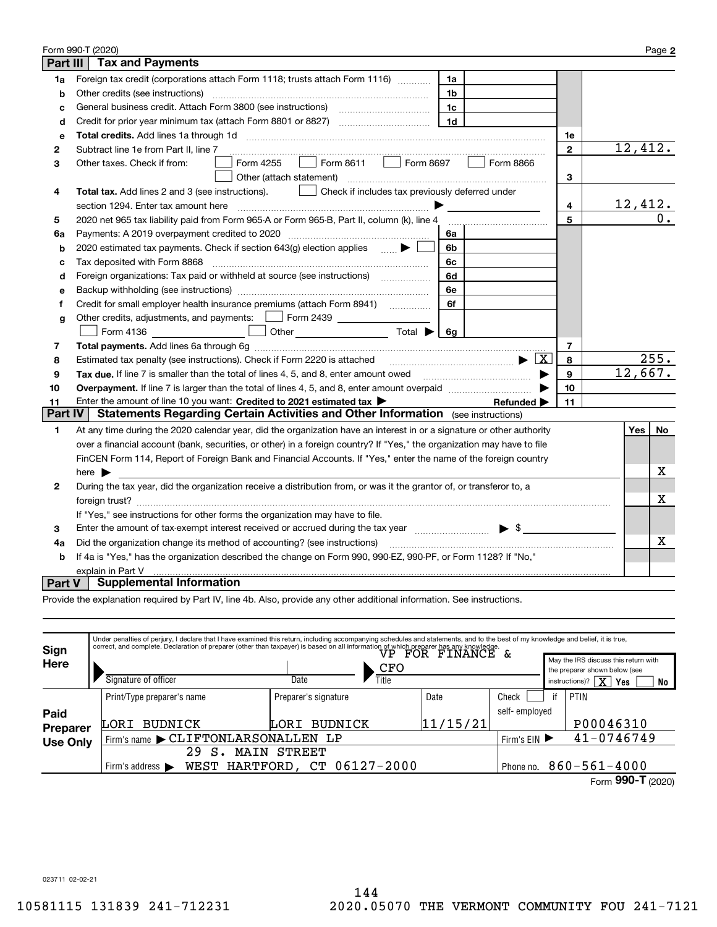|                 | Form 990-T (2020)                                                                                                       |              |                 | Page 2           |
|-----------------|-------------------------------------------------------------------------------------------------------------------------|--------------|-----------------|------------------|
| <b>Part III</b> | <b>Tax and Payments</b>                                                                                                 |              |                 |                  |
| 1a              | Foreign tax credit (corporations attach Form 1118; trusts attach Form 1116)<br>1a                                       |              |                 |                  |
| b               | Other credits (see instructions)<br>1b                                                                                  |              |                 |                  |
| c               | 1c                                                                                                                      |              |                 |                  |
| d               | 1 <sub>d</sub><br>Credit for prior year minimum tax (attach Form 8801 or 8827)                                          |              |                 |                  |
| е               |                                                                                                                         | 1e           |                 |                  |
| 2               | Subtract line 1e from Part II, line 7                                                                                   | $\mathbf{2}$ | 12,412.         |                  |
| 3               | Form 8611   Form 8697<br>Form 4255<br>Form 8866<br>Other taxes. Check if from:                                          |              |                 |                  |
|                 | Other (attach statement)                                                                                                | 3            |                 |                  |
| 4               | Check if includes tax previously deferred under<br>Total tax. Add lines 2 and 3 (see instructions).                     |              |                 |                  |
|                 | section 1294. Enter tax amount here                                                                                     | 4            | <u> 12,412.</u> |                  |
| 5               | 2020 net 965 tax liability paid from Form 965-A or Form 965-B, Part II, column (k), line 4                              | 5            |                 | $\overline{0}$ . |
| 6a              | 6a                                                                                                                      |              |                 |                  |
| b               | 2020 estimated tax payments. Check if section 643(g) election applies $\qquad \qquad \bullet$<br>6b                     |              |                 |                  |
| c               | Tax deposited with Form 8868<br>6c                                                                                      |              |                 |                  |
| d               | Foreign organizations: Tax paid or withheld at source (see instructions) [<br>6d                                        |              |                 |                  |
| e               | 6e                                                                                                                      |              |                 |                  |
| f               | 6f                                                                                                                      |              |                 |                  |
| g               | Other credits, adjustments, and payments:   Form 2439 _ _ _ _ _ _ _                                                     |              |                 |                  |
|                 | Other $\overline{\hspace{1cm}}$ Total $\blacktriangleright$ $\overline{\hspace{1cm}}$ 6g<br>Form 4136                   |              |                 |                  |
| 7               |                                                                                                                         | 7            |                 |                  |
| 8               | $\mathbf{E}$ $\mathbf{X}$<br>Estimated tax penalty (see instructions). Check if Form 2220 is attached                   | 8            |                 | 255.             |
| 9               | Tax due. If line 7 is smaller than the total of lines 4, 5, and 8, enter amount owed <b>Face and Conservers</b> in the  | 9            | 12,667.         |                  |
| 10              |                                                                                                                         | 10           |                 |                  |
| 11              | Enter the amount of line 10 you want: Credited to 2021 estimated tax<br>Refunded $\blacktriangleright$                  | 11           |                 |                  |
| <b>Part IV</b>  | <b>Statements Regarding Certain Activities and Other Information</b> (see instructions)                                 |              |                 |                  |
| 1               | At any time during the 2020 calendar year, did the organization have an interest in or a signature or other authority   |              | Yes             | No               |
|                 | over a financial account (bank, securities, or other) in a foreign country? If "Yes," the organization may have to file |              |                 |                  |
|                 | FinCEN Form 114, Report of Foreign Bank and Financial Accounts. If "Yes," enter the name of the foreign country         |              |                 |                  |
|                 | here $\blacktriangleright$                                                                                              |              |                 | х                |
| 2               | During the tax year, did the organization receive a distribution from, or was it the grantor of, or transferor to, a    |              |                 |                  |
|                 |                                                                                                                         |              |                 | X                |
|                 | If "Yes," see instructions for other forms the organization may have to file.                                           |              |                 |                  |
| 3               | Enter the amount of tax-exempt interest received or accrued during the tax year manufactured $\blacktriangleright$ \$   |              |                 |                  |
| 4a              | Did the organization change its method of accounting? (see instructions)                                                |              |                 | x.               |
| b               | If 4a is "Yes," has the organization described the change on Form 990, 990-EZ, 990-PF, or Form 1128? If "No,"           |              |                 |                  |
|                 | explain in Part V                                                                                                       |              |                 |                  |
| Part V          | <b>Supplemental Information</b>                                                                                         |              |                 |                  |

Provide the explanation required by Part IV, line 4b. Also, provide any other additional information. See instructions.

| Sign            |                   | Under penalties of perjury, I declare that I have examined this return, including accompanying schedules and statements, and to the best of my knowledge and belief, it is true,<br>correct, and complete. Declaration of preparer (other than taxpayer) is based on all information of which preparer has any knowledge.<br>$\overline{\text{vP - FOR - F} \text{NANCE - & }}$ |                                    |                                                                            |                    |                                                   |           |  |  |  |
|-----------------|-------------------|---------------------------------------------------------------------------------------------------------------------------------------------------------------------------------------------------------------------------------------------------------------------------------------------------------------------------------------------------------------------------------|------------------------------------|----------------------------------------------------------------------------|--------------------|---------------------------------------------------|-----------|--|--|--|
| Here            |                   | Signature of officer                                                                                                                                                                                                                                                                                                                                                            | CFO<br>Title<br>Date               | the preparer shown below (see<br>$\overline{\mathbf{x}}$<br>instructions)? |                    | May the IRS discuss this return with<br>Yes<br>No |           |  |  |  |
|                 |                   | Print/Type preparer's name                                                                                                                                                                                                                                                                                                                                                      | Preparer's signature               | Date                                                                       | Check              | if                                                | PTIN      |  |  |  |
| Paid            |                   |                                                                                                                                                                                                                                                                                                                                                                                 |                                    |                                                                            | self-employed      |                                                   |           |  |  |  |
| Preparer        |                   | <b>BUDNICK</b><br>LORI                                                                                                                                                                                                                                                                                                                                                          | 11/15/21<br><b>BUDNICK</b><br>LORI |                                                                            |                    |                                                   | P00046310 |  |  |  |
| <b>Use Only</b> |                   | Firm's name CLIFTONLARSONALLEN LP                                                                                                                                                                                                                                                                                                                                               | Firm's $EIN$                       |                                                                            | 41-0746749         |                                                   |           |  |  |  |
|                 |                   | 29<br>S<br>MAIN                                                                                                                                                                                                                                                                                                                                                                 |                                    |                                                                            |                    |                                                   |           |  |  |  |
|                 |                   | WEST HARTFORD, CT 06127-2000<br>Firm's address $\blacktriangleright$                                                                                                                                                                                                                                                                                                            | Phone no.                          |                                                                            | $860 - 561 - 4000$ |                                                   |           |  |  |  |
|                 | Form 990-T (2020) |                                                                                                                                                                                                                                                                                                                                                                                 |                                    |                                                                            |                    |                                                   |           |  |  |  |

023711 02-02-21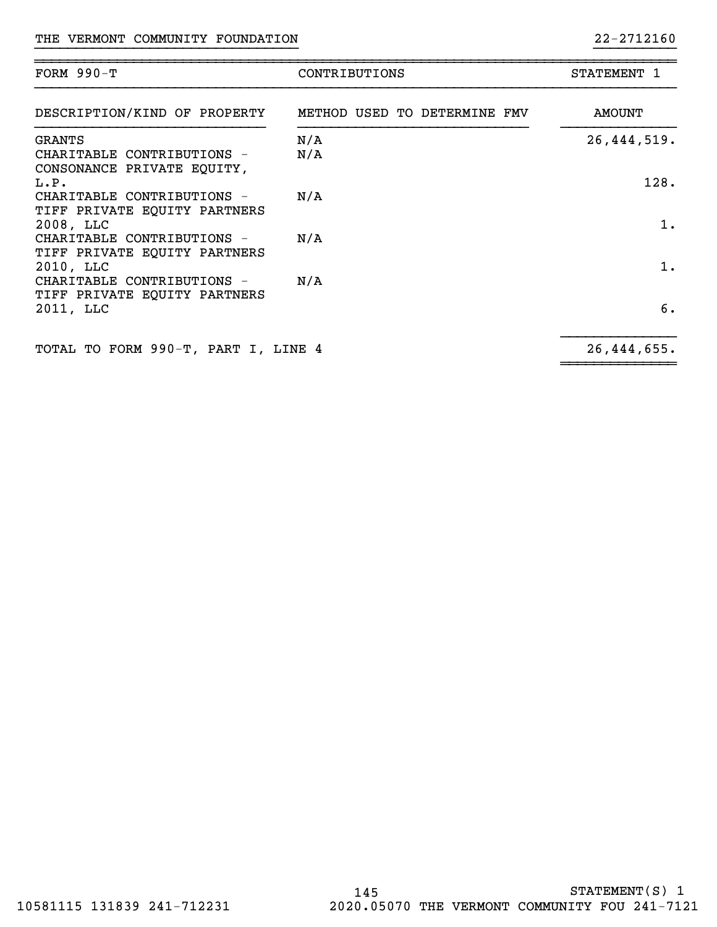| FORM $990-T$                                                                      | CONTRIBUTIONS                | STATEMENT 1         |
|-----------------------------------------------------------------------------------|------------------------------|---------------------|
| DESCRIPTION/KIND OF PROPERTY                                                      | METHOD USED TO DETERMINE FMV | <b>AMOUNT</b>       |
| <b>GRANTS</b><br>CHARITABLE CONTRIBUTIONS -<br>CONSONANCE PRIVATE EQUITY,<br>L.P. | N/A<br>N/A                   | 26,444,519.<br>128. |
| CHARITABLE CONTRIBUTIONS -<br>TIFF PRIVATE EQUITY PARTNERS<br>2008, LLC           | N/A                          | 1.                  |
| CHARITABLE CONTRIBUTIONS -<br>TIFF PRIVATE EQUITY PARTNERS<br>2010, LLC           | N/A                          | 1.                  |
| CHARITABLE CONTRIBUTIONS -<br>TIFF PRIVATE EQUITY PARTNERS<br>2011, LLC           | N/A                          | б.                  |
| TOTAL TO FORM 990-T, PART I, LINE 4                                               |                              | 26,444,655.         |

~~~~~~~~~~~~~~

}}}}}}}}}}}}}}}}}}}}}}}}}}}}}}}} }}}}}}}}}}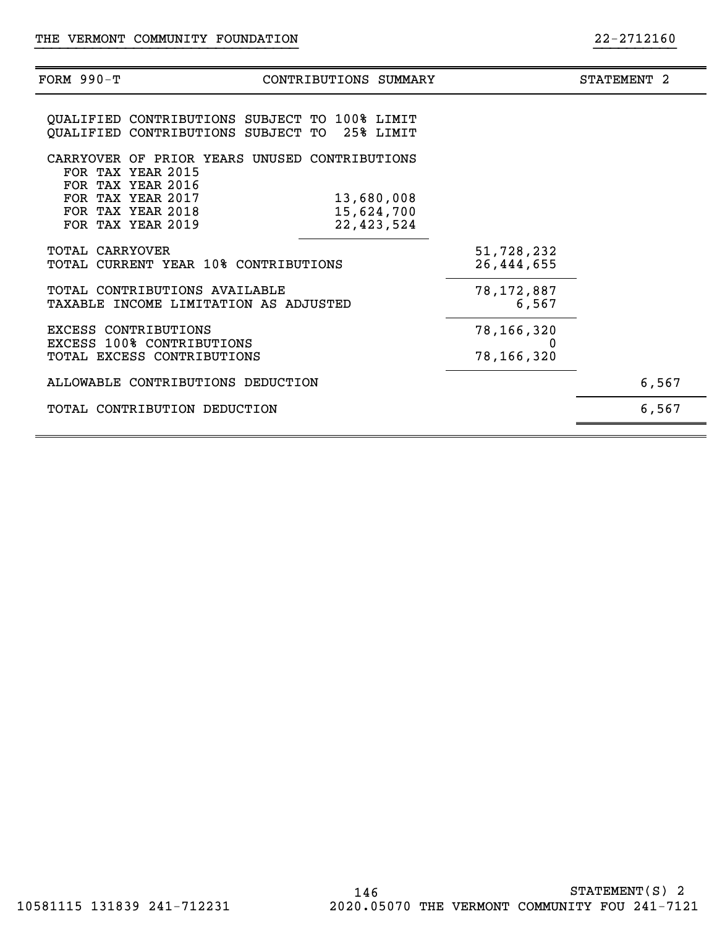| FORM 990-Т                                                                      | CONTRIBUTIONS SUMMARY                                                                         |                                          | STATEMENT 2 |
|---------------------------------------------------------------------------------|-----------------------------------------------------------------------------------------------|------------------------------------------|-------------|
|                                                                                 | QUALIFIED CONTRIBUTIONS SUBJECT TO 100% LIMIT<br>QUALIFIED CONTRIBUTIONS SUBJECT TO 25% LIMIT |                                          |             |
| FOR TAX YEAR 2015<br>FOR TAX YEAR 2016                                          | CARRYOVER OF PRIOR YEARS UNUSED CONTRIBUTIONS                                                 |                                          |             |
| FOR TAX YEAR 2017<br>FOR TAX YEAR 2018<br>FOR TAX YEAR 2019                     |                                                                                               | 13,680,008<br>15,624,700<br>22, 423, 524 |             |
| <b>TOTAL CARRYOVER</b>                                                          | TOTAL CURRENT YEAR 10% CONTRIBUTIONS                                                          | 51,728,232<br>26,444,655                 |             |
|                                                                                 | TOTAL CONTRIBUTIONS AVAILABLE<br>TAXABLE INCOME LIMITATION AS ADJUSTED                        | 78,172,887<br>6,567                      |             |
| EXCESS CONTRIBUTIONS<br>EXCESS 100% CONTRIBUTIONS<br>TOTAL EXCESS CONTRIBUTIONS |                                                                                               | 78,166,320<br>78,166,320                 |             |
|                                                                                 | ALLOWABLE CONTRIBUTIONS DEDUCTION                                                             |                                          | 6,567       |
|                                                                                 | TOTAL CONTRIBUTION DEDUCTION                                                                  |                                          | 6,567       |
|                                                                                 |                                                                                               |                                          |             |

}}}}}}}}}}}}}}}}}}}}}}}}}}}}}}}} }}}}}}}}}}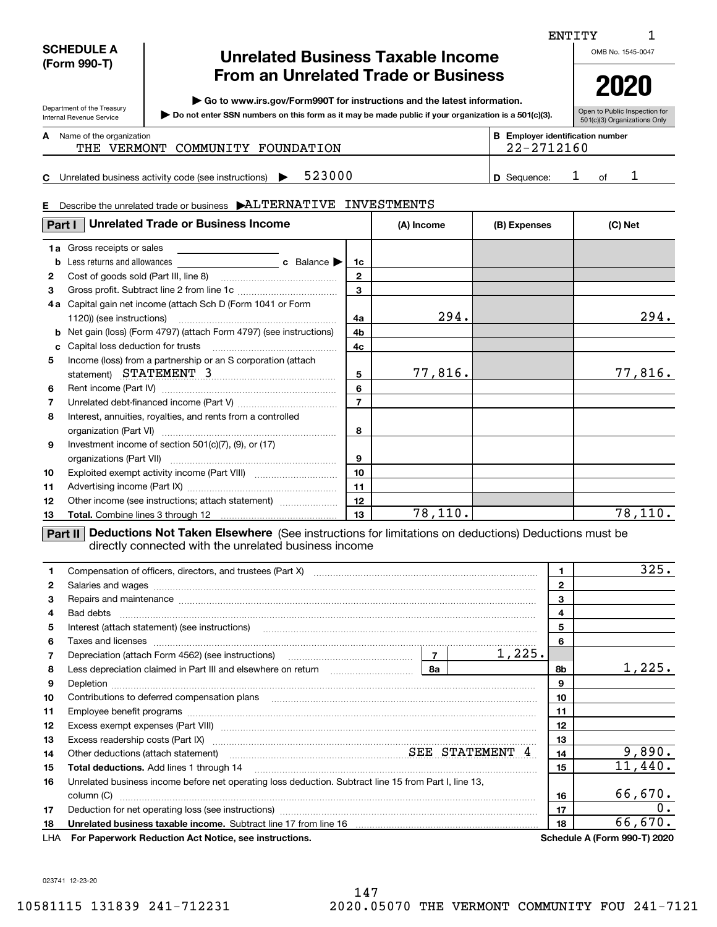| <b>SCHEDULE A</b> |
|-------------------|
| (Form 990-T)      |

## **Unrelated Business Taxable Income From an Unrelated Trade or Business**

**| Go to www.irs.gov/Form990T for instructions and the latest information.**

Department of the Treasury Internal Revenue Service **Do not enter SSN numbers on this form as it may be made public if your organization is a 501(c)(3). |** 

Open to Public Inspection for 501(c)(3) Organizations Only

**2020**

Name of the organization **mumber and the organization number contracts the organization number BEEnployer identification number A**

THE VERMONT COMMUNITY FOUNDATION THE 22-2712160

**C5**23000 1 **1 D** Sequence: 1 of 1 Unrelated business activity code (see instructions)  $\blacktriangleright$  523000 **D** Sequence: 1 of

#### **E**Describe the unrelated trade or business | ALTERNATIVE INVESTMENTS

| Part I | <b>Unrelated Trade or Business Income</b>                                         |              | (A) Income | (B) Expenses | (C) Net |
|--------|-----------------------------------------------------------------------------------|--------------|------------|--------------|---------|
|        | <b>1a</b> Gross receipts or sales<br>the control of the control of the control of |              |            |              |         |
| b      |                                                                                   | 1c           |            |              |         |
| 2      |                                                                                   | $\mathbf{2}$ |            |              |         |
| 3      |                                                                                   | 3            |            |              |         |
| 4 a    | Capital gain net income (attach Sch D (Form 1041 or Form                          |              |            |              |         |
|        |                                                                                   | 4a           | 294.       |              | 294.    |
|        | <b>b</b> Net gain (loss) (Form 4797) (attach Form 4797) (see instructions)        | 4b           |            |              |         |
| c      |                                                                                   | 4c           |            |              |         |
| 5      | Income (loss) from a partnership or an S corporation (attach                      |              |            |              |         |
|        | statement) STATEMENT 3                                                            | 5            | 77,816.    |              | 77,816. |
| 6      |                                                                                   | 6            |            |              |         |
| 7      |                                                                                   |              |            |              |         |
| 8      | Interest, annuities, royalties, and rents from a controlled                       |              |            |              |         |
|        |                                                                                   | 8            |            |              |         |
| 9      | Investment income of section $501(c)(7)$ , (9), or (17)                           |              |            |              |         |
|        |                                                                                   | 9            |            |              |         |
| 10     |                                                                                   | 10           |            |              |         |
| 11     |                                                                                   | 11           |            |              |         |
| 12     | Other income (see instructions; attach statement)                                 | 12           |            |              |         |
| 13     |                                                                                   | 13           | 78,110.    |              | 78,110. |

**Part II Deductions Not Taken Elsewhere** (See instructions for limitations on deductions) Deductions must be directly connected with the unrelated business income

|     | Compensation of officers, directors, and trustees (Part X) [11] [2010] [2010] [2010] [2010] [2010] [2010] [2010] [3010] [2010] [2010] [3010] [3010] [3010] [3010] [3010] [3010] [3010] [3010] [3010] [3010] [3010] [3010] [301                                                                                                                                                          | 1.             | 325.                         |
|-----|-----------------------------------------------------------------------------------------------------------------------------------------------------------------------------------------------------------------------------------------------------------------------------------------------------------------------------------------------------------------------------------------|----------------|------------------------------|
| 2   |                                                                                                                                                                                                                                                                                                                                                                                         | $\overline{2}$ |                              |
| 3   | Repairs and maintenance material content content content and maintenance material content and maintenance material content and maintenance material content and maintenance material content and material content and material                                                                                                                                                          | 3              |                              |
| 4   |                                                                                                                                                                                                                                                                                                                                                                                         | 4              |                              |
| 5   | Interest (attach statement) (see instructions)                                                                                                                                                                                                                                                                                                                                          | 5              |                              |
| 6   | Taxes and licenses <b>with the contract of the contract of the contract of the contract of the contract of the contract of the contract of the contract of the contract of the contract of the contract of the contract of the c</b>                                                                                                                                                    | 6              |                              |
| 7   | 1,225.                                                                                                                                                                                                                                                                                                                                                                                  |                |                              |
| 8   |                                                                                                                                                                                                                                                                                                                                                                                         | 8b             | 1,225.                       |
| 9   | Depletion <b>construction and construction of the construction of the construction of the construction of the construction of the construction of the construction of the construction of the construction of the construction o</b>                                                                                                                                                    | 9              |                              |
| 10  | Contributions to deferred compensation plans                                                                                                                                                                                                                                                                                                                                            | 10             |                              |
| 11  |                                                                                                                                                                                                                                                                                                                                                                                         | 11             |                              |
| 12  |                                                                                                                                                                                                                                                                                                                                                                                         | 12             |                              |
| 13  | Excess readership costs (Part IX) [11] [2000] [2000] [2010] [3000] [3000] [3000] [3000] [3000] [3000] [3000] [                                                                                                                                                                                                                                                                          | 13             |                              |
| 14  | Other deductions (attach statement) material material SEE STATEMENT 4                                                                                                                                                                                                                                                                                                                   | 14             | 9,890.                       |
| 15  | $\begin{bmatrix} \begin{bmatrix} 0 & 0 & 0 & 0 \\ 0 & 0 & 0 & 0 \\ 0 & 0 & 0 & 0 \\ 0 & 0 & 0 & 0 \\ 0 & 0 & 0 & 0 \\ 0 & 0 & 0 & 0 & 0 \\ 0 & 0 & 0 & 0 & 0 \\ 0 & 0 & 0 & 0 & 0 \\ 0 & 0 & 0 & 0 & 0 \\ 0 & 0 & 0 & 0 & 0 \\ 0 & 0 & 0 & 0 & 0 \\ 0 & 0 & 0 & 0 & 0 \\ 0 & 0 & 0 & 0 & 0 \\ 0 & 0 & 0 & 0 & 0 \\ 0 & 0 & 0 & 0 & $<br><b>Total deductions.</b> Add lines 1 through 14 | 15             | 11,440.                      |
| 16  | Unrelated business income before net operating loss deduction. Subtract line 15 from Part I, line 13,                                                                                                                                                                                                                                                                                   |                |                              |
|     | column (C)                                                                                                                                                                                                                                                                                                                                                                              | 16             | 66,670.                      |
| 17  |                                                                                                                                                                                                                                                                                                                                                                                         | 17             | 0.                           |
| 18  |                                                                                                                                                                                                                                                                                                                                                                                         | 18             | 66,670.                      |
| LHA | For Paperwork Reduction Act Notice, see instructions.                                                                                                                                                                                                                                                                                                                                   |                | Schedule A (Form 990-T) 2020 |

023741 12-23-20

147 10581115 131839 241-712231 2020.05070 THE VERMONT COMMUNITY FOU 241-7121

ENTITY

OMB No. 1545-0047

1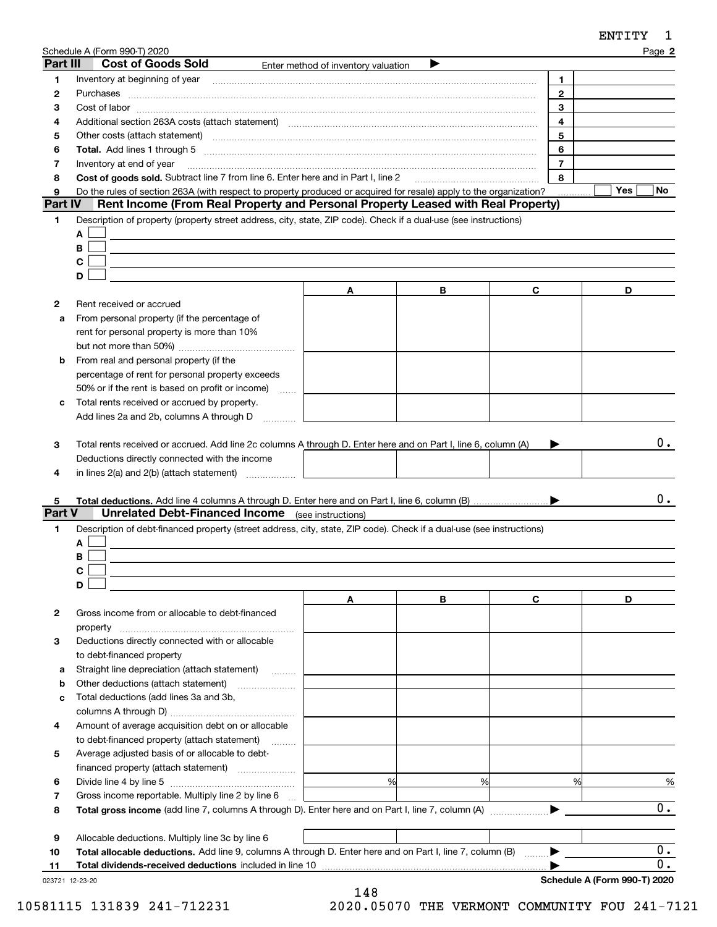|                | Schedule A (Form 990-T) 2020                                                                                                                                                                                                   |                                     |   |                | Page 2     |
|----------------|--------------------------------------------------------------------------------------------------------------------------------------------------------------------------------------------------------------------------------|-------------------------------------|---|----------------|------------|
| Part III       | <b>Cost of Goods Sold</b>                                                                                                                                                                                                      | Enter method of inventory valuation |   |                |            |
| 1              |                                                                                                                                                                                                                                |                                     |   | 1.             |            |
| 2              | Purchases                                                                                                                                                                                                                      |                                     |   | $\mathbf{2}$   |            |
| з              |                                                                                                                                                                                                                                |                                     |   | 3              |            |
| 4              |                                                                                                                                                                                                                                |                                     |   | 4              |            |
| 5              | Other costs (attach statement) manufactured and contract and contract and contract and contract and contract and contract and contract and contract and contract and contract and contract and contract and contract and contr |                                     |   | 5              |            |
| 6              |                                                                                                                                                                                                                                |                                     |   | 6              |            |
| 7              | Inventory at end of year                                                                                                                                                                                                       |                                     |   | $\overline{7}$ |            |
| 8              | Cost of goods sold. Subtract line 7 from line 6. Enter here and in Part I, line 2                                                                                                                                              |                                     |   | 8              |            |
| 9              | Do the rules of section 263A (with respect to property produced or acquired for resale) apply to the organization?                                                                                                             |                                     |   |                | Yes<br>No. |
| <b>Part IV</b> | Rent Income (From Real Property and Personal Property Leased with Real Property)                                                                                                                                               |                                     |   |                |            |
| 1              | Description of property (property street address, city, state, ZIP code). Check if a dual-use (see instructions)                                                                                                               |                                     |   |                |            |
|                | A                                                                                                                                                                                                                              |                                     |   |                |            |
|                | B                                                                                                                                                                                                                              |                                     |   |                |            |
|                | С                                                                                                                                                                                                                              |                                     |   |                |            |
|                | D                                                                                                                                                                                                                              |                                     |   |                |            |
|                |                                                                                                                                                                                                                                | A                                   | В | C              | D          |
| 2              | Rent received or accrued                                                                                                                                                                                                       |                                     |   |                |            |
| a              | From personal property (if the percentage of                                                                                                                                                                                   |                                     |   |                |            |
|                | rent for personal property is more than 10%                                                                                                                                                                                    |                                     |   |                |            |
|                |                                                                                                                                                                                                                                |                                     |   |                |            |
| b              | From real and personal property (if the                                                                                                                                                                                        |                                     |   |                |            |
|                | percentage of rent for personal property exceeds                                                                                                                                                                               |                                     |   |                |            |
|                | 50% or if the rent is based on profit or income)<br><b>Service</b>                                                                                                                                                             |                                     |   |                |            |
| с              | Total rents received or accrued by property.                                                                                                                                                                                   |                                     |   |                |            |
|                | Add lines 2a and 2b, columns A through D                                                                                                                                                                                       |                                     |   |                |            |
|                |                                                                                                                                                                                                                                |                                     |   |                |            |
| З              | Total rents received or accrued. Add line 2c columns A through D. Enter here and on Part I, line 6, column (A)                                                                                                                 |                                     |   |                | 0.         |
|                | Deductions directly connected with the income                                                                                                                                                                                  |                                     |   |                |            |
| 4              | in lines $2(a)$ and $2(b)$ (attach statement) $\ldots$                                                                                                                                                                         |                                     |   |                |            |
|                |                                                                                                                                                                                                                                |                                     |   |                |            |
| 5<br>Part V    |                                                                                                                                                                                                                                |                                     |   |                | 0.         |
|                | <b>Unrelated Debt-Financed Income</b> (see instructions)                                                                                                                                                                       |                                     |   |                |            |
| 1              | Description of debt-financed property (street address, city, state, ZIP code). Check if a dual-use (see instructions)                                                                                                          |                                     |   |                |            |
|                | A                                                                                                                                                                                                                              |                                     |   |                |            |
|                | В                                                                                                                                                                                                                              |                                     |   |                |            |
|                | C.                                                                                                                                                                                                                             |                                     |   |                |            |
|                | D                                                                                                                                                                                                                              |                                     |   |                |            |
|                |                                                                                                                                                                                                                                | A                                   | В | C              | D          |
| 2              | Gross income from or allocable to debt-financed                                                                                                                                                                                |                                     |   |                |            |
|                | property                                                                                                                                                                                                                       |                                     |   |                |            |
| 3              | Deductions directly connected with or allocable                                                                                                                                                                                |                                     |   |                |            |
|                | to debt-financed property                                                                                                                                                                                                      |                                     |   |                |            |
| а              | Straight line depreciation (attach statement)                                                                                                                                                                                  |                                     |   |                |            |
| b              | Other deductions (attach statement)                                                                                                                                                                                            |                                     |   |                |            |
| c              | Total deductions (add lines 3a and 3b,                                                                                                                                                                                         |                                     |   |                |            |
|                |                                                                                                                                                                                                                                |                                     |   |                |            |
| 4              | Amount of average acquisition debt on or allocable                                                                                                                                                                             |                                     |   |                |            |
|                | to debt-financed property (attach statement)                                                                                                                                                                                   |                                     |   |                |            |
| 5              | Average adjusted basis of or allocable to debt-                                                                                                                                                                                |                                     |   |                |            |
|                |                                                                                                                                                                                                                                |                                     |   |                |            |
| 6              |                                                                                                                                                                                                                                | %                                   | % | %              | %          |
| 7              | Gross income reportable. Multiply line 2 by line 6                                                                                                                                                                             |                                     |   |                |            |
| 8              |                                                                                                                                                                                                                                |                                     |   |                | 0.         |
|                |                                                                                                                                                                                                                                |                                     |   |                |            |
| 9              | Allocable deductions. Multiply line 3c by line 6                                                                                                                                                                               |                                     |   |                |            |
| 10             | Total allocable deductions. Add line 9, columns A through D. Enter here and on Part I, line 7, column (B)                                                                                                                      |                                     |   |                | 0.         |

**11 Total dividends-received deductions** included in line 10

023721 12-23-20

148 10581115 131839 241-712231 2020.05070 THE VERMONT COMMUNITY FOU 241-7121

 $\blacktriangleright$ 

**Schedule A (Form 990-T) 2020**

0.

ENTITY 1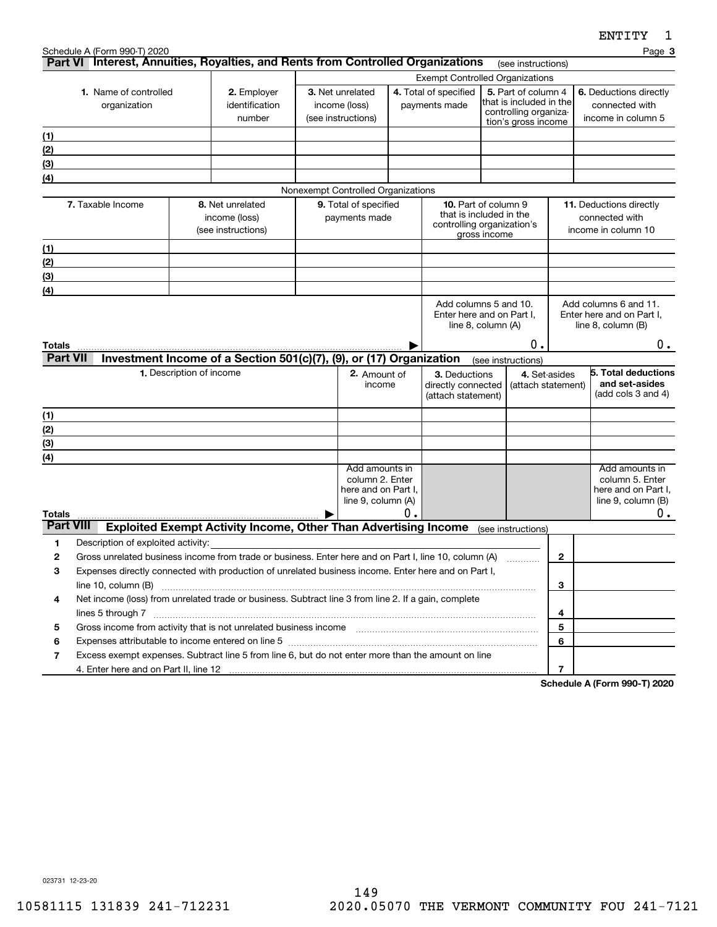|                  | Schedule A (Form 990-T) 2020                                                                                                                                                                                                                          |                          |                                                                        |                                        |                                     |    |                                                       |              |                                                |                | Page 3                                             |
|------------------|-------------------------------------------------------------------------------------------------------------------------------------------------------------------------------------------------------------------------------------------------------|--------------------------|------------------------------------------------------------------------|----------------------------------------|-------------------------------------|----|-------------------------------------------------------|--------------|------------------------------------------------|----------------|----------------------------------------------------|
|                  | Part VI Interest, Annuities, Royalties, and Rents from Controlled Organizations                                                                                                                                                                       |                          |                                                                        |                                        |                                     |    |                                                       |              | (see instructions)                             |                |                                                    |
|                  |                                                                                                                                                                                                                                                       |                          |                                                                        | <b>Exempt Controlled Organizations</b> |                                     |    |                                                       |              |                                                |                |                                                    |
|                  | 1. Name of controlled                                                                                                                                                                                                                                 |                          | 2. Employer                                                            |                                        | 3. Net unrelated                    |    | 4. Total of specified                                 |              | 5. Part of column 4<br>that is included in the |                | 6. Deductions directly                             |
|                  | organization                                                                                                                                                                                                                                          |                          | identification<br>number                                               |                                        | income (loss)<br>(see instructions) |    | payments made                                         |              | controlling organiza-                          |                | connected with<br>income in column 5               |
|                  |                                                                                                                                                                                                                                                       |                          |                                                                        |                                        |                                     |    |                                                       |              | tion's gross income                            |                |                                                    |
| (1)              |                                                                                                                                                                                                                                                       |                          |                                                                        |                                        |                                     |    |                                                       |              |                                                |                |                                                    |
| (2)<br>(3)       |                                                                                                                                                                                                                                                       |                          |                                                                        |                                        |                                     |    |                                                       |              |                                                |                |                                                    |
| (4)              |                                                                                                                                                                                                                                                       |                          |                                                                        |                                        |                                     |    |                                                       |              |                                                |                |                                                    |
|                  |                                                                                                                                                                                                                                                       |                          |                                                                        |                                        | Nonexempt Controlled Organizations  |    |                                                       |              |                                                |                |                                                    |
|                  | 7. Taxable Income                                                                                                                                                                                                                                     |                          | 8. Net unrelated                                                       |                                        | 9. Total of specified               |    | <b>10.</b> Part of column 9                           |              |                                                |                | 11. Deductions directly                            |
|                  |                                                                                                                                                                                                                                                       |                          | income (loss)                                                          |                                        | payments made                       |    | that is included in the<br>controlling organization's |              |                                                |                | connected with                                     |
|                  |                                                                                                                                                                                                                                                       |                          | (see instructions)                                                     |                                        |                                     |    |                                                       | gross income |                                                |                | income in column 10                                |
| (1)              |                                                                                                                                                                                                                                                       |                          |                                                                        |                                        |                                     |    |                                                       |              |                                                |                |                                                    |
| (2)              |                                                                                                                                                                                                                                                       |                          |                                                                        |                                        |                                     |    |                                                       |              |                                                |                |                                                    |
| (3)              |                                                                                                                                                                                                                                                       |                          |                                                                        |                                        |                                     |    |                                                       |              |                                                |                |                                                    |
| (4)              |                                                                                                                                                                                                                                                       |                          |                                                                        |                                        |                                     |    |                                                       |              |                                                |                |                                                    |
|                  |                                                                                                                                                                                                                                                       |                          |                                                                        |                                        |                                     |    | Add columns 5 and 10.<br>Enter here and on Part I,    |              |                                                |                | Add columns 6 and 11.<br>Enter here and on Part I, |
|                  |                                                                                                                                                                                                                                                       |                          |                                                                        |                                        |                                     |    | line 8, column (A)                                    |              |                                                |                | line $8$ , column $(B)$                            |
| Totals           |                                                                                                                                                                                                                                                       |                          |                                                                        |                                        |                                     |    |                                                       |              | Ο.                                             |                | $0$ .                                              |
| <b>Part VII</b>  |                                                                                                                                                                                                                                                       |                          | Investment Income of a Section 501(c)(7), (9), or (17) Organization    |                                        |                                     |    |                                                       |              | (see instructions)                             |                |                                                    |
|                  |                                                                                                                                                                                                                                                       | 1. Description of income |                                                                        |                                        | 2. Amount of                        |    | 3. Deductions                                         |              |                                                | 4. Set-asides  | 5. Total deductions                                |
|                  |                                                                                                                                                                                                                                                       |                          |                                                                        |                                        | income                              |    | directly connected                                    |              | (attach statement)                             |                | and set-asides                                     |
|                  |                                                                                                                                                                                                                                                       |                          |                                                                        |                                        |                                     |    | (attach statement)                                    |              |                                                |                | (add cols 3 and 4)                                 |
| (1)              |                                                                                                                                                                                                                                                       |                          |                                                                        |                                        |                                     |    |                                                       |              |                                                |                |                                                    |
| (2)              |                                                                                                                                                                                                                                                       |                          |                                                                        |                                        |                                     |    |                                                       |              |                                                |                |                                                    |
| (3)              |                                                                                                                                                                                                                                                       |                          |                                                                        |                                        |                                     |    |                                                       |              |                                                |                |                                                    |
| (4)              |                                                                                                                                                                                                                                                       |                          |                                                                        |                                        | Add amounts in                      |    |                                                       |              |                                                |                | Add amounts in                                     |
|                  |                                                                                                                                                                                                                                                       |                          |                                                                        |                                        | column 2. Enter                     |    |                                                       |              |                                                |                | column 5. Enter                                    |
|                  |                                                                                                                                                                                                                                                       |                          |                                                                        |                                        | here and on Part I,                 |    |                                                       |              |                                                |                | here and on Part I,                                |
| Totals           |                                                                                                                                                                                                                                                       |                          |                                                                        |                                        | line 9, column (A)                  | Ο. |                                                       |              |                                                |                | line $9$ , column $(B)$<br>0.                      |
| <b>Part VIII</b> |                                                                                                                                                                                                                                                       |                          | <b>Exploited Exempt Activity Income, Other Than Advertising Income</b> |                                        |                                     |    |                                                       |              | (see instructions)                             |                |                                                    |
| 1                | Description of exploited activity:                                                                                                                                                                                                                    |                          |                                                                        |                                        |                                     |    |                                                       |              |                                                |                |                                                    |
| 2                | Gross unrelated business income from trade or business. Enter here and on Part I, line 10, column (A)                                                                                                                                                 |                          |                                                                        |                                        |                                     |    |                                                       |              |                                                | 2              |                                                    |
| 3                | Expenses directly connected with production of unrelated business income. Enter here and on Part I,                                                                                                                                                   |                          |                                                                        |                                        |                                     |    |                                                       |              |                                                |                |                                                    |
|                  | line 10, column (B)                                                                                                                                                                                                                                   |                          |                                                                        |                                        |                                     |    |                                                       |              |                                                | 3              |                                                    |
| 4                | Net income (loss) from unrelated trade or business. Subtract line 3 from line 2. If a gain, complete                                                                                                                                                  |                          |                                                                        |                                        |                                     |    |                                                       |              |                                                |                |                                                    |
|                  |                                                                                                                                                                                                                                                       |                          |                                                                        |                                        |                                     |    | 4                                                     |              |                                                |                |                                                    |
| 5                | Gross income from activity that is not unrelated business income [11] [11] content material content from activity that is not unrelated business income [11] [11] [11] $\alpha$ [11] $\alpha$ [11] $\alpha$ [11] $\alpha$ [11] $\alpha$ [11] $\alpha$ |                          |                                                                        |                                        |                                     |    |                                                       |              |                                                | 5              |                                                    |
| 6                | Expenses attributable to income entered on line 5 [111] [12] manufacture attributable to income entered on line 5                                                                                                                                     |                          |                                                                        |                                        |                                     |    |                                                       |              |                                                | 6              |                                                    |
| 7                | Excess exempt expenses. Subtract line 5 from line 6, but do not enter more than the amount on line                                                                                                                                                    |                          |                                                                        |                                        |                                     |    |                                                       |              |                                                |                |                                                    |
|                  |                                                                                                                                                                                                                                                       |                          |                                                                        |                                        |                                     |    |                                                       |              |                                                | $\overline{7}$ | $\Lambda$ (Ferm 000 T) 0000                        |

**Schedule A (Form 990-T) 2020**

023731 12-23-20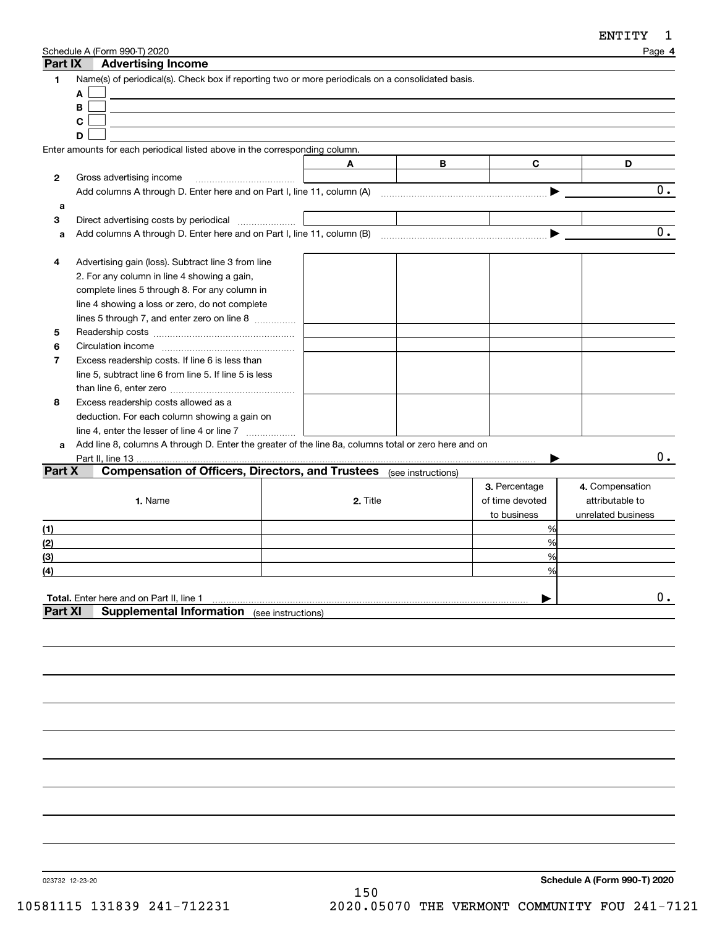| Part IX                                 | Schedule A (Form 990-T) 2020<br><b>Advertising Income</b>                                                                                                                                                                                                                                                                                                                                                                                                                                                                                                        |                    |          |   |                                                      | Page 4                                                   |
|-----------------------------------------|------------------------------------------------------------------------------------------------------------------------------------------------------------------------------------------------------------------------------------------------------------------------------------------------------------------------------------------------------------------------------------------------------------------------------------------------------------------------------------------------------------------------------------------------------------------|--------------------|----------|---|------------------------------------------------------|----------------------------------------------------------|
| 1                                       | Name(s) of periodical(s). Check box if reporting two or more periodicals on a consolidated basis.<br>A<br>B<br>C<br>D                                                                                                                                                                                                                                                                                                                                                                                                                                            |                    |          |   |                                                      |                                                          |
|                                         | Enter amounts for each periodical listed above in the corresponding column.                                                                                                                                                                                                                                                                                                                                                                                                                                                                                      |                    |          |   |                                                      |                                                          |
|                                         |                                                                                                                                                                                                                                                                                                                                                                                                                                                                                                                                                                  |                    | A        | В | C                                                    | D                                                        |
| 2                                       | Gross advertising income                                                                                                                                                                                                                                                                                                                                                                                                                                                                                                                                         |                    |          |   |                                                      |                                                          |
|                                         |                                                                                                                                                                                                                                                                                                                                                                                                                                                                                                                                                                  |                    |          |   |                                                      | $\overline{0}$ .                                         |
| a                                       |                                                                                                                                                                                                                                                                                                                                                                                                                                                                                                                                                                  |                    |          |   |                                                      |                                                          |
| 3                                       | Direct advertising costs by periodical                                                                                                                                                                                                                                                                                                                                                                                                                                                                                                                           |                    |          |   |                                                      |                                                          |
| a                                       |                                                                                                                                                                                                                                                                                                                                                                                                                                                                                                                                                                  |                    |          |   |                                                      | 0.                                                       |
| 4<br>5<br>6<br>$\overline{7}$<br>8<br>a | Advertising gain (loss). Subtract line 3 from line<br>2. For any column in line 4 showing a gain,<br>complete lines 5 through 8. For any column in<br>line 4 showing a loss or zero, do not complete<br>lines 5 through 7, and enter zero on line 8<br>Excess readership costs. If line 6 is less than<br>line 5, subtract line 6 from line 5. If line 5 is less<br>Excess readership costs allowed as a<br>deduction. For each column showing a gain on<br>Add line 8, columns A through D. Enter the greater of the line 8a, columns total or zero here and on |                    |          |   |                                                      |                                                          |
| Part X                                  | Part II, line 13.<br><b>Compensation of Officers, Directors, and Trustees</b> (see instructions)                                                                                                                                                                                                                                                                                                                                                                                                                                                                 |                    |          |   |                                                      | 0.                                                       |
| <u>(1)</u>                              | 1. Name                                                                                                                                                                                                                                                                                                                                                                                                                                                                                                                                                          |                    | 2. Title |   | 3. Percentage<br>of time devoted<br>to business<br>% | 4. Compensation<br>attributable to<br>unrelated business |
| (2)                                     |                                                                                                                                                                                                                                                                                                                                                                                                                                                                                                                                                                  |                    |          |   | %                                                    |                                                          |
| (3)                                     |                                                                                                                                                                                                                                                                                                                                                                                                                                                                                                                                                                  |                    |          |   | %                                                    |                                                          |
| (4)                                     |                                                                                                                                                                                                                                                                                                                                                                                                                                                                                                                                                                  |                    |          |   | %                                                    |                                                          |
| <b>Part XI</b>                          | Total. Enter here and on Part II, line 1<br><b>Supplemental Information</b>                                                                                                                                                                                                                                                                                                                                                                                                                                                                                      | (see instructions) |          |   |                                                      | $0$ .                                                    |
|                                         |                                                                                                                                                                                                                                                                                                                                                                                                                                                                                                                                                                  |                    |          |   |                                                      |                                                          |

023732 12-23-20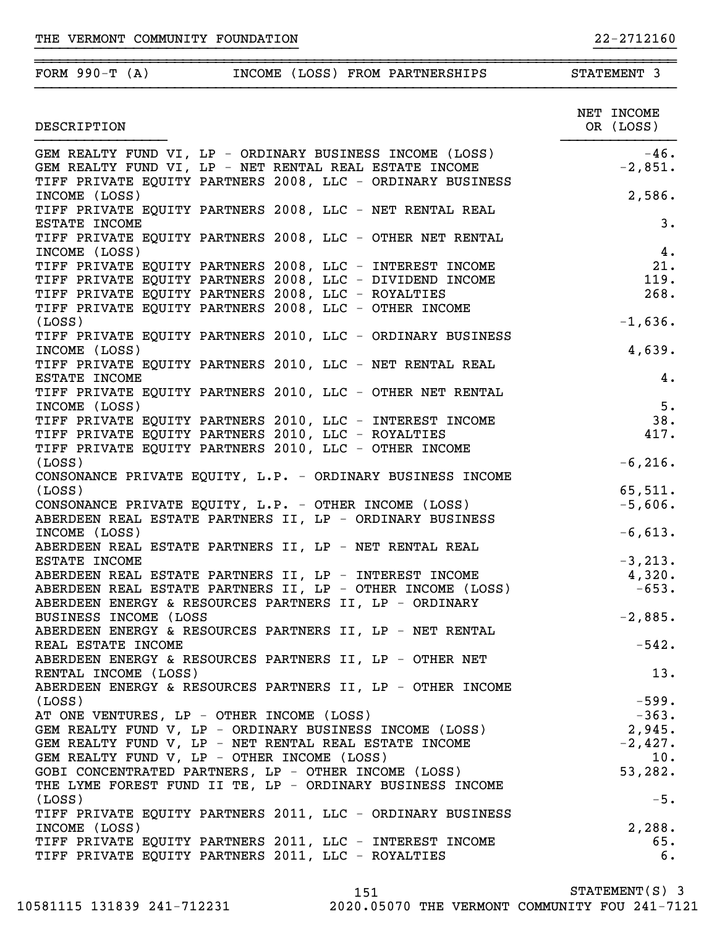| FORM $990-T(A)$                             | INCOME (LOSS) FROM PARTNERSHIPS                                                                                    | STATEMENT 3             |
|---------------------------------------------|--------------------------------------------------------------------------------------------------------------------|-------------------------|
| DESCRIPTION                                 |                                                                                                                    | NET INCOME<br>OR (LOSS) |
|                                             | GEM REALTY FUND VI, LP - ORDINARY BUSINESS INCOME (LOSS)<br>GEM REALTY FUND VI, LP - NET RENTAL REAL ESTATE INCOME | $-46.$                  |
|                                             | GEM REALTY FUND VI, LP - NET RENTAL REAL ESTATE INCOME                                                             | $-2,851.$               |
|                                             | TIFF PRIVATE EQUITY PARTNERS 2008, LLC - ORDINARY BUSINESS                                                         |                         |
| INCOME (LOSS)                               |                                                                                                                    | 2,586.                  |
|                                             | TIFF PRIVATE EQUITY PARTNERS 2008, LLC - NET RENTAL REAL                                                           |                         |
| ESTATE INCOME                               | TIFF PRIVATE EQUITY PARTNERS 2008, LLC - OTHER NET RENTAL                                                          | 3.                      |
| INCOME (LOSS)                               |                                                                                                                    | 4.                      |
|                                             | TIFF PRIVATE EQUITY PARTNERS 2008, LLC - INTEREST INCOME                                                           | 21.                     |
|                                             | TIFF PRIVATE EQUITY PARTNERS 2008, LLC - DIVIDEND INCOME                                                           | 119.                    |
|                                             | TIFF PRIVATE EQUITY PARTNERS 2008, LLC - ROYALTIES                                                                 | 268.                    |
|                                             | TIFF PRIVATE EQUITY PARTNERS 2008, LLC - OTHER INCOME                                                              |                         |
| (LOSS)                                      |                                                                                                                    | $-1,636.$               |
|                                             | TIFF PRIVATE EQUITY PARTNERS 2010, LLC - ORDINARY BUSINESS                                                         |                         |
| INCOME (LOSS)                               |                                                                                                                    | 4,639.                  |
|                                             | TIFF PRIVATE EQUITY PARTNERS 2010, LLC - NET RENTAL REAL                                                           |                         |
| ESTATE INCOME                               |                                                                                                                    | 4.                      |
|                                             | TIFF PRIVATE EQUITY PARTNERS 2010, LLC - OTHER NET RENTAL                                                          |                         |
| INCOME (LOSS)                               |                                                                                                                    | 5.                      |
|                                             | TIFF PRIVATE EQUITY PARTNERS 2010, LLC - INTEREST INCOME<br>TIFF PRIVATE EQUITY PARTNERS 2010, LLC - ROYALTIES     | 38.<br>417.             |
|                                             | TIFF PRIVATE EQUITY PARTNERS 2010, LLC - OTHER INCOME                                                              |                         |
| (LOSS)                                      |                                                                                                                    | $-6, 216.$              |
|                                             | CONSONANCE PRIVATE EQUITY, L.P. - ORDINARY BUSINESS INCOME                                                         |                         |
| (LOSS)                                      |                                                                                                                    | 65,511.                 |
|                                             | CONSONANCE PRIVATE EQUITY, L.P. - OTHER INCOME (LOSS)                                                              | $-5,606.$               |
|                                             | ABERDEEN REAL ESTATE PARTNERS II, LP - ORDINARY BUSINESS                                                           |                         |
| INCOME (LOSS)                               |                                                                                                                    | $-6,613.$               |
|                                             | ABERDEEN REAL ESTATE PARTNERS II, LP - NET RENTAL REAL                                                             |                         |
| ESTATE INCOME                               |                                                                                                                    | $-3, 213.$              |
|                                             | ABERDEEN REAL ESTATE PARTNERS II, LP - INTEREST INCOME                                                             | 4,320.                  |
|                                             | ABERDEEN REAL ESTATE PARTNERS II, LP - OTHER INCOME (LOSS)                                                         | $-653.$                 |
| BUSINESS INCOME (LOSS                       | ABERDEEN ENERGY & RESOURCES PARTNERS II, LP - ORDINARY                                                             |                         |
|                                             | ABERDEEN ENERGY & RESOURCES PARTNERS II, LP - NET RENTAL                                                           | $-2,885.$               |
| REAL ESTATE INCOME                          |                                                                                                                    | $-542.$                 |
|                                             | ABERDEEN ENERGY & RESOURCES PARTNERS II, LP - OTHER NET                                                            |                         |
| RENTAL INCOME (LOSS)                        |                                                                                                                    | 13.                     |
|                                             | ABERDEEN ENERGY & RESOURCES PARTNERS II, LP - OTHER INCOME                                                         |                         |
| (LOSS)                                      |                                                                                                                    | $-599.$                 |
| AT ONE VENTURES, LP - OTHER INCOME (LOSS)   |                                                                                                                    | $-363.$                 |
|                                             | GEM REALTY FUND V, LP - ORDINARY BUSINESS INCOME (LOSS)                                                            | 2,945.                  |
|                                             | GEM REALTY FUND V, LP - NET RENTAL REAL ESTATE INCOME                                                              | $-2,427.$               |
| GEM REALTY FUND V, LP - OTHER INCOME (LOSS) |                                                                                                                    | 10.                     |
|                                             | GOBI CONCENTRATED PARTNERS, LP - OTHER INCOME (LOSS)                                                               | 53,282.                 |
|                                             | THE LYME FOREST FUND II TE, LP - ORDINARY BUSINESS INCOME                                                          |                         |
| (LOSS)                                      |                                                                                                                    | $-5.$                   |
| INCOME (LOSS)                               | TIFF PRIVATE EQUITY PARTNERS 2011, LLC - ORDINARY BUSINESS                                                         | 2,288.                  |
|                                             | TIFF PRIVATE EQUITY PARTNERS 2011, LLC - INTEREST INCOME                                                           | 65.                     |
|                                             | TIFF PRIVATE EQUITY PARTNERS 2011, LLC - ROYALTIES                                                                 | 6.                      |
|                                             |                                                                                                                    |                         |

}}}}}}}}}}}}}}}}}}}}}}}}}}}}}}}} }}}}}}}}}}

151 STATEMENT(S) 3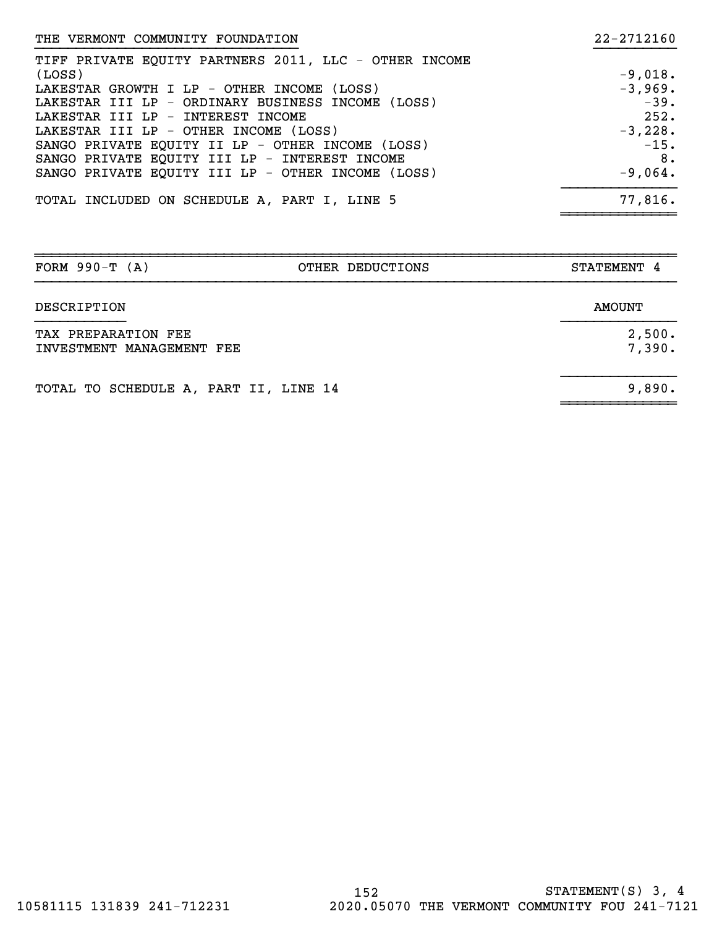| THE VERMONT COMMUNITY FOUNDATION                      | 22-2712160 |
|-------------------------------------------------------|------------|
| TIFF PRIVATE EQUITY PARTNERS 2011, LLC - OTHER INCOME |            |
| (LOSS)                                                | $-9,018.$  |
| LAKESTAR GROWTH I LP - OTHER INCOME (LOSS)            | $-3,969.$  |
| LAKESTAR III LP - ORDINARY BUSINESS INCOME (LOSS)     | $-39.$     |
| LAKESTAR III LP - INTEREST INCOME                     | 252.       |
| LAKESTAR III LP - OTHER INCOME (LOSS)                 | $-3,228.$  |
| SANGO PRIVATE EQUITY II LP - OTHER INCOME (LOSS)      | $-15.$     |
| SANGO PRIVATE EQUITY III LP - INTEREST INCOME         | 8.         |
| SANGO PRIVATE EQUITY III LP - OTHER INCOME (LOSS)     | $-9,064.$  |
| TOTAL INCLUDED ON SCHEDULE A, PART I, LINE 5          | 77,816.    |

| FORM $990-T (A)$                                 | OTHER DEDUCTIONS | STATEMENT 4      |
|--------------------------------------------------|------------------|------------------|
| DESCRIPTION                                      |                  | AMOUNT           |
| TAX PREPARATION FEE<br>INVESTMENT MANAGEMENT FEE |                  | 2,500.<br>7,390. |
| TOTAL TO SCHEDULE A, PART II, LINE 14            |                  | 9,890.           |

~~~~~~~~~~~~~~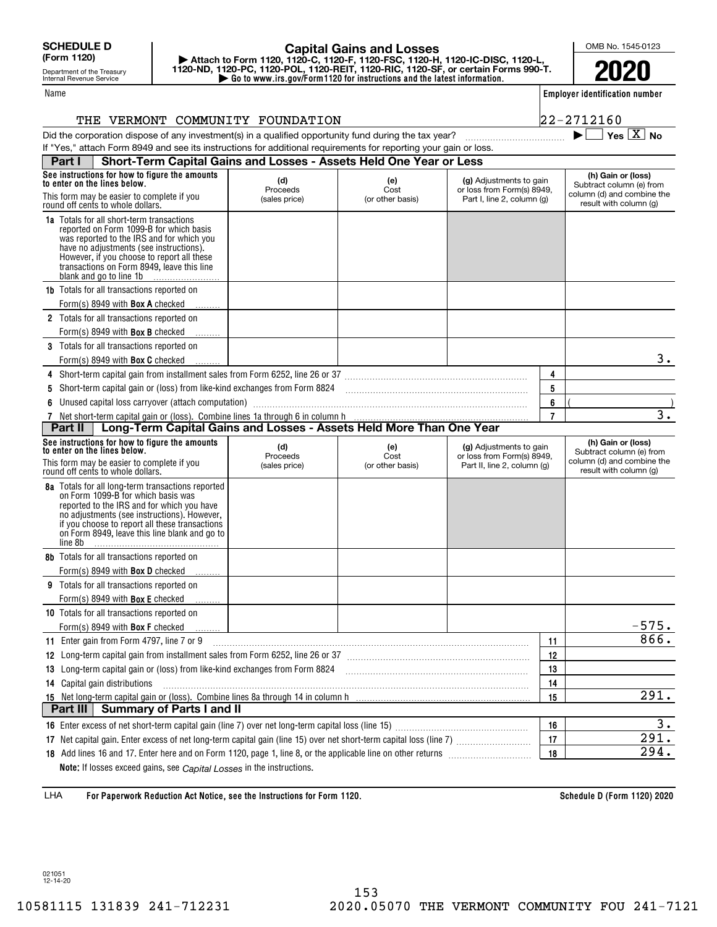Name

Department of the Treasury Internal Revenue Service

## **| Go to www.irs.gov/Form1120 for instructions and the latest information. | Attach to Form 1120, 1120-C, 1120-F, 1120-FSC, 1120-H, 1120-IC-DISC, 1120-L, 1120-ND, 1120-PC, 1120-POL, 1120-REIT, 1120-RIC, 1120-SF, or certain Forms 990-T. Capital Gains and Losses**

OMB No. 1545-0123

**2020**

**Employer identification number**

 $\blacktriangleright$   $\Box$  Yes  $\boxed{X}$  No

|  | THE VERMONT COMMUNITY FOUNDATION | $22 - 2712160$ |  |  |
|--|----------------------------------|----------------|--|--|
|  |                                  |                |  |  |

| Did the corporation dispose of any investment(s) in a qualified opportunity fund during the tax year?            |  |
|------------------------------------------------------------------------------------------------------------------|--|
| If "Yes," attach Form 8949 and see its instructions for additional requirements for reporting your gain or loss. |  |

| Short-Term Capital Gains and Losses - Assets Held One Year or Less<br>Part I                                                                                                                                                                                                                        |                                  |                                 |                                                                                      |                |                                                                                                        |
|-----------------------------------------------------------------------------------------------------------------------------------------------------------------------------------------------------------------------------------------------------------------------------------------------------|----------------------------------|---------------------------------|--------------------------------------------------------------------------------------|----------------|--------------------------------------------------------------------------------------------------------|
| See instructions for how to figure the amounts<br>to enter on the lines below.<br>This form may be easier to complete if you                                                                                                                                                                        | (d)<br>Proceeds                  | (e)<br>Cost                     | (g) Adjustments to gain<br>or loss from Form(s) 8949,                                |                | (h) Gain or (loss)<br>Subtract column (e) from<br>column (d) and combine the                           |
| round off cents to whole dollars.                                                                                                                                                                                                                                                                   | (sales price)                    | (or other basis)                | Part I, line 2, column (g)                                                           |                | result with column (g)                                                                                 |
| 1a Totals for all short-term transactions<br>reported on Form 1099-B for which basis<br>was reported to the IRS and for which you<br>have no adjustments (see instructions).<br>However, if you choose to report all these<br>transactions on Form 8949, leave this line<br>blank and go to line 1b |                                  |                                 |                                                                                      |                |                                                                                                        |
| <b>1b</b> Totals for all transactions reported on                                                                                                                                                                                                                                                   |                                  |                                 |                                                                                      |                |                                                                                                        |
| Form(s) 8949 with <b>Box A</b> checked                                                                                                                                                                                                                                                              |                                  |                                 |                                                                                      |                |                                                                                                        |
| 2 Totals for all transactions reported on                                                                                                                                                                                                                                                           |                                  |                                 |                                                                                      |                |                                                                                                        |
| Form(s) 8949 with <b>Box B</b> checked                                                                                                                                                                                                                                                              |                                  |                                 |                                                                                      |                |                                                                                                        |
| 3 Totals for all transactions reported on                                                                                                                                                                                                                                                           |                                  |                                 |                                                                                      |                |                                                                                                        |
| Form(s) 8949 with <b>Box C</b> checked                                                                                                                                                                                                                                                              |                                  |                                 |                                                                                      |                | 3.                                                                                                     |
| 4 Short-term capital gain from installment sales from Form 6252, line 26 or 37 [11] [12] Chang manuscription capital gain from installment sales from Form 6252, line 26 or 37                                                                                                                      |                                  |                                 |                                                                                      | 4              |                                                                                                        |
| Short-term capital gain or (loss) from like-kind exchanges from Form 8824 [11] [11] [11] [11] [11] Short-term capital gain or (loss) from like-kind exchanges from Form 8824<br>5                                                                                                                   |                                  |                                 |                                                                                      | 5              |                                                                                                        |
| Unused capital loss carryover (attach computation) manufaction and the content of the content of the content of<br>6                                                                                                                                                                                |                                  |                                 |                                                                                      | 6              |                                                                                                        |
|                                                                                                                                                                                                                                                                                                     |                                  |                                 |                                                                                      | $\overline{7}$ | $\overline{\mathbf{3}}$ .                                                                              |
| Long-Term Capital Gains and Losses - Assets Held More Than One Year<br>Part II                                                                                                                                                                                                                      |                                  |                                 |                                                                                      |                |                                                                                                        |
| See instructions for how to figure the amounts<br>to enter on the lines below.<br>This form may be easier to complete if you<br>round off cents to whole dollars.                                                                                                                                   | (d)<br>Proceeds<br>(sales price) | (e)<br>Cost<br>(or other basis) | (g) Adjustments to gain<br>or loss from Form(s) 8949,<br>Part II, line 2, column (g) |                | (h) Gain or (loss)<br>Subtract column (e) from<br>column (d) and combine the<br>result with column (g) |
| 8a Totals for all long-term transactions reported<br>on Form 1099-B for which basis was<br>reported to the IRS and for which you have<br>no adjustments (see instructions). However,<br>if you choose to report all these transactions<br>on Form 8949, leave this line blank and go to<br>line 8b  |                                  |                                 |                                                                                      |                |                                                                                                        |
| 8b Totals for all transactions reported on<br>Form(s) 8949 with <b>Box D</b> checked                                                                                                                                                                                                                |                                  |                                 |                                                                                      |                |                                                                                                        |
| <b>9</b> Totals for all transactions reported on                                                                                                                                                                                                                                                    |                                  |                                 |                                                                                      |                |                                                                                                        |
| Form(s) 8949 with <b>Box E</b> checked                                                                                                                                                                                                                                                              |                                  |                                 |                                                                                      |                |                                                                                                        |
| 10 Totals for all transactions reported on                                                                                                                                                                                                                                                          |                                  |                                 |                                                                                      |                |                                                                                                        |
| Form(s) 8949 with Box F checked                                                                                                                                                                                                                                                                     |                                  |                                 |                                                                                      |                | $-575.$                                                                                                |
| 11 Enter gain from Form 4797, line 7 or 9                                                                                                                                                                                                                                                           |                                  |                                 |                                                                                      | 11             | 866.                                                                                                   |
| 12 Long-term capital gain from installment sales from Form 6252, line 26 or 37 [11] [12] Long-term capital gain from installment sales from Form 6252, line 26 or 37                                                                                                                                |                                  |                                 |                                                                                      | 12             |                                                                                                        |
| 13 Long-term capital gain or (loss) from like-kind exchanges from Form 8824                                                                                                                                                                                                                         |                                  |                                 |                                                                                      | 13             |                                                                                                        |
| 14 Capital gain distributions                                                                                                                                                                                                                                                                       |                                  |                                 |                                                                                      | 14             |                                                                                                        |
|                                                                                                                                                                                                                                                                                                     |                                  |                                 |                                                                                      | 15             | 291.                                                                                                   |
| <b>Summary of Parts I and II</b><br>Part III                                                                                                                                                                                                                                                        |                                  |                                 |                                                                                      |                |                                                                                                        |
|                                                                                                                                                                                                                                                                                                     |                                  |                                 |                                                                                      | 16             | 3.                                                                                                     |
| 17                                                                                                                                                                                                                                                                                                  |                                  |                                 |                                                                                      | 17             | 291.                                                                                                   |
|                                                                                                                                                                                                                                                                                                     |                                  |                                 |                                                                                      | 18             | 294.                                                                                                   |
| Note: If losses exceed gains, see Capital Losses in the instructions.                                                                                                                                                                                                                               |                                  |                                 |                                                                                      |                |                                                                                                        |

**For Paperwork Reduction Act Notice, see the Instructions for Form 1120. Schedule D (Form 1120) 2020** LHA

021051 12-14-20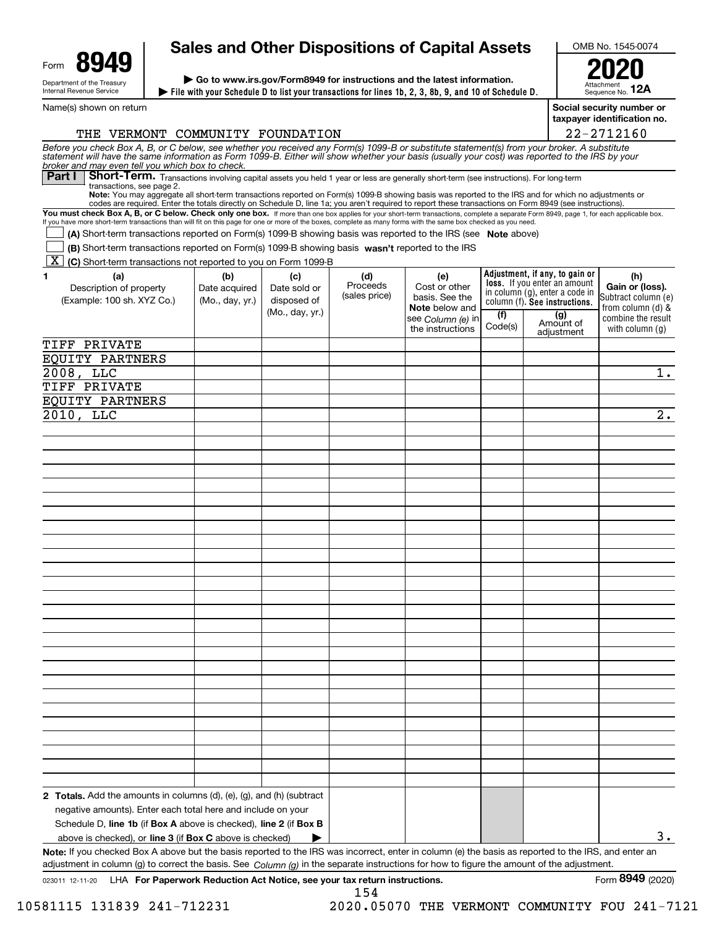| Form                                                   | uл |  |  |  |  |  |
|--------------------------------------------------------|----|--|--|--|--|--|
| Department of the Treasury<br>Internal Revenue Service |    |  |  |  |  |  |

# **Sales and Other Dispositions of Capital Assets**

**File with your Schedule D to list your transactions for lines 1b, 2, 3, 8b, 9, and 10 of Schedule D. | | Go to www.irs.gov/Form8949 for instructions and the latest information.**

OMB No. 1545-0074

Attachment Sequence No. **12A2020**

Name(s) shown on return

**Social security number or taxpayer identification no.**

| THE VERMONT COMMUNITY FOUNDATION                                                                                                                                                                                                                                                                                                                   |                 |                 |               |                                            |         |                                                                | 22-2712160                               |
|----------------------------------------------------------------------------------------------------------------------------------------------------------------------------------------------------------------------------------------------------------------------------------------------------------------------------------------------------|-----------------|-----------------|---------------|--------------------------------------------|---------|----------------------------------------------------------------|------------------------------------------|
| Before you check Box A, B, or C below, see whether you received any Form(s) 1099-B or substitute statement(s) from your broker. A substitute<br>statement will have the same information as Form 1099-B. Either will show whether                                                                                                                  |                 |                 |               |                                            |         |                                                                |                                          |
| broker and may even tell you which box to check.<br>Short-Term. Transactions involving capital assets you held 1 year or less are generally short-term (see instructions). For long-term<br>Part I                                                                                                                                                 |                 |                 |               |                                            |         |                                                                |                                          |
| transactions, see page 2.<br>Note: You may aggregate all short-term transactions reported on Form(s) 1099-B showing basis was reported to the IRS and for which no adjustments or                                                                                                                                                                  |                 |                 |               |                                            |         |                                                                |                                          |
| codes are required. Enter the totals directly on Schedule D, line 1a; you aren't required to report these transactions on Form 8949 (see instructions).<br>You must check Box A, B, or C below. Check only one box. If more than one box applies for your short-term transactions, complete a separate Form 8949, page 1, for each applicable box. |                 |                 |               |                                            |         |                                                                |                                          |
| If you have more short-term transactions than will fit on this page for one or more of the boxes, complete as many forms with the same box checked as you need.<br>(A) Short-term transactions reported on Form(s) 1099-B showing basis was reported to the IRS (see Note above)                                                                   |                 |                 |               |                                            |         |                                                                |                                          |
| (B) Short-term transactions reported on Form(s) 1099-B showing basis wasn't reported to the IRS                                                                                                                                                                                                                                                    |                 |                 |               |                                            |         |                                                                |                                          |
| [X] (C) Short-term transactions not reported to you on Form 1099-B                                                                                                                                                                                                                                                                                 |                 |                 |               |                                            |         |                                                                |                                          |
| (a)<br>1.                                                                                                                                                                                                                                                                                                                                          | (b)             | (c)             | (d)           | (e)                                        |         | Adjustment, if any, to gain or                                 | (h)                                      |
| Description of property                                                                                                                                                                                                                                                                                                                            | Date acquired   | Date sold or    | Proceeds      | Cost or other                              |         | loss. If you enter an amount<br>in column (g), enter a code in | Gain or (loss).                          |
| (Example: 100 sh. XYZ Co.)                                                                                                                                                                                                                                                                                                                         | (Mo., day, yr.) | disposed of     | (sales price) | basis. See the                             |         | column (f). See instructions.                                  | Subtract column (e)<br>from column (d) & |
|                                                                                                                                                                                                                                                                                                                                                    |                 | (Mo., day, yr.) |               | <b>Note</b> below and<br>see Column (e) in | (f)     | (g)<br>Amount of                                               | combine the result                       |
|                                                                                                                                                                                                                                                                                                                                                    |                 |                 |               | the instructions                           | Code(s) | adjustment                                                     | with column $(q)$                        |
| TIFF PRIVATE                                                                                                                                                                                                                                                                                                                                       |                 |                 |               |                                            |         |                                                                |                                          |
| EQUITY PARTNERS                                                                                                                                                                                                                                                                                                                                    |                 |                 |               |                                            |         |                                                                |                                          |
| $2008, \overline{LLC}$                                                                                                                                                                                                                                                                                                                             |                 |                 |               |                                            |         |                                                                | $\overline{1}$ .                         |
| TIFF PRIVATE                                                                                                                                                                                                                                                                                                                                       |                 |                 |               |                                            |         |                                                                |                                          |
| EQUITY PARTNERS                                                                                                                                                                                                                                                                                                                                    |                 |                 |               |                                            |         |                                                                |                                          |
| 2010, LLC                                                                                                                                                                                                                                                                                                                                          |                 |                 |               |                                            |         |                                                                | $\overline{2}$ .                         |
|                                                                                                                                                                                                                                                                                                                                                    |                 |                 |               |                                            |         |                                                                |                                          |
|                                                                                                                                                                                                                                                                                                                                                    |                 |                 |               |                                            |         |                                                                |                                          |
|                                                                                                                                                                                                                                                                                                                                                    |                 |                 |               |                                            |         |                                                                |                                          |
|                                                                                                                                                                                                                                                                                                                                                    |                 |                 |               |                                            |         |                                                                |                                          |
|                                                                                                                                                                                                                                                                                                                                                    |                 |                 |               |                                            |         |                                                                |                                          |
|                                                                                                                                                                                                                                                                                                                                                    |                 |                 |               |                                            |         |                                                                |                                          |
|                                                                                                                                                                                                                                                                                                                                                    |                 |                 |               |                                            |         |                                                                |                                          |
|                                                                                                                                                                                                                                                                                                                                                    |                 |                 |               |                                            |         |                                                                |                                          |
|                                                                                                                                                                                                                                                                                                                                                    |                 |                 |               |                                            |         |                                                                |                                          |
|                                                                                                                                                                                                                                                                                                                                                    |                 |                 |               |                                            |         |                                                                |                                          |
|                                                                                                                                                                                                                                                                                                                                                    |                 |                 |               |                                            |         |                                                                |                                          |
|                                                                                                                                                                                                                                                                                                                                                    |                 |                 |               |                                            |         |                                                                |                                          |
|                                                                                                                                                                                                                                                                                                                                                    |                 |                 |               |                                            |         |                                                                |                                          |
|                                                                                                                                                                                                                                                                                                                                                    |                 |                 |               |                                            |         |                                                                |                                          |
|                                                                                                                                                                                                                                                                                                                                                    |                 |                 |               |                                            |         |                                                                |                                          |
|                                                                                                                                                                                                                                                                                                                                                    |                 |                 |               |                                            |         |                                                                |                                          |
|                                                                                                                                                                                                                                                                                                                                                    |                 |                 |               |                                            |         |                                                                |                                          |
|                                                                                                                                                                                                                                                                                                                                                    |                 |                 |               |                                            |         |                                                                |                                          |
|                                                                                                                                                                                                                                                                                                                                                    |                 |                 |               |                                            |         |                                                                |                                          |
|                                                                                                                                                                                                                                                                                                                                                    |                 |                 |               |                                            |         |                                                                |                                          |
|                                                                                                                                                                                                                                                                                                                                                    |                 |                 |               |                                            |         |                                                                |                                          |
|                                                                                                                                                                                                                                                                                                                                                    |                 |                 |               |                                            |         |                                                                |                                          |
|                                                                                                                                                                                                                                                                                                                                                    |                 |                 |               |                                            |         |                                                                |                                          |
|                                                                                                                                                                                                                                                                                                                                                    |                 |                 |               |                                            |         |                                                                |                                          |
|                                                                                                                                                                                                                                                                                                                                                    |                 |                 |               |                                            |         |                                                                |                                          |
| <b>2 Totals.</b> Add the amounts in columns $(d)$ , $(e)$ , $(g)$ , and $(h)$ (subtract                                                                                                                                                                                                                                                            |                 |                 |               |                                            |         |                                                                |                                          |
| negative amounts). Enter each total here and include on your                                                                                                                                                                                                                                                                                       |                 |                 |               |                                            |         |                                                                |                                          |
| Schedule D, line 1b (if Box A above is checked), line 2 (if Box B                                                                                                                                                                                                                                                                                  |                 |                 |               |                                            |         |                                                                |                                          |
| above is checked), or <b>line 3</b> (if <b>Box C</b> above is checked)                                                                                                                                                                                                                                                                             |                 |                 |               |                                            |         |                                                                | з.                                       |
| Note: If you checked Box A above but the basis reported to the IRS was incorrect, enter in column (e) the basis as reported to the IRS, and enter an<br>adjustment in column (g) to correct the basis. See $Column(q)$ in the separate instructions for how to figure the amount of the adjustment.                                                |                 |                 |               |                                            |         |                                                                |                                          |

154

10581115 131839 241-712231 2020.05070 THE VERMONT COMMUNITY FOU 241-7121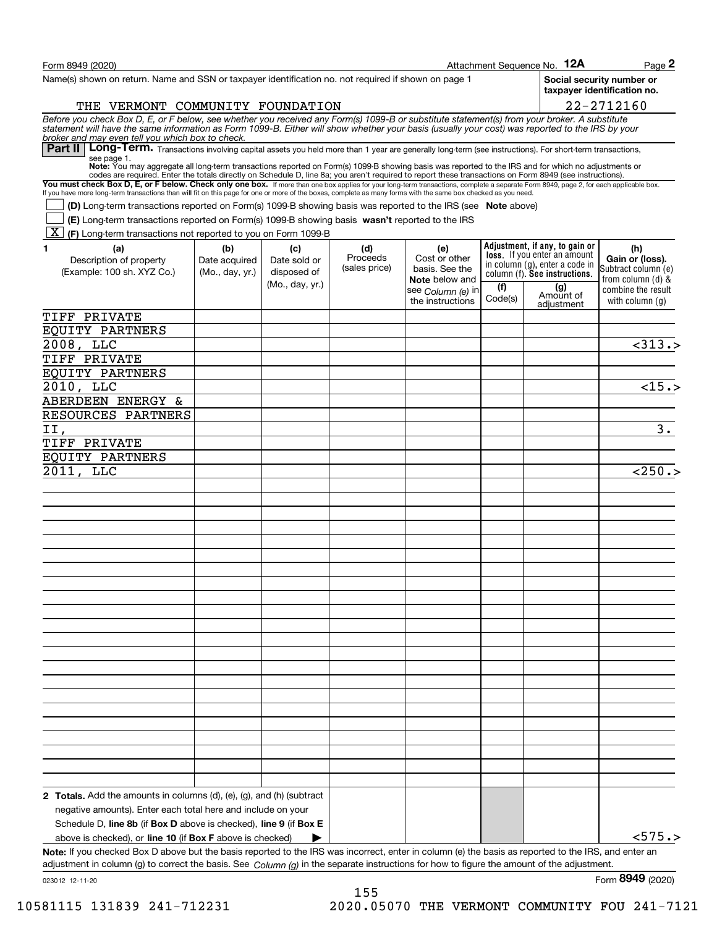| Form 8949 (2020)                                                                                                                                                                                                                                                                                                                                  |                 |                 |                           |                                  |         | Attachment Sequence No. 12A                                           | Page 2                                                   |
|---------------------------------------------------------------------------------------------------------------------------------------------------------------------------------------------------------------------------------------------------------------------------------------------------------------------------------------------------|-----------------|-----------------|---------------------------|----------------------------------|---------|-----------------------------------------------------------------------|----------------------------------------------------------|
| Name(s) shown on return. Name and SSN or taxpayer identification no. not required if shown on page 1                                                                                                                                                                                                                                              |                 |                 |                           |                                  |         |                                                                       | Social security number or<br>taxpayer identification no. |
| THE VERMONT COMMUNITY FOUNDATION                                                                                                                                                                                                                                                                                                                  |                 |                 |                           |                                  |         |                                                                       | 22-2712160                                               |
| Before you check Box D, E, or F below, see whether you received any Form(s) 1099-B or substitute statement(s) from your broker. A substitute statement will have the same information as Form 1099-B. Either will show whether                                                                                                                    |                 |                 |                           |                                  |         |                                                                       |                                                          |
| broker and may even tell you which box to check.<br>Long-Term. Transactions involving capital assets you held more than 1 year are generally long-term (see instructions). For short-term transactions,<br>Part II                                                                                                                                |                 |                 |                           |                                  |         |                                                                       |                                                          |
| see page 1.<br>Note: You may aggregate all long-term transactions reported on Form(s) 1099-B showing basis was reported to the IRS and for which no adjustments or                                                                                                                                                                                |                 |                 |                           |                                  |         |                                                                       |                                                          |
| codes are required. Enter the totals directly on Schedule D, line 8a; you aren't required to report these transactions on Form 8949 (see instructions).<br>You must check Box D, E, or F below. Check only one box. If more than one box applies for your long-term transactions, complete a separate Form 8949, page 2, for each applicable box. |                 |                 |                           |                                  |         |                                                                       |                                                          |
| If you have more long-term transactions than will fit on this page for one or more of the boxes, complete as many forms with the same box checked as you need.                                                                                                                                                                                    |                 |                 |                           |                                  |         |                                                                       |                                                          |
| (D) Long-term transactions reported on Form(s) 1099-B showing basis was reported to the IRS (see Note above)                                                                                                                                                                                                                                      |                 |                 |                           |                                  |         |                                                                       |                                                          |
| (E) Long-term transactions reported on Form(s) 1099-B showing basis wasn't reported to the IRS<br>[X F] Long-term transactions not reported to you on Form 1099-B                                                                                                                                                                                 |                 |                 |                           |                                  |         |                                                                       |                                                          |
| (a)<br>1.                                                                                                                                                                                                                                                                                                                                         | (b)             | (c)             | (d)                       | (e)                              |         | Adjustment, if any, to gain or                                        | (h)                                                      |
| Description of property                                                                                                                                                                                                                                                                                                                           | Date acquired   | Date sold or    | Proceeds<br>(sales price) | Cost or other                    |         | <b>loss.</b> If you enter an amount<br>in column (g), enter a code in | Gain or (loss).                                          |
| (Example: 100 sh. XYZ Co.)                                                                                                                                                                                                                                                                                                                        | (Mo., day, yr.) | disposed of     |                           | basis. See the<br>Note below and |         | column (f). See instructions.                                         | Subtract column (e)<br>from column $(d)$ &               |
|                                                                                                                                                                                                                                                                                                                                                   |                 | (Mo., day, yr.) |                           | see <i>Column (</i> e) in        | (1)     | (g)<br>Amount of                                                      | combine the result                                       |
|                                                                                                                                                                                                                                                                                                                                                   |                 |                 |                           | the instructions                 | Code(s) | adiustment                                                            | with column $(g)$                                        |
| TIFF PRIVATE                                                                                                                                                                                                                                                                                                                                      |                 |                 |                           |                                  |         |                                                                       |                                                          |
| EQUITY PARTNERS                                                                                                                                                                                                                                                                                                                                   |                 |                 |                           |                                  |         |                                                                       |                                                          |
| $2008$ , LLC                                                                                                                                                                                                                                                                                                                                      |                 |                 |                           |                                  |         |                                                                       | $\overline{313.5}$                                       |
| TIFF PRIVATE                                                                                                                                                                                                                                                                                                                                      |                 |                 |                           |                                  |         |                                                                       |                                                          |
| EQUITY PARTNERS                                                                                                                                                                                                                                                                                                                                   |                 |                 |                           |                                  |         |                                                                       |                                                          |
| $2010$ , LLC                                                                                                                                                                                                                                                                                                                                      |                 |                 |                           |                                  |         |                                                                       | $\overline{<}15.$                                        |
| ABERDEEN ENERGY &                                                                                                                                                                                                                                                                                                                                 |                 |                 |                           |                                  |         |                                                                       |                                                          |
| RESOURCES PARTNERS                                                                                                                                                                                                                                                                                                                                |                 |                 |                           |                                  |         |                                                                       |                                                          |
| II,                                                                                                                                                                                                                                                                                                                                               |                 |                 |                           |                                  |         |                                                                       | $\overline{\mathbf{3}}$ .                                |
| TIFF PRIVATE                                                                                                                                                                                                                                                                                                                                      |                 |                 |                           |                                  |         |                                                                       |                                                          |
| EQUITY PARTNERS                                                                                                                                                                                                                                                                                                                                   |                 |                 |                           |                                  |         |                                                                       |                                                          |
| 2011, LLC                                                                                                                                                                                                                                                                                                                                         |                 |                 |                           |                                  |         |                                                                       | < 250.                                                   |
|                                                                                                                                                                                                                                                                                                                                                   |                 |                 |                           |                                  |         |                                                                       |                                                          |
|                                                                                                                                                                                                                                                                                                                                                   |                 |                 |                           |                                  |         |                                                                       |                                                          |
|                                                                                                                                                                                                                                                                                                                                                   |                 |                 |                           |                                  |         |                                                                       |                                                          |
|                                                                                                                                                                                                                                                                                                                                                   |                 |                 |                           |                                  |         |                                                                       |                                                          |
|                                                                                                                                                                                                                                                                                                                                                   |                 |                 |                           |                                  |         |                                                                       |                                                          |
|                                                                                                                                                                                                                                                                                                                                                   |                 |                 |                           |                                  |         |                                                                       |                                                          |
|                                                                                                                                                                                                                                                                                                                                                   |                 |                 |                           |                                  |         |                                                                       |                                                          |
|                                                                                                                                                                                                                                                                                                                                                   |                 |                 |                           |                                  |         |                                                                       |                                                          |
|                                                                                                                                                                                                                                                                                                                                                   |                 |                 |                           |                                  |         |                                                                       |                                                          |
|                                                                                                                                                                                                                                                                                                                                                   |                 |                 |                           |                                  |         |                                                                       |                                                          |
|                                                                                                                                                                                                                                                                                                                                                   |                 |                 |                           |                                  |         |                                                                       |                                                          |
|                                                                                                                                                                                                                                                                                                                                                   |                 |                 |                           |                                  |         |                                                                       |                                                          |
|                                                                                                                                                                                                                                                                                                                                                   |                 |                 |                           |                                  |         |                                                                       |                                                          |
|                                                                                                                                                                                                                                                                                                                                                   |                 |                 |                           |                                  |         |                                                                       |                                                          |
|                                                                                                                                                                                                                                                                                                                                                   |                 |                 |                           |                                  |         |                                                                       |                                                          |
|                                                                                                                                                                                                                                                                                                                                                   |                 |                 |                           |                                  |         |                                                                       |                                                          |
|                                                                                                                                                                                                                                                                                                                                                   |                 |                 |                           |                                  |         |                                                                       |                                                          |
|                                                                                                                                                                                                                                                                                                                                                   |                 |                 |                           |                                  |         |                                                                       |                                                          |
|                                                                                                                                                                                                                                                                                                                                                   |                 |                 |                           |                                  |         |                                                                       |                                                          |
|                                                                                                                                                                                                                                                                                                                                                   |                 |                 |                           |                                  |         |                                                                       |                                                          |
|                                                                                                                                                                                                                                                                                                                                                   |                 |                 |                           |                                  |         |                                                                       |                                                          |
|                                                                                                                                                                                                                                                                                                                                                   |                 |                 |                           |                                  |         |                                                                       |                                                          |
| <b>2 Totals.</b> Add the amounts in columns $(d)$ , $(e)$ , $(g)$ , and $(h)$ (subtract                                                                                                                                                                                                                                                           |                 |                 |                           |                                  |         |                                                                       |                                                          |
| negative amounts). Enter each total here and include on your                                                                                                                                                                                                                                                                                      |                 |                 |                           |                                  |         |                                                                       |                                                          |
| Schedule D, line 8b (if Box D above is checked), line 9 (if Box E                                                                                                                                                                                                                                                                                 |                 |                 |                           |                                  |         |                                                                       | < 575.                                                   |
| above is checked), or line 10 (if Box F above is checked)                                                                                                                                                                                                                                                                                         |                 |                 |                           |                                  |         |                                                                       |                                                          |
| Note: If you checked Box D above but the basis reported to the IRS was incorrect, enter in column (e) the basis as reported to the IRS, and enter an<br>adjustment in column (g) to correct the basis. See Column (g) in the separate instructions for how to figure the amount of the adjustment.                                                |                 |                 |                           |                                  |         |                                                                       |                                                          |

023012 12-11-20

Form (2020) **8949**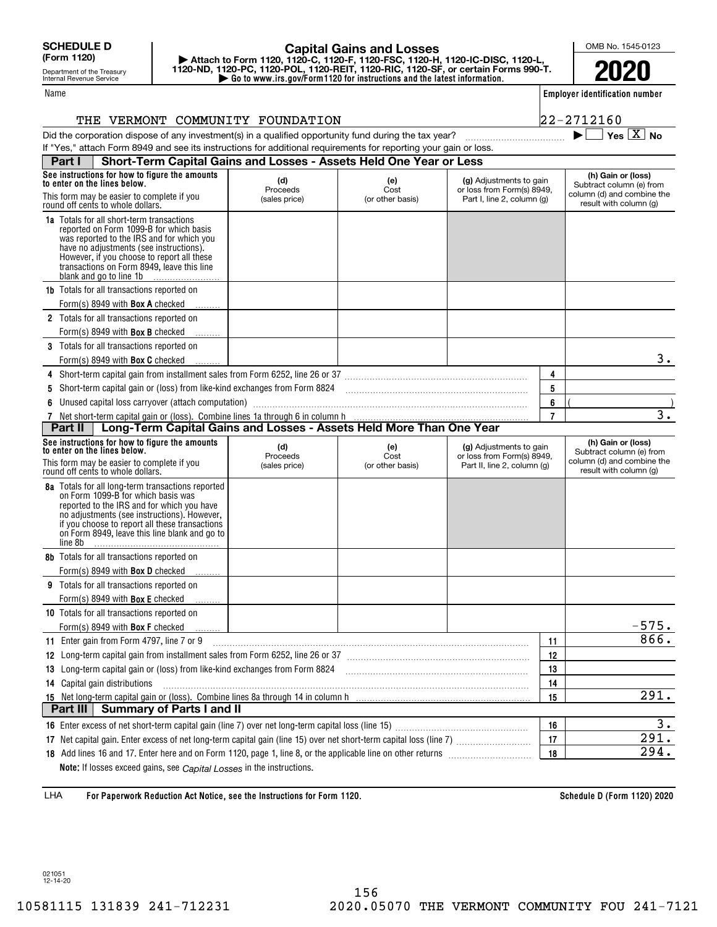Department of the Treasury Internal Revenue Service

## **| Go to www.irs.gov/Form1120 for instructions and the latest information. | Attach to Form 1120, 1120-C, 1120-F, 1120-FSC, 1120-H, 1120-IC-DISC, 1120-L, 1120-ND, 1120-PC, 1120-POL, 1120-REIT, 1120-RIC, 1120-SF, or certain Forms 990-T. Capital Gains and Losses**

Name

 $\blacktriangleright$   $\Box$  Yes  $\boxed{X}$  No

OMB No. 1545-0123

**2020**

**Employer identification number**

#### THE VERMONT COMMUNITY FOUNDATION **22-2712160**

Did the corporation dispose of any investment(s) in a qualified opportunity fund during the tax year?  $\Box$   $\Box$ If "Yes," attach Form 8949 and see its instructions for additional requirements for reporting your gain or loss.

| Part I                                                                         | Short-Term Capital Gains and Losses - Assets Held One Year or Less                                                                                                                                                                                                                                         |                                  |                                 |                                                                                      |                                                |                                                                                                        |
|--------------------------------------------------------------------------------|------------------------------------------------------------------------------------------------------------------------------------------------------------------------------------------------------------------------------------------------------------------------------------------------------------|----------------------------------|---------------------------------|--------------------------------------------------------------------------------------|------------------------------------------------|--------------------------------------------------------------------------------------------------------|
| See instructions for how to figure the amounts<br>to enter on the lines below. |                                                                                                                                                                                                                                                                                                            | (d)<br>(e)<br>Proceeds<br>Cost   |                                 | (g) Adjustments to gain<br>or loss from Form(s) 8949.                                | (h) Gain or (loss)<br>Subtract column (e) from |                                                                                                        |
|                                                                                | This form may be easier to complete if you<br>round off cents to whole dollars.                                                                                                                                                                                                                            | (sales price)                    | (or other basis)                | Part I, line 2, column (g)                                                           |                                                | column (d) and combine the<br>result with column (g)                                                   |
|                                                                                | <b>1a</b> Totals for all short-term transactions<br>reported on Form 1099-B for which basis<br>was reported to the IRS and for which you<br>have no adjustments (see instructions).<br>However, if you choose to report all these<br>transactions on Form 8949, leave this line<br>blank and go to line 1b |                                  |                                 |                                                                                      |                                                |                                                                                                        |
|                                                                                | <b>1b</b> Totals for all transactions reported on                                                                                                                                                                                                                                                          |                                  |                                 |                                                                                      |                                                |                                                                                                        |
|                                                                                | Form(s) 8949 with <b>Box A</b> checked                                                                                                                                                                                                                                                                     |                                  |                                 |                                                                                      |                                                |                                                                                                        |
|                                                                                | 2 Totals for all transactions reported on                                                                                                                                                                                                                                                                  |                                  |                                 |                                                                                      |                                                |                                                                                                        |
|                                                                                | Form(s) 8949 with <b>Box B</b> checked                                                                                                                                                                                                                                                                     |                                  |                                 |                                                                                      |                                                |                                                                                                        |
|                                                                                | 3 Totals for all transactions reported on                                                                                                                                                                                                                                                                  |                                  |                                 |                                                                                      |                                                |                                                                                                        |
|                                                                                | Form(s) 8949 with <b>Box C</b> checked                                                                                                                                                                                                                                                                     |                                  |                                 |                                                                                      |                                                | $3 \cdot$                                                                                              |
|                                                                                | 4 Short-term capital gain from installment sales from Form 6252, line 26 or 37 [11] [12] Chang Manuscoff Capital Contract Manuscoff Short Premium Short Premium Manuscoff Short Premium Manuscoff Short Premium Manuscoff Shor                                                                             |                                  |                                 |                                                                                      | 4                                              |                                                                                                        |
| 5                                                                              |                                                                                                                                                                                                                                                                                                            |                                  |                                 |                                                                                      | 5                                              |                                                                                                        |
|                                                                                | Unused capital loss carryover (attach computation)                                                                                                                                                                                                                                                         |                                  |                                 |                                                                                      | 6                                              | $\overline{3}$ .                                                                                       |
|                                                                                | 7 Net short-term capital gain or (loss). Combine lines 1a through 6 in column h<br><b>Part II</b>   Long-Term Capital Gains and Losses - Assets Held More Than One Year                                                                                                                                    |                                  |                                 |                                                                                      | $\overline{7}$                                 |                                                                                                        |
|                                                                                | See instructions for how to figure the amounts                                                                                                                                                                                                                                                             |                                  |                                 |                                                                                      |                                                |                                                                                                        |
|                                                                                | to enter on the lines below.<br>This form may be easier to complete if you<br>round off cents to whole dollars.                                                                                                                                                                                            | (d)<br>Proceeds<br>(sales price) | (e)<br>Cost<br>(or other basis) | (g) Adjustments to gain<br>or loss from Form(s) 8949,<br>Part II, line 2, column (g) |                                                | (h) Gain or (loss)<br>Subtract column (e) from<br>column (d) and combine the<br>result with column (g) |
|                                                                                |                                                                                                                                                                                                                                                                                                            |                                  |                                 |                                                                                      |                                                |                                                                                                        |
| line 8b                                                                        | 8a Totals for all long-term transactions reported<br>on Form 1099-B for which basis was<br>reported to the IRS and for which you have<br>no adjustments (see instructions). However,<br>if you choose to report all these transactions<br>on Form 8949, leave this line blank and go to                    |                                  |                                 |                                                                                      |                                                |                                                                                                        |
|                                                                                | <b>8b</b> Totals for all transactions reported on                                                                                                                                                                                                                                                          |                                  |                                 |                                                                                      |                                                |                                                                                                        |
|                                                                                | Form(s) 8949 with <b>Box D</b> checked                                                                                                                                                                                                                                                                     |                                  |                                 |                                                                                      |                                                |                                                                                                        |
|                                                                                | 9 Totals for all transactions reported on                                                                                                                                                                                                                                                                  |                                  |                                 |                                                                                      |                                                |                                                                                                        |
|                                                                                | Form(s) 8949 with <b>Box E</b> checked                                                                                                                                                                                                                                                                     |                                  |                                 |                                                                                      |                                                |                                                                                                        |
|                                                                                | 10 Totals for all transactions reported on                                                                                                                                                                                                                                                                 |                                  |                                 |                                                                                      |                                                |                                                                                                        |
|                                                                                | Form(s) 8949 with <b>Box F</b> checked                                                                                                                                                                                                                                                                     |                                  |                                 |                                                                                      |                                                | $-575.$                                                                                                |
|                                                                                | 11 Enter gain from Form 4797, line 7 or 9                                                                                                                                                                                                                                                                  |                                  |                                 |                                                                                      | 11                                             | 866.                                                                                                   |
|                                                                                | 12 Long-term capital gain from installment sales from Form 6252, line 26 or 37 [11] [12] Long-term capital gain from installment sales from Form 6252, line 26 or 37                                                                                                                                       |                                  |                                 |                                                                                      | 12                                             |                                                                                                        |
|                                                                                | 13 Long-term capital gain or (loss) from like-kind exchanges from Form 8824                                                                                                                                                                                                                                |                                  |                                 |                                                                                      | 13                                             |                                                                                                        |
|                                                                                | 14 Capital gain distributions                                                                                                                                                                                                                                                                              |                                  |                                 |                                                                                      | 14                                             |                                                                                                        |
|                                                                                |                                                                                                                                                                                                                                                                                                            |                                  |                                 |                                                                                      | 15                                             | $\overline{291}$ .                                                                                     |
| Part III I                                                                     | <b>Summary of Parts I and II</b>                                                                                                                                                                                                                                                                           |                                  |                                 |                                                                                      |                                                |                                                                                                        |
|                                                                                |                                                                                                                                                                                                                                                                                                            |                                  |                                 |                                                                                      | 16                                             | 3.                                                                                                     |
|                                                                                |                                                                                                                                                                                                                                                                                                            |                                  |                                 |                                                                                      | 17                                             | $\overline{291}$ .                                                                                     |
|                                                                                | Note: If losses exceed gains, see Capital Losses in the instructions.                                                                                                                                                                                                                                      |                                  |                                 |                                                                                      | 18                                             | 294.                                                                                                   |

**For Paperwork Reduction Act Notice, see the Instructions for Form 1120. Schedule D (Form 1120) 2020** LHA

021051 12-14-20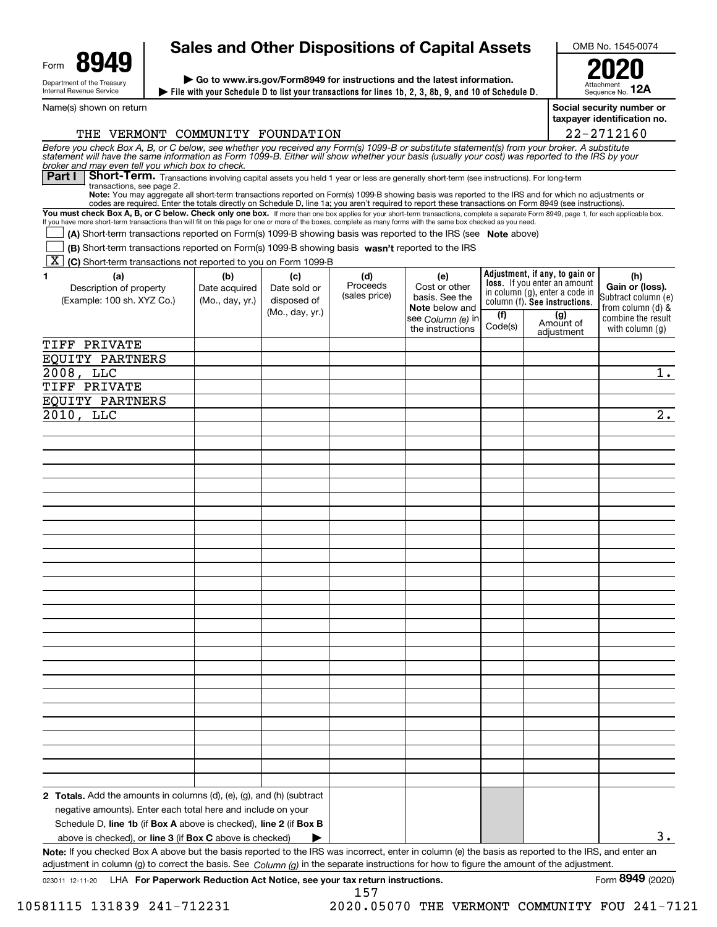| Form                                                   | uл |  |  |  |  |  |
|--------------------------------------------------------|----|--|--|--|--|--|
| Department of the Treasury<br>Internal Revenue Service |    |  |  |  |  |  |

# **Sales and Other Dispositions of Capital Assets**

**File with your Schedule D to list your transactions for lines 1b, 2, 3, 8b, 9, and 10 of Schedule D. | | Go to www.irs.gov/Form8949 for instructions and the latest information.**

OMB No. 1545-0074

Attachment Sequence No. **12A2020**

Name(s) shown on return

**Social security number or taxpayer identification no.**

| THE VERMONT COMMUNITY FOUNDATION                                                                                                                                                                                                                                                                                                                   |                 |                 |               |                                            |         |                                                                 | 22-2712160                              |
|----------------------------------------------------------------------------------------------------------------------------------------------------------------------------------------------------------------------------------------------------------------------------------------------------------------------------------------------------|-----------------|-----------------|---------------|--------------------------------------------|---------|-----------------------------------------------------------------|-----------------------------------------|
| Before you check Box A, B, or C below, see whether you received any Form(s) 1099-B or substitute statement(s) from your broker. A substitute<br>statement will have the same information as Form 1099-B. Either will show whether                                                                                                                  |                 |                 |               |                                            |         |                                                                 |                                         |
| broker and may even tell you which box to check.<br>Short-Term. Transactions involving capital assets you held 1 year or less are generally short-term (see instructions). For long-term<br>Part I                                                                                                                                                 |                 |                 |               |                                            |         |                                                                 |                                         |
| transactions, see page 2.<br>Note: You may aggregate all short-term transactions reported on Form(s) 1099-B showing basis was reported to the IRS and for which no adjustments or                                                                                                                                                                  |                 |                 |               |                                            |         |                                                                 |                                         |
| codes are required. Enter the totals directly on Schedule D, line 1a; you aren't required to report these transactions on Form 8949 (see instructions).<br>You must check Box A, B, or C below. Check only one box. If more than one box applies for your short-term transactions, complete a separate Form 8949, page 1, for each applicable box. |                 |                 |               |                                            |         |                                                                 |                                         |
| If you have more short-term transactions than will fit on this page for one or more of the boxes, complete as many forms with the same box checked as you need.                                                                                                                                                                                    |                 |                 |               |                                            |         |                                                                 |                                         |
| (A) Short-term transactions reported on Form(s) 1099-B showing basis was reported to the IRS (see Note above)<br>(B) Short-term transactions reported on Form(s) 1099-B showing basis wasn't reported to the IRS                                                                                                                                   |                 |                 |               |                                            |         |                                                                 |                                         |
| [X] (C) Short-term transactions not reported to you on Form 1099-B                                                                                                                                                                                                                                                                                 |                 |                 |               |                                            |         |                                                                 |                                         |
| (a)<br>1                                                                                                                                                                                                                                                                                                                                           | (b)             | (c)             | (d)           | (e)                                        |         | Adjustment, if any, to gain or                                  | (h)                                     |
| Description of property                                                                                                                                                                                                                                                                                                                            | Date acquired   | Date sold or    | Proceeds      | Cost or other                              |         | loss. If you enter an amount                                    | Gain or (loss).                         |
| (Example: 100 sh. XYZ Co.)                                                                                                                                                                                                                                                                                                                         | (Mo., day, yr.) | disposed of     | (sales price) | basis. See the                             |         | in column (g), enter a code in<br>column (f). See instructions. | Subtract column (e)                     |
|                                                                                                                                                                                                                                                                                                                                                    |                 | (Mo., day, yr.) |               | <b>Note</b> below and<br>see Column (e) in | (1)     | (g)                                                             | from column (d) &<br>combine the result |
|                                                                                                                                                                                                                                                                                                                                                    |                 |                 |               | the instructions                           | Code(s) | Amount of<br>adjustment                                         | with column $(q)$                       |
| TIFF PRIVATE                                                                                                                                                                                                                                                                                                                                       |                 |                 |               |                                            |         |                                                                 |                                         |
| <b>EQUITY PARTNERS</b>                                                                                                                                                                                                                                                                                                                             |                 |                 |               |                                            |         |                                                                 |                                         |
| $2008$ , LLC                                                                                                                                                                                                                                                                                                                                       |                 |                 |               |                                            |         |                                                                 | $1$ .                                   |
| TIFF PRIVATE                                                                                                                                                                                                                                                                                                                                       |                 |                 |               |                                            |         |                                                                 |                                         |
| EQUITY PARTNERS                                                                                                                                                                                                                                                                                                                                    |                 |                 |               |                                            |         |                                                                 |                                         |
| 2010, LLC                                                                                                                                                                                                                                                                                                                                          |                 |                 |               |                                            |         |                                                                 | $\overline{2}$ .                        |
|                                                                                                                                                                                                                                                                                                                                                    |                 |                 |               |                                            |         |                                                                 |                                         |
|                                                                                                                                                                                                                                                                                                                                                    |                 |                 |               |                                            |         |                                                                 |                                         |
|                                                                                                                                                                                                                                                                                                                                                    |                 |                 |               |                                            |         |                                                                 |                                         |
|                                                                                                                                                                                                                                                                                                                                                    |                 |                 |               |                                            |         |                                                                 |                                         |
|                                                                                                                                                                                                                                                                                                                                                    |                 |                 |               |                                            |         |                                                                 |                                         |
|                                                                                                                                                                                                                                                                                                                                                    |                 |                 |               |                                            |         |                                                                 |                                         |
|                                                                                                                                                                                                                                                                                                                                                    |                 |                 |               |                                            |         |                                                                 |                                         |
|                                                                                                                                                                                                                                                                                                                                                    |                 |                 |               |                                            |         |                                                                 |                                         |
|                                                                                                                                                                                                                                                                                                                                                    |                 |                 |               |                                            |         |                                                                 |                                         |
|                                                                                                                                                                                                                                                                                                                                                    |                 |                 |               |                                            |         |                                                                 |                                         |
|                                                                                                                                                                                                                                                                                                                                                    |                 |                 |               |                                            |         |                                                                 |                                         |
|                                                                                                                                                                                                                                                                                                                                                    |                 |                 |               |                                            |         |                                                                 |                                         |
|                                                                                                                                                                                                                                                                                                                                                    |                 |                 |               |                                            |         |                                                                 |                                         |
|                                                                                                                                                                                                                                                                                                                                                    |                 |                 |               |                                            |         |                                                                 |                                         |
|                                                                                                                                                                                                                                                                                                                                                    |                 |                 |               |                                            |         |                                                                 |                                         |
|                                                                                                                                                                                                                                                                                                                                                    |                 |                 |               |                                            |         |                                                                 |                                         |
|                                                                                                                                                                                                                                                                                                                                                    |                 |                 |               |                                            |         |                                                                 |                                         |
|                                                                                                                                                                                                                                                                                                                                                    |                 |                 |               |                                            |         |                                                                 |                                         |
|                                                                                                                                                                                                                                                                                                                                                    |                 |                 |               |                                            |         |                                                                 |                                         |
|                                                                                                                                                                                                                                                                                                                                                    |                 |                 |               |                                            |         |                                                                 |                                         |
|                                                                                                                                                                                                                                                                                                                                                    |                 |                 |               |                                            |         |                                                                 |                                         |
|                                                                                                                                                                                                                                                                                                                                                    |                 |                 |               |                                            |         |                                                                 |                                         |
|                                                                                                                                                                                                                                                                                                                                                    |                 |                 |               |                                            |         |                                                                 |                                         |
|                                                                                                                                                                                                                                                                                                                                                    |                 |                 |               |                                            |         |                                                                 |                                         |
|                                                                                                                                                                                                                                                                                                                                                    |                 |                 |               |                                            |         |                                                                 |                                         |
| <b>2 Totals.</b> Add the amounts in columns $(d)$ , $(e)$ , $(g)$ , and $(h)$ (subtract                                                                                                                                                                                                                                                            |                 |                 |               |                                            |         |                                                                 |                                         |
| negative amounts). Enter each total here and include on your                                                                                                                                                                                                                                                                                       |                 |                 |               |                                            |         |                                                                 |                                         |
| Schedule D, line 1b (if Box A above is checked), line 2 (if Box B                                                                                                                                                                                                                                                                                  |                 |                 |               |                                            |         |                                                                 |                                         |
| above is checked), or <b>line 3</b> (if <b>Box C</b> above is checked)                                                                                                                                                                                                                                                                             |                 |                 |               |                                            |         |                                                                 | 3.                                      |
| Note: If you checked Box A above but the basis reported to the IRS was incorrect, enter in column (e) the basis as reported to the IRS, and enter an<br>adjustment in column (g) to correct the basis. See $Column(q)$ in the separate instructions for how to figure the amount of the adjustment.                                                |                 |                 |               |                                            |         |                                                                 |                                         |

**8949**

157

10581115 131839 241-712231 2020.05070 THE VERMONT COMMUNITY FOU 241-7121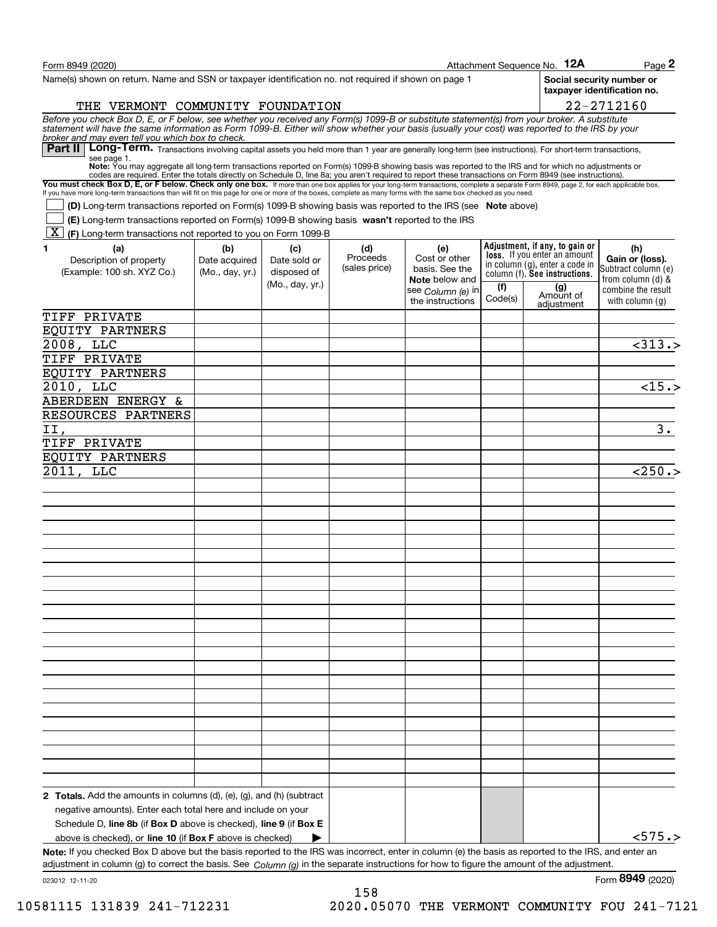| Form 8949 (2020)                                                                                                                                                                                                                                                                                                                                  |                 |                 |               |                                                    |         | Attachment Sequence No. 12A                                           | Page 2                                                   |
|---------------------------------------------------------------------------------------------------------------------------------------------------------------------------------------------------------------------------------------------------------------------------------------------------------------------------------------------------|-----------------|-----------------|---------------|----------------------------------------------------|---------|-----------------------------------------------------------------------|----------------------------------------------------------|
| Name(s) shown on return. Name and SSN or taxpayer identification no. not required if shown on page 1                                                                                                                                                                                                                                              |                 |                 |               |                                                    |         |                                                                       | Social security number or<br>taxpaver identification no. |
| THE VERMONT COMMUNITY FOUNDATION                                                                                                                                                                                                                                                                                                                  |                 |                 |               |                                                    |         |                                                                       | 22-2712160                                               |
| Before you check Box D, E, or F below, see whether you received any Form(s) 1099-B or substitute statement(s) from your broker. A substitute<br>statement will have the same information as Form 1099-B. Either will show whether                                                                                                                 |                 |                 |               |                                                    |         |                                                                       |                                                          |
| broker and may even tell you which box to check.<br>Part II   Long-Term. Transactions involving capital assets you held more than 1 year are generally long-term (see instructions). For short-term transactions,<br>see page 1.                                                                                                                  |                 |                 |               |                                                    |         |                                                                       |                                                          |
| Note: You may aggregate all long-term transactions reported on Form(s) 1099-B showing basis was reported to the IRS and for which no adjustments or                                                                                                                                                                                               |                 |                 |               |                                                    |         |                                                                       |                                                          |
| codes are required. Enter the totals directly on Schedule D, line 8a; you aren't required to report these transactions on Form 8949 (see instructions).<br>You must check Box D, E, or F below. Check only one box. If more than one box applies for your long-term transactions, complete a separate Form 8949, page 2, for each applicable box. |                 |                 |               |                                                    |         |                                                                       |                                                          |
| If you have more long-term transactions than will fit on this page for one or more of the boxes, complete as many forms with the same box checked as you need.                                                                                                                                                                                    |                 |                 |               |                                                    |         |                                                                       |                                                          |
| (D) Long-term transactions reported on Form(s) 1099-B showing basis was reported to the IRS (see Note above)<br>(E) Long-term transactions reported on Form(s) 1099-B showing basis wasn't reported to the IRS                                                                                                                                    |                 |                 |               |                                                    |         |                                                                       |                                                          |
| X  <br>(F) Long-term transactions not reported to you on Form 1099-B                                                                                                                                                                                                                                                                              |                 |                 |               |                                                    |         |                                                                       |                                                          |
| (a)<br>1.                                                                                                                                                                                                                                                                                                                                         | (b)             | (c)             | (d)           | (e)                                                |         | Adjustment, if any, to gain or                                        | (h)                                                      |
| Description of property                                                                                                                                                                                                                                                                                                                           | Date acquired   | Date sold or    | Proceeds      | Cost or other                                      |         | <b>loss.</b> If you enter an amount<br>in column (g), enter a code in | Gain or (loss).                                          |
| (Example: 100 sh. XYZ Co.)                                                                                                                                                                                                                                                                                                                        | (Mo., day, yr.) | disposed of     | (sales price) | basis. See the                                     |         | column (f). See instructions.                                         | Subtract column (e)                                      |
|                                                                                                                                                                                                                                                                                                                                                   |                 | (Mo., day, yr.) |               | <b>Note</b> below and<br>see <i>Column (</i> e) in | (f)     | (g)                                                                   | from column $(d)$ &<br>combine the result                |
|                                                                                                                                                                                                                                                                                                                                                   |                 |                 |               | the instructions                                   | Code(s) | Amount of<br>adjustment                                               | with column $(g)$                                        |
| TIFF PRIVATE                                                                                                                                                                                                                                                                                                                                      |                 |                 |               |                                                    |         |                                                                       |                                                          |
| EQUITY PARTNERS                                                                                                                                                                                                                                                                                                                                   |                 |                 |               |                                                    |         |                                                                       |                                                          |
| 2008, LLC                                                                                                                                                                                                                                                                                                                                         |                 |                 |               |                                                    |         |                                                                       | < 313.                                                   |
| TIFF PRIVATE                                                                                                                                                                                                                                                                                                                                      |                 |                 |               |                                                    |         |                                                                       |                                                          |
| EQUITY PARTNERS                                                                                                                                                                                                                                                                                                                                   |                 |                 |               |                                                    |         |                                                                       |                                                          |
| 2010, LLC                                                                                                                                                                                                                                                                                                                                         |                 |                 |               |                                                    |         |                                                                       | $\overline{<}15.$                                        |
| ABERDEEN ENERGY &                                                                                                                                                                                                                                                                                                                                 |                 |                 |               |                                                    |         |                                                                       |                                                          |
| RESOURCES PARTNERS                                                                                                                                                                                                                                                                                                                                |                 |                 |               |                                                    |         |                                                                       |                                                          |
| II,                                                                                                                                                                                                                                                                                                                                               |                 |                 |               |                                                    |         |                                                                       | $\overline{3}$ .                                         |
| TIFF PRIVATE                                                                                                                                                                                                                                                                                                                                      |                 |                 |               |                                                    |         |                                                                       |                                                          |
| EQUITY PARTNERS                                                                                                                                                                                                                                                                                                                                   |                 |                 |               |                                                    |         |                                                                       |                                                          |
| 2011, LLC                                                                                                                                                                                                                                                                                                                                         |                 |                 |               |                                                    |         |                                                                       | < 250.                                                   |
|                                                                                                                                                                                                                                                                                                                                                   |                 |                 |               |                                                    |         |                                                                       |                                                          |
|                                                                                                                                                                                                                                                                                                                                                   |                 |                 |               |                                                    |         |                                                                       |                                                          |
|                                                                                                                                                                                                                                                                                                                                                   |                 |                 |               |                                                    |         |                                                                       |                                                          |
|                                                                                                                                                                                                                                                                                                                                                   |                 |                 |               |                                                    |         |                                                                       |                                                          |
|                                                                                                                                                                                                                                                                                                                                                   |                 |                 |               |                                                    |         |                                                                       |                                                          |
|                                                                                                                                                                                                                                                                                                                                                   |                 |                 |               |                                                    |         |                                                                       |                                                          |
|                                                                                                                                                                                                                                                                                                                                                   |                 |                 |               |                                                    |         |                                                                       |                                                          |
|                                                                                                                                                                                                                                                                                                                                                   |                 |                 |               |                                                    |         |                                                                       |                                                          |
|                                                                                                                                                                                                                                                                                                                                                   |                 |                 |               |                                                    |         |                                                                       |                                                          |
|                                                                                                                                                                                                                                                                                                                                                   |                 |                 |               |                                                    |         |                                                                       |                                                          |
|                                                                                                                                                                                                                                                                                                                                                   |                 |                 |               |                                                    |         |                                                                       |                                                          |
|                                                                                                                                                                                                                                                                                                                                                   |                 |                 |               |                                                    |         |                                                                       |                                                          |
|                                                                                                                                                                                                                                                                                                                                                   |                 |                 |               |                                                    |         |                                                                       |                                                          |
|                                                                                                                                                                                                                                                                                                                                                   |                 |                 |               |                                                    |         |                                                                       |                                                          |
|                                                                                                                                                                                                                                                                                                                                                   |                 |                 |               |                                                    |         |                                                                       |                                                          |
|                                                                                                                                                                                                                                                                                                                                                   |                 |                 |               |                                                    |         |                                                                       |                                                          |
|                                                                                                                                                                                                                                                                                                                                                   |                 |                 |               |                                                    |         |                                                                       |                                                          |
|                                                                                                                                                                                                                                                                                                                                                   |                 |                 |               |                                                    |         |                                                                       |                                                          |
|                                                                                                                                                                                                                                                                                                                                                   |                 |                 |               |                                                    |         |                                                                       |                                                          |
|                                                                                                                                                                                                                                                                                                                                                   |                 |                 |               |                                                    |         |                                                                       |                                                          |
| <b>2 Totals.</b> Add the amounts in columns $(d)$ , $(e)$ , $(g)$ , and $(h)$ (subtract                                                                                                                                                                                                                                                           |                 |                 |               |                                                    |         |                                                                       |                                                          |
| negative amounts). Enter each total here and include on your                                                                                                                                                                                                                                                                                      |                 |                 |               |                                                    |         |                                                                       |                                                          |
| Schedule D, line 8b (if Box D above is checked), line 9 (if Box E                                                                                                                                                                                                                                                                                 |                 |                 |               |                                                    |         |                                                                       |                                                          |
| above is checked), or line 10 (if Box F above is checked)                                                                                                                                                                                                                                                                                         |                 |                 |               |                                                    |         |                                                                       | < 575.                                                   |
| Note: If you checked Box D above but the basis reported to the IRS was incorrect, enter in column (e) the basis as reported to the IRS, and enter an                                                                                                                                                                                              |                 |                 |               |                                                    |         |                                                                       |                                                          |
| adjustment in column (g) to correct the basis. See $Column(q)$ in the separate instructions for how to figure the amount of the adjustment.                                                                                                                                                                                                       |                 |                 |               |                                                    |         |                                                                       |                                                          |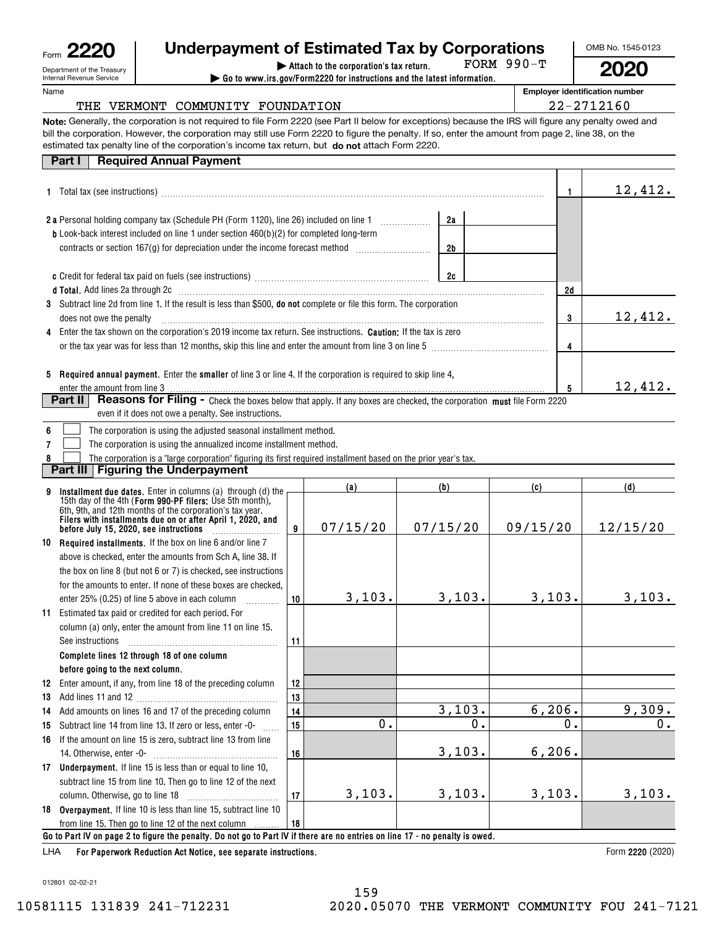| Form | c                                                      |
|------|--------------------------------------------------------|
|      | Department of the Treasury<br>Internal Revenue Service |

Name

| 20 | <b>Underpayment of Estimated Tax by Corporations</b> |  |  |
|----|------------------------------------------------------|--|--|
|    |                                                      |  |  |

FORM 990-T

**| Attach to the corporation's tax return. | Go to www.irs.gov/Form2220 for instructions and the latest information.**

**Employer identification number**

OMB No. 1545-0123

**2020**

## THE VERMONT COMMUNITY FOUNDATION  $|$  22-2712160

**Note:** Generally, the corporation is not required to file Form 2220 (see Part II below for exceptions) because the IRS will figure any penalty owed and estimated tax penalty line of the corporation's income tax return, but **do not** attach Form 2220. bill the corporation. However, the corporation may still use Form 2220 to figure the penalty. If so, enter the amount from page 2, line 38, on the

| <b>Required Annual Payment</b><br>Part I                                                                                                                                                         |     |         |     |         |
|--------------------------------------------------------------------------------------------------------------------------------------------------------------------------------------------------|-----|---------|-----|---------|
|                                                                                                                                                                                                  |     |         |     | 12,412. |
| 2 a Personal holding company tax (Schedule PH (Form 1120), line 26) included on line 1 [2010]                                                                                                    |     | 2a      |     |         |
| <b>b</b> Look-back interest included on line 1 under section 460(b)(2) for completed long-term<br>contracts or section 167(g) for depreciation under the income forecast method <i>mummummmm</i> |     | 2b      |     |         |
|                                                                                                                                                                                                  |     | 2c      |     |         |
| <b>d Total.</b> Add lines 2a through 2c                                                                                                                                                          |     |         | 2d  |         |
| Subtract line 2d from line 1. If the result is less than \$500, do not complete or file this form. The corporation<br>3<br>does not owe the penalty                                              | 3   | 12,412. |     |         |
| Enter the tax shown on the corporation's 2019 income tax return. See instructions. Caution: If the tax is zero<br>4                                                                              | 4   |         |     |         |
| Required annual payment. Enter the smaller of line 3 or line 4. If the corporation is required to skip line 4,<br>5                                                                              |     |         | 5   | 12,412. |
| <b>Part II</b><br>even if it does not owe a penalty. See instructions.                                                                                                                           |     |         |     |         |
| The corporation is using the adjusted seasonal installment method.                                                                                                                               |     |         |     |         |
| The corporation is using the annualized income installment method.                                                                                                                               |     |         |     |         |
| The corporation is a "large corporation" figuring its first required installment based on the prior year's tax.                                                                                  |     |         |     |         |
| Part III   Figuring the Underpayment                                                                                                                                                             |     |         |     |         |
|                                                                                                                                                                                                  | (a) | (b)     | (c) | (d)     |
| Installment due dates. Enter in columns (a) through (d) the 15th day of the 4th (Form 990-PF filers: Use 5th month),                                                                             |     |         |     |         |

| 9  | <b>Installment due dates.</b> Enter in columns (a) through (d) the                                                                                                                                                            |    |          | , ט        | 1 U J    | , u j    |  |  |  |  |
|----|-------------------------------------------------------------------------------------------------------------------------------------------------------------------------------------------------------------------------------|----|----------|------------|----------|----------|--|--|--|--|
|    | 15th day of the 4th (Form 990-PF filers: Use 5th month),<br>6th, 9th, and 12th months of the corporation's tax year.<br>Filers with installments due on or after April 1, 2020, and<br>before July 15, 2020, see instructions | 9  | 07/15/20 | 07/15/20   | 09/15/20 | 12/15/20 |  |  |  |  |
| 10 | <b>Required installments.</b> If the box on line 6 and/or line 7                                                                                                                                                              |    |          |            |          |          |  |  |  |  |
|    | above is checked, enter the amounts from Sch A, line 38. If                                                                                                                                                                   |    |          |            |          |          |  |  |  |  |
|    | the box on line 8 (but not 6 or 7) is checked, see instructions                                                                                                                                                               |    |          |            |          |          |  |  |  |  |
|    | for the amounts to enter. If none of these boxes are checked.                                                                                                                                                                 |    |          |            |          |          |  |  |  |  |
|    | enter 25% (0.25) of line 5 above in each column                                                                                                                                                                               | 10 | 3,103.   | 3,103.     | 3,103.   | 3,103.   |  |  |  |  |
|    | 11 Estimated tax paid or credited for each period. For                                                                                                                                                                        |    |          |            |          |          |  |  |  |  |
|    | column (a) only, enter the amount from line 11 on line 15.                                                                                                                                                                    |    |          |            |          |          |  |  |  |  |
|    | See instructions                                                                                                                                                                                                              | 11 |          |            |          |          |  |  |  |  |
|    | Complete lines 12 through 18 of one column                                                                                                                                                                                    |    |          |            |          |          |  |  |  |  |
|    | before going to the next column.                                                                                                                                                                                              |    |          |            |          |          |  |  |  |  |
| 12 | Enter amount, if any, from line 18 of the preceding column                                                                                                                                                                    | 12 |          |            |          |          |  |  |  |  |
| 13 |                                                                                                                                                                                                                               | 13 |          |            |          |          |  |  |  |  |
| 14 | Add amounts on lines 16 and 17 of the preceding column                                                                                                                                                                        | 14 |          | 3,103.     | 6, 206.  | 9,309.   |  |  |  |  |
| 15 | Subtract line 14 from line 13. If zero or less, enter -0-                                                                                                                                                                     | 15 | О.       | $\Omega$ . | 0.       | 0.       |  |  |  |  |
| 16 | If the amount on line 15 is zero, subtract line 13 from line                                                                                                                                                                  |    |          |            |          |          |  |  |  |  |
|    |                                                                                                                                                                                                                               | 16 |          | 3,103.     | 6, 206.  |          |  |  |  |  |
|    | 17 Underpayment. If line 15 is less than or equal to line 10,                                                                                                                                                                 |    |          |            |          |          |  |  |  |  |
|    | subtract line 15 from line 10. Then go to line 12 of the next                                                                                                                                                                 |    |          |            |          |          |  |  |  |  |
|    |                                                                                                                                                                                                                               | 17 | 3,103.   | 3,103.     | 3,103.   | 3,103.   |  |  |  |  |
|    | 18 Overpayment. If line 10 is less than line 15, subtract line 10                                                                                                                                                             |    |          |            |          |          |  |  |  |  |
|    | from line 15. Then go to line 12 of the next column                                                                                                                                                                           | 18 |          |            |          |          |  |  |  |  |
|    | Go to Part IV on page 2 to figure the penalty. Do not go to Part IV if there are no entries on line 17 - no penalty is owed.                                                                                                  |    |          |            |          |          |  |  |  |  |
|    | $\Gamma$ case 10000                                                                                                                                                                                                           |    |          |            |          |          |  |  |  |  |

**For Paperwork Reduction Act Notice, see separate instructions.** LHA

Form 2220 (2020)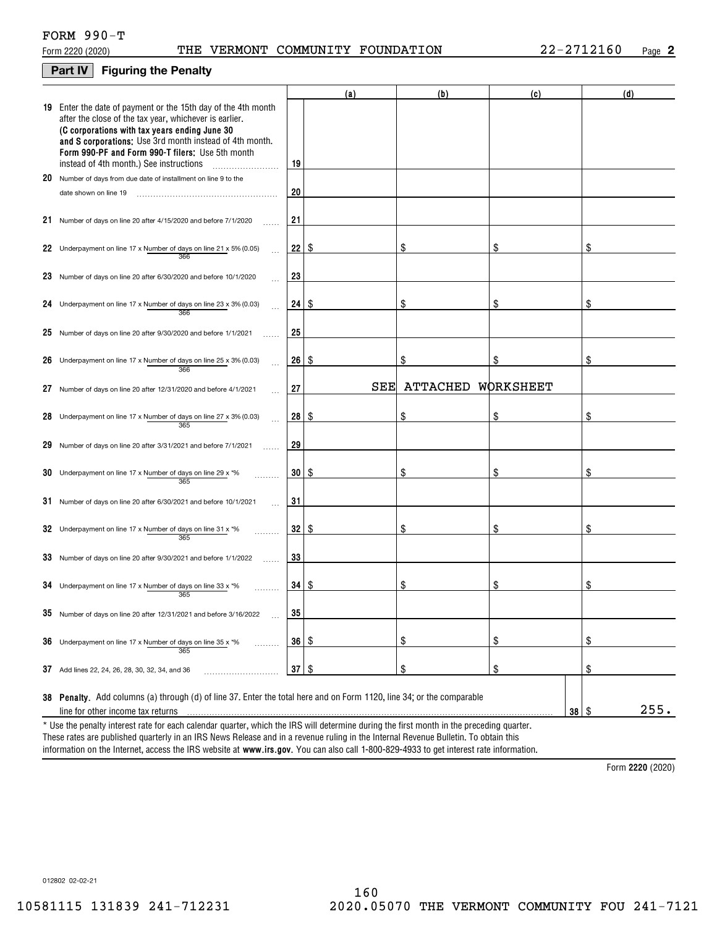#### **Part IV Figuring the Penalty**

|    |                                                                                                                                                                                                                                                                                                                                    |                 | (a)  | (b)             | (c)        | (d)  |
|----|------------------------------------------------------------------------------------------------------------------------------------------------------------------------------------------------------------------------------------------------------------------------------------------------------------------------------------|-----------------|------|-----------------|------------|------|
|    | 19 Enter the date of payment or the 15th day of the 4th month<br>after the close of the tax year, whichever is earlier.<br>(C corporations with tax years ending June 30<br>and S corporations: Use 3rd month instead of 4th month.<br>Form 990-PF and Form 990-T filers: Use 5th month<br>instead of 4th month.) See instructions | 19              |      |                 |            |      |
|    | 20 Number of days from due date of installment on line 9 to the                                                                                                                                                                                                                                                                    |                 |      |                 |            |      |
|    | date shown on line 19                                                                                                                                                                                                                                                                                                              | 20              |      |                 |            |      |
|    | 21 Number of days on line 20 after 4/15/2020 and before 7/1/2020                                                                                                                                                                                                                                                                   | 21              |      |                 |            |      |
|    | 22 Underpayment on line 17 x Number of days on line 21 x 5% (0.05)<br>366                                                                                                                                                                                                                                                          | 22              | \$   | \$              | \$         |      |
|    | 23 Number of days on line 20 after 6/30/2020 and before 10/1/2020                                                                                                                                                                                                                                                                  | 23              |      |                 |            |      |
|    | 24 Underpayment on line 17 x Number of days on line 23 x 3% (0.03)<br>366                                                                                                                                                                                                                                                          | 24              | 8    | \$              | \$         | \$   |
|    | 25 Number of days on line 20 after 9/30/2020 and before 1/1/2021                                                                                                                                                                                                                                                                   | 25              |      |                 |            |      |
|    | 26 Underpayment on line 17 x Number of days on line 25 x 3% (0.03)<br>366                                                                                                                                                                                                                                                          | 26              | l \$ | \$              | \$         | \$   |
| 27 | Number of days on line 20 after 12/31/2020 and before 4/1/2021                                                                                                                                                                                                                                                                     | 27              | SEE  | <b>ATTACHED</b> | WORKSHEET  |      |
|    | 28 Underpayment on line 17 x Number of days on line 27 x 3% (0.03)<br>365                                                                                                                                                                                                                                                          | 28              | -\$  | \$              | \$         |      |
|    | 29 Number of days on line 20 after 3/31/2021 and before 7/1/2021                                                                                                                                                                                                                                                                   | 29              |      |                 |            |      |
|    | 30 Underpayment on line 17 x Number of days on line 29 x $*$ %<br>365                                                                                                                                                                                                                                                              | 30 <sup>°</sup> | 8    | \$              | \$         | \$   |
|    | $31$ Number of days on line 20 after 6/30/2021 and before 10/1/2021                                                                                                                                                                                                                                                                | 31              |      |                 |            |      |
|    | 32 Underpayment on line 17 x Number of days on line 31 x $*$ %<br>365                                                                                                                                                                                                                                                              | 32              | 8    | \$              | \$         | \$   |
|    | 33 Number of days on line 20 after 9/30/2021 and before 1/1/2022                                                                                                                                                                                                                                                                   | 33              |      |                 |            |      |
|    | 34 Underpayment on line 17 x Number of days on line 33 x $*$ %<br>365                                                                                                                                                                                                                                                              | $34$   $$$      |      | \$              | \$         | \$   |
|    | $35$ Number of days on line 20 after 12/31/2021 and before 3/16/2022                                                                                                                                                                                                                                                               | 35              |      |                 |            |      |
|    | <b>36</b> Underpayment on line 17 x Number of days on line 35 x $*$ %<br>.<br>365                                                                                                                                                                                                                                                  | 36              | \$   | \$              | \$         | \$   |
|    | 37 Add lines 22, 24, 26, 28, 30, 32, 34, and 36                                                                                                                                                                                                                                                                                    | 37 <sup>5</sup> | \$   | \$              | \$         | \$   |
|    | 38 Penalty. Add columns (a) through (d) of line 37. Enter the total here and on Form 1120, line 34; or the comparable<br>line for other income tax returns<br>* Use the penalty interest rate for each calendar quarter, which the IRS will determine during the first month in the preceding quarter.                             |                 |      |                 | $38$ \ $$$ | 255. |

information on the Internet, access the IRS website at **www.irs.gov**. You can also call 1-800-829-4933 to get interest rate information. These rates are published quarterly in an IRS News Release and in a revenue ruling in the Internal Revenue Bulletin. To obtain this

**2220**  Form (2020)

012802 02-02-21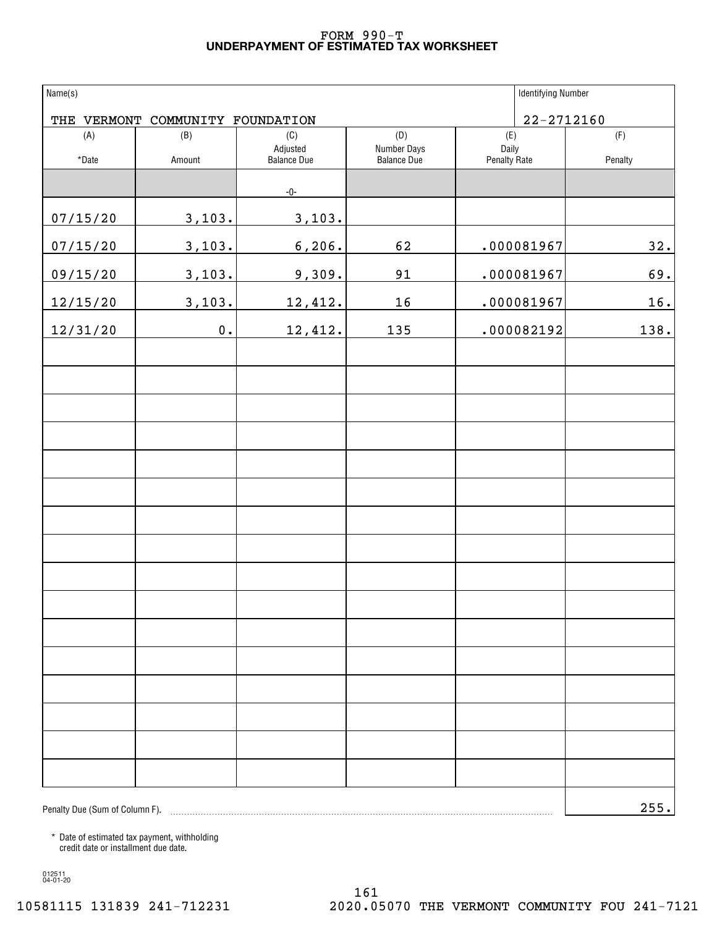#### **UNDERPAYMENT OF ESTIMATED TAX WORKSHEET** FORM 990-T

| Name(s)                        |                      |                                |                            | <b>Identifying Number</b> |         |
|--------------------------------|----------------------|--------------------------------|----------------------------|---------------------------|---------|
| THE VERMONT                    | COMMUNITY FOUNDATION |                                |                            | $22 - 2712160$            |         |
| (A)                            | (B)                  | (C)                            | (D)                        | (E)                       | (F)     |
| $^\star$ Date                  | Amount               | Adjusted<br><b>Balance Due</b> | Number Days<br>Balance Due | Daily<br>Penalty Rate     | Penalty |
|                                |                      | $-0-$                          |                            |                           |         |
| 07/15/20                       | 3,103.               | 3,103.                         |                            |                           |         |
| 07/15/20                       | 3,103.               | 6, 206.                        | 62                         | .000081967                | 32.     |
| 09/15/20                       | 3,103.               | 9,309.                         | 91                         | .000081967                | 69.     |
| 12/15/20                       | 3,103.               | 12,412.                        | 16                         | .000081967                | 16.     |
| 12/31/20                       | $\mathbf 0$ .        | 12,412.                        | 135                        | .000082192                | 138.    |
|                                |                      |                                |                            |                           |         |
|                                |                      |                                |                            |                           |         |
|                                |                      |                                |                            |                           |         |
|                                |                      |                                |                            |                           |         |
|                                |                      |                                |                            |                           |         |
|                                |                      |                                |                            |                           |         |
|                                |                      |                                |                            |                           |         |
|                                |                      |                                |                            |                           |         |
|                                |                      |                                |                            |                           |         |
|                                |                      |                                |                            |                           |         |
|                                |                      |                                |                            |                           |         |
|                                |                      |                                |                            |                           |         |
|                                |                      |                                |                            |                           |         |
|                                |                      |                                |                            |                           |         |
|                                |                      |                                |                            |                           |         |
|                                |                      |                                |                            |                           |         |
| Penalty Due (Sum of Column F). |                      |                                |                            |                           | 255.    |

\* Date of estimated tax payment, withholding credit date or installment due date.

012511 04-01-20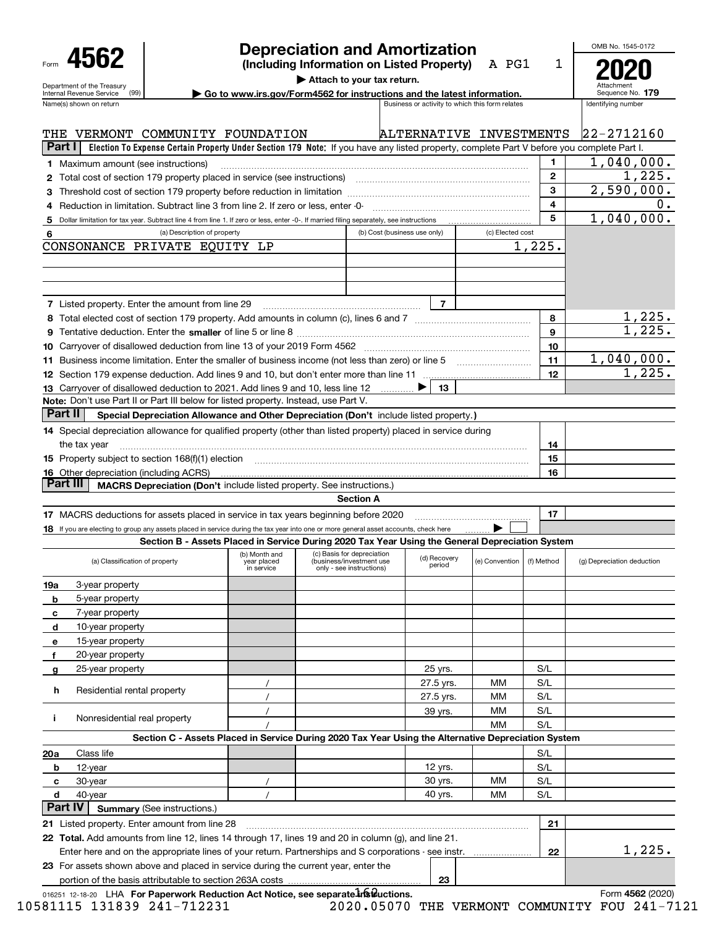| Form                                                   |  |
|--------------------------------------------------------|--|
| Department of the Treasury<br>Internal Revenue Service |  |

## **Depreciation and Amortization**

**(Including Information on Listed Property)** A PG1 **2020**

1

**| Attach to your tax return.**

| ► Go to www.irs.gov/Form4562 for instructions and the latest information. | Sequence No. 179 |
|---------------------------------------------------------------------------|------------------|
|                                                                           |                  |

| Attachment<br>Sequence No. 179 |  |
|--------------------------------|--|
| ويحاملون ومراميات فتقصدها      |  |

OMB No. 1545-0172

| Name(s) shown on return<br>Business or activity to which this form relates                                                                            |                              |  |                                                        |                         |                  |              | Identifying number         |
|-------------------------------------------------------------------------------------------------------------------------------------------------------|------------------------------|--|--------------------------------------------------------|-------------------------|------------------|--------------|----------------------------|
| THE<br>VERMONT COMMUNITY FOUNDATION                                                                                                                   |                              |  |                                                        | ALTERNATIVE INVESTMENTS |                  |              | $22 - 2712160$             |
| Part I  <br>Election To Expense Certain Property Under Section 179 Note: If you have any listed property, complete Part V before you complete Part I. |                              |  |                                                        |                         |                  |              |                            |
| 1 Maximum amount (see instructions)                                                                                                                   |                              |  |                                                        |                         |                  | $\mathbf{1}$ | 1,040,000.                 |
|                                                                                                                                                       |                              |  |                                                        |                         |                  | $\mathbf{2}$ | 1,225.                     |
| З                                                                                                                                                     |                              |  |                                                        |                         |                  | 3            | 2,590,000.                 |
| Reduction in limitation. Subtract line 3 from line 2. If zero or less, enter -0-<br>4                                                                 |                              |  |                                                        |                         |                  | 4            | $0$ .                      |
| Dollar limitation for tax year. Subtract line 4 from line 1. If zero or less, enter -0-. If married filing separately, see instructions<br>5          |                              |  |                                                        |                         |                  | 5            | 1,040,000.                 |
| (a) Description of property<br>6                                                                                                                      |                              |  | (b) Cost (business use only)                           |                         | (c) Elected cost |              |                            |
| CONSONANCE PRIVATE EQUITY LP                                                                                                                          |                              |  |                                                        |                         |                  | 1,225.       |                            |
|                                                                                                                                                       |                              |  |                                                        |                         |                  |              |                            |
|                                                                                                                                                       |                              |  |                                                        |                         |                  |              |                            |
|                                                                                                                                                       |                              |  |                                                        |                         |                  |              |                            |
| 7 Listed property. Enter the amount from line 29                                                                                                      |                              |  |                                                        | 7                       |                  |              |                            |
|                                                                                                                                                       |                              |  |                                                        |                         |                  | 8            | <u>1,225.</u>              |
|                                                                                                                                                       |                              |  |                                                        |                         |                  | 9            | 1,225.                     |
|                                                                                                                                                       |                              |  |                                                        |                         |                  | 10           |                            |
| 11 Business income limitation. Enter the smaller of business income (not less than zero) or line 5                                                    |                              |  |                                                        |                         |                  | 11           | 1,040,000.                 |
|                                                                                                                                                       |                              |  |                                                        |                         |                  | 12           | 1,225.                     |
| 13 Carryover of disallowed deduction to 2021. Add lines 9 and 10, less line 12                                                                        |                              |  |                                                        | 13                      |                  |              |                            |
| Note: Don't use Part II or Part III below for listed property. Instead, use Part V.                                                                   |                              |  |                                                        |                         |                  |              |                            |
| <b>Part II</b><br>Special Depreciation Allowance and Other Depreciation (Don't include listed property.)                                              |                              |  |                                                        |                         |                  |              |                            |
| 14 Special depreciation allowance for qualified property (other than listed property) placed in service during                                        |                              |  |                                                        |                         |                  |              |                            |
| the tax year                                                                                                                                          |                              |  |                                                        |                         |                  | 14           |                            |
| 15 Property subject to section 168(f)(1) election material content content and a section of the content of the                                        |                              |  |                                                        |                         |                  | 15           |                            |
| <b>16</b> Other depreciation (including ACRS)                                                                                                         |                              |  |                                                        |                         |                  | 16           |                            |
| <b>Part III</b><br><b>MACRS Depreciation (Don't include listed property. See instructions.)</b>                                                       |                              |  |                                                        |                         |                  |              |                            |
|                                                                                                                                                       |                              |  | <b>Section A</b>                                       |                         |                  |              |                            |
| 17 MACRS deductions for assets placed in service in tax years beginning before 2020                                                                   |                              |  |                                                        |                         |                  | 17           |                            |
| 18 If you are electing to group any assets placed in service during the tax year into one or more general asset accounts, check here                  |                              |  |                                                        |                         |                  |              |                            |
| Section B - Assets Placed in Service During 2020 Tax Year Using the General Depreciation System                                                       |                              |  |                                                        |                         |                  |              |                            |
| (a) Classification of property                                                                                                                        | (b) Month and<br>year placed |  | (c) Basis for depreciation<br>(business/investment use | (d) Recovery            | (e) Convention   | (f) Method   | (g) Depreciation deduction |
|                                                                                                                                                       | in service                   |  | only - see instructions)                               | period                  |                  |              |                            |
| 3-year property<br>19a                                                                                                                                |                              |  |                                                        |                         |                  |              |                            |
| 5-year property<br>b                                                                                                                                  |                              |  |                                                        |                         |                  |              |                            |
| 7-year property<br>с                                                                                                                                  |                              |  |                                                        |                         |                  |              |                            |
| 10-year property<br>d                                                                                                                                 |                              |  |                                                        |                         |                  |              |                            |
| 15-year property<br>е                                                                                                                                 |                              |  |                                                        |                         |                  |              |                            |
| 20-year property<br>f                                                                                                                                 |                              |  |                                                        |                         |                  |              |                            |
| 25-year property<br>g                                                                                                                                 |                              |  |                                                        | 25 yrs.                 |                  | S/L          |                            |
|                                                                                                                                                       |                              |  |                                                        | 27.5 yrs.               | МM               | S/L          |                            |
| h<br>Residential rental property                                                                                                                      |                              |  |                                                        | 27.5 yrs.               | ΜМ               | S/L          |                            |
|                                                                                                                                                       |                              |  |                                                        | 39 yrs.                 | ΜМ               | S/L          |                            |
| Nonresidential real property<br>j.                                                                                                                    |                              |  |                                                        |                         | MМ               | S/L          |                            |
| Section C - Assets Placed in Service During 2020 Tax Year Using the Alternative Depreciation System                                                   |                              |  |                                                        |                         |                  |              |                            |
| Class life<br>20a                                                                                                                                     |                              |  |                                                        |                         |                  | S/L          |                            |
| 12-year<br>b                                                                                                                                          |                              |  |                                                        | 12 yrs.                 |                  | S/L          |                            |
| 30-year<br>с                                                                                                                                          |                              |  |                                                        | 30 yrs.                 | ΜМ               | S/L          |                            |
| 40-year<br>d                                                                                                                                          |                              |  |                                                        | 40 yrs.                 | ΜМ               | S/L          |                            |
| <b>Part IV</b><br><b>Summary (See instructions.)</b>                                                                                                  |                              |  |                                                        |                         |                  |              |                            |
| 21 Listed property. Enter amount from line 28                                                                                                         |                              |  |                                                        |                         |                  | 21           |                            |
| 22 Total. Add amounts from line 12, lines 14 through 17, lines 19 and 20 in column (g), and line 21.                                                  |                              |  |                                                        |                         |                  |              |                            |
| Enter here and on the appropriate lines of your return. Partnerships and S corporations - see instr.                                                  |                              |  |                                                        |                         |                  | 22           | 1,225.                     |
| 23 For assets shown above and placed in service during the current year, enter the                                                                    |                              |  |                                                        |                         |                  |              |                            |

portion of the basis attributable to section 263A costs

**23**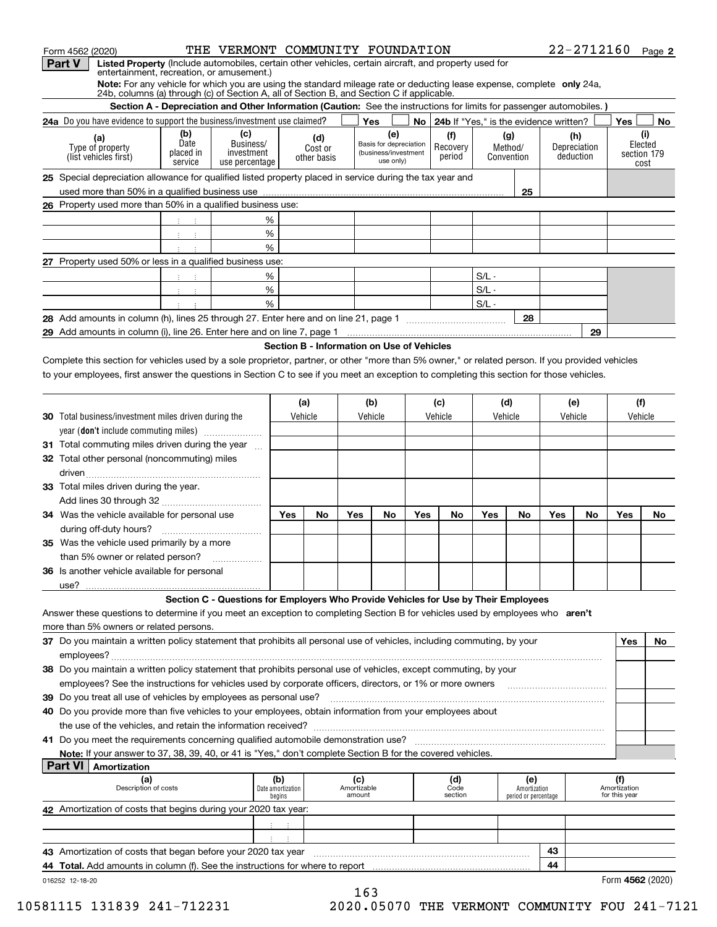| Form 4562 (2020)                                                                                                                                                    |                                           | THE VERMONT COMMUNITY FOUNDATION                                                                                     |                                      |                        |                    |                                            |     |                                             |         |                      |     | 22-2712160 Page 2   |                     |                |
|---------------------------------------------------------------------------------------------------------------------------------------------------------------------|-------------------------------------------|----------------------------------------------------------------------------------------------------------------------|--------------------------------------|------------------------|--------------------|--------------------------------------------|-----|---------------------------------------------|---------|----------------------|-----|---------------------|---------------------|----------------|
| <b>Part V</b><br>Listed Property (Include automobiles, certain other vehicles, certain aircraft, and property used for                                              |                                           |                                                                                                                      |                                      |                        |                    |                                            |     |                                             |         |                      |     |                     |                     |                |
| entertainment, recreation, or amusement.)<br>Note: For any vehicle for which you are using the standard mileage rate or deducting lease expense, complete only 24a, |                                           |                                                                                                                      |                                      |                        |                    |                                            |     |                                             |         |                      |     |                     |                     |                |
| 24b, columns (a) through (c) of Section A, all of Section B, and Section C if applicable.                                                                           |                                           |                                                                                                                      |                                      |                        |                    |                                            |     |                                             |         |                      |     |                     |                     |                |
|                                                                                                                                                                     |                                           | Section A - Depreciation and Other Information (Caution: See the instructions for limits for passenger automobiles.) |                                      |                        |                    |                                            |     |                                             |         |                      |     |                     |                     |                |
| 24a Do you have evidence to support the business/investment use claimed?                                                                                            |                                           |                                                                                                                      |                                      |                        |                    | Yes                                        |     | No   24b If "Yes," is the evidence written? |         |                      |     |                     | Yes                 | No             |
| (a)<br>Type of property                                                                                                                                             | (b)<br>Date                               | (c)<br>Business/                                                                                                     |                                      | (d)                    |                    | (e)<br>Basis for depreciation              |     | (f)<br>Recovery                             |         | (g)<br>Method/       |     | (h)<br>Depreciation |                     | (i)<br>Elected |
| (list vehicles first)                                                                                                                                               | placed in                                 | investment                                                                                                           |                                      | Cost or<br>other basis |                    | (business/investment<br>use only)          |     | period                                      |         | Convention           |     | deduction           |                     | section 179    |
|                                                                                                                                                                     | service                                   | use percentage                                                                                                       |                                      |                        |                    |                                            |     |                                             |         |                      |     |                     |                     | cost           |
| 25 Special depreciation allowance for qualified listed property placed in service during the tax year and                                                           |                                           |                                                                                                                      |                                      |                        |                    |                                            |     |                                             |         |                      |     |                     |                     |                |
| 26 Property used more than 50% in a qualified business use:                                                                                                         |                                           |                                                                                                                      |                                      |                        |                    |                                            |     |                                             |         | 25                   |     |                     |                     |                |
|                                                                                                                                                                     |                                           |                                                                                                                      |                                      |                        |                    |                                            |     |                                             |         |                      |     |                     |                     |                |
|                                                                                                                                                                     | 生产于                                       |                                                                                                                      | %                                    |                        |                    |                                            |     |                                             |         |                      |     |                     |                     |                |
|                                                                                                                                                                     | 中间 中                                      |                                                                                                                      | $\%$<br>$\%$                         |                        |                    |                                            |     |                                             |         |                      |     |                     |                     |                |
| 27 Property used 50% or less in a qualified business use:                                                                                                           | $\pm$                                     |                                                                                                                      |                                      |                        |                    |                                            |     |                                             |         |                      |     |                     |                     |                |
|                                                                                                                                                                     | $\frac{1}{2}$ $\frac{1}{2}$ $\frac{1}{2}$ |                                                                                                                      | %                                    |                        |                    |                                            |     |                                             | $S/L -$ |                      |     |                     |                     |                |
|                                                                                                                                                                     | $3 - 3$                                   |                                                                                                                      | $\%$                                 |                        |                    |                                            |     |                                             | $S/L -$ |                      |     |                     |                     |                |
|                                                                                                                                                                     | $\ddot{\phantom{a}}$                      |                                                                                                                      | %                                    |                        |                    |                                            |     |                                             | $S/L -$ |                      |     |                     |                     |                |
|                                                                                                                                                                     |                                           |                                                                                                                      |                                      |                        |                    |                                            |     |                                             |         | 28                   |     |                     |                     |                |
|                                                                                                                                                                     |                                           |                                                                                                                      |                                      |                        |                    |                                            |     |                                             |         |                      |     | 29                  |                     |                |
|                                                                                                                                                                     |                                           |                                                                                                                      |                                      |                        |                    | Section B - Information on Use of Vehicles |     |                                             |         |                      |     |                     |                     |                |
| Complete this section for vehicles used by a sole proprietor, partner, or other "more than 5% owner," or related person. If you provided vehicles                   |                                           |                                                                                                                      |                                      |                        |                    |                                            |     |                                             |         |                      |     |                     |                     |                |
| to your employees, first answer the questions in Section C to see if you meet an exception to completing this section for those vehicles.                           |                                           |                                                                                                                      |                                      |                        |                    |                                            |     |                                             |         |                      |     |                     |                     |                |
|                                                                                                                                                                     |                                           |                                                                                                                      |                                      |                        |                    |                                            |     |                                             |         |                      |     |                     |                     |                |
|                                                                                                                                                                     |                                           |                                                                                                                      |                                      | (a)                    |                    | (b)                                        |     | (c)                                         |         | (d)                  |     | (e)                 | (f)                 |                |
| <b>30</b> Total business/investment miles driven during the                                                                                                         |                                           |                                                                                                                      |                                      | Vehicle                |                    | Vehicle                                    |     | Vehicle                                     |         | Vehicle              |     | Vehicle             | Vehicle             |                |
| year (don't include commuting miles)                                                                                                                                |                                           |                                                                                                                      |                                      |                        |                    |                                            |     |                                             |         |                      |     |                     |                     |                |
| 31 Total commuting miles driven during the year                                                                                                                     |                                           |                                                                                                                      |                                      |                        |                    |                                            |     |                                             |         |                      |     |                     |                     |                |
| 32 Total other personal (noncommuting) miles                                                                                                                        |                                           |                                                                                                                      |                                      |                        |                    |                                            |     |                                             |         |                      |     |                     |                     |                |
|                                                                                                                                                                     |                                           |                                                                                                                      |                                      |                        |                    |                                            |     |                                             |         |                      |     |                     |                     |                |
| 33 Total miles driven during the year.                                                                                                                              |                                           |                                                                                                                      |                                      |                        |                    |                                            |     |                                             |         |                      |     |                     |                     |                |
|                                                                                                                                                                     |                                           |                                                                                                                      |                                      |                        |                    |                                            |     |                                             |         |                      |     |                     |                     |                |
| 34 Was the vehicle available for personal use                                                                                                                       |                                           |                                                                                                                      | Yes                                  | No                     | Yes                | No.                                        | Yes | No.                                         | Yes     | No                   | Yes | No                  | Yes                 | No             |
|                                                                                                                                                                     |                                           |                                                                                                                      |                                      |                        |                    |                                            |     |                                             |         |                      |     |                     |                     |                |
| <b>35</b> Was the vehicle used primarily by a more                                                                                                                  |                                           |                                                                                                                      |                                      |                        |                    |                                            |     |                                             |         |                      |     |                     |                     |                |
| than 5% owner or related person?                                                                                                                                    |                                           |                                                                                                                      |                                      |                        |                    |                                            |     |                                             |         |                      |     |                     |                     |                |
| <b>36</b> Is another vehicle available for personal                                                                                                                 |                                           |                                                                                                                      |                                      |                        |                    |                                            |     |                                             |         |                      |     |                     |                     |                |
| use?                                                                                                                                                                |                                           |                                                                                                                      |                                      |                        |                    |                                            |     |                                             |         |                      |     |                     |                     |                |
|                                                                                                                                                                     |                                           | Section C - Questions for Employers Who Provide Vehicles for Use by Their Employees                                  |                                      |                        |                    |                                            |     |                                             |         |                      |     |                     |                     |                |
| Answer these questions to determine if you meet an exception to completing Section B for vehicles used by employees who aren't                                      |                                           |                                                                                                                      |                                      |                        |                    |                                            |     |                                             |         |                      |     |                     |                     |                |
| more than 5% owners or related persons.                                                                                                                             |                                           |                                                                                                                      |                                      |                        |                    |                                            |     |                                             |         |                      |     |                     |                     |                |
| 37 Do you maintain a written policy statement that prohibits all personal use of vehicles, including commuting, by your                                             |                                           |                                                                                                                      |                                      |                        |                    |                                            |     |                                             |         |                      |     |                     | Yes                 | No             |
|                                                                                                                                                                     |                                           |                                                                                                                      |                                      |                        |                    |                                            |     |                                             |         |                      |     |                     |                     |                |
| 38 Do you maintain a written policy statement that prohibits personal use of vehicles, except commuting, by your                                                    |                                           |                                                                                                                      |                                      |                        |                    |                                            |     |                                             |         |                      |     |                     |                     |                |
| employees? See the instructions for vehicles used by corporate officers, directors, or 1% or more owners                                                            |                                           |                                                                                                                      |                                      |                        |                    |                                            |     |                                             |         |                      |     |                     |                     |                |
| 39 Do you treat all use of vehicles by employees as personal use?                                                                                                   |                                           |                                                                                                                      |                                      |                        |                    |                                            |     |                                             |         |                      |     |                     |                     |                |
| 40 Do you provide more than five vehicles to your employees, obtain information from your employees about                                                           |                                           |                                                                                                                      |                                      |                        |                    |                                            |     |                                             |         |                      |     |                     |                     |                |
|                                                                                                                                                                     |                                           |                                                                                                                      |                                      |                        |                    |                                            |     |                                             |         |                      |     |                     |                     |                |
|                                                                                                                                                                     |                                           |                                                                                                                      |                                      |                        |                    |                                            |     |                                             |         |                      |     |                     |                     |                |
| Note: If your answer to 37, 38, 39, 40, or 41 is "Yes," don't complete Section B for the covered vehicles.                                                          |                                           |                                                                                                                      |                                      |                        |                    |                                            |     |                                             |         |                      |     |                     |                     |                |
| <b>Part VI</b><br>Amortization                                                                                                                                      |                                           |                                                                                                                      |                                      |                        |                    |                                            |     |                                             |         |                      |     |                     |                     |                |
| (a)<br>Description of costs                                                                                                                                         |                                           |                                                                                                                      | (b)<br>Date amortization             |                        | (c)<br>Amortizable |                                            |     | (d)<br>Code                                 |         | (e)<br>Amortization  |     |                     | (f)<br>Amortization |                |
|                                                                                                                                                                     |                                           |                                                                                                                      | begins                               |                        | amount             |                                            |     | section                                     |         | period or percentage |     |                     | for this year       |                |
| 42 Amortization of costs that begins during your 2020 tax year:                                                                                                     |                                           |                                                                                                                      |                                      |                        |                    |                                            |     |                                             |         |                      |     |                     |                     |                |
|                                                                                                                                                                     |                                           |                                                                                                                      | 4. 一本                                |                        |                    |                                            |     |                                             |         |                      |     |                     |                     |                |
|                                                                                                                                                                     |                                           |                                                                                                                      | $\ddot{\phantom{a}}$<br>$\mathbb{C}$ |                        |                    |                                            |     |                                             |         |                      |     |                     |                     |                |
|                                                                                                                                                                     |                                           |                                                                                                                      |                                      |                        |                    |                                            |     |                                             |         |                      | 43  |                     |                     |                |

| Amortization of costs that began before your 2020 tax year                           | . 4ա |                  |
|--------------------------------------------------------------------------------------|------|------------------|
| <b>44 Total.</b> Add amounts in column (f). See the instructions for where to report | лл   |                  |
| 016252 12-18-20                                                                      |      | Form 4562 (2020) |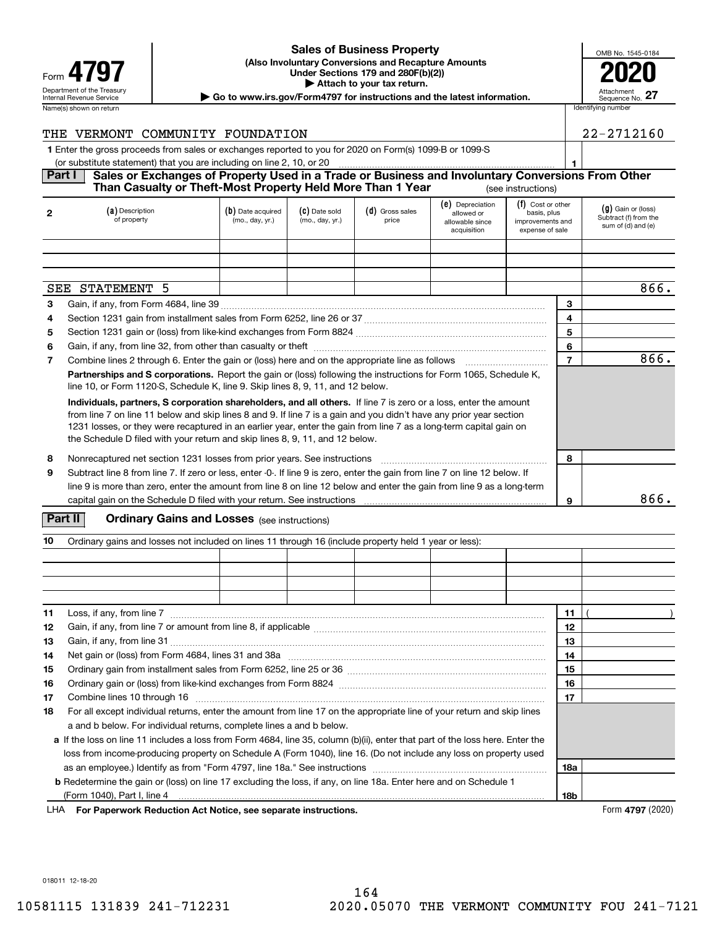#### **(Also Involuntary Conversions and Recapture Amounts Under Sections 179 and 280F(b)(2)) 4797 2020 | Attach to your tax return. Sales of Business Property**

| Attachment<br>Sequence No. |  |
|----------------------------|--|

OMB No. 1545-0184

Department of the Treasury **Number of the Treasury Attachment**<br>Internal Revenue Service **Sequence No.**<br>Dequence No. Name(s) shown on return **Identifying number Identifying number Identifying number Identifying number Identifying number** 

| THE VERMONT COMMUNITY FOUNDATION                                                                                   |  |  |                                 |                  |                     | 22-2712160 |                      |  |
|--------------------------------------------------------------------------------------------------------------------|--|--|---------------------------------|------------------|---------------------|------------|----------------------|--|
| 1 Enter the gross proceeds from sales or exchanges reported to you for 2020 on Form(s) 1099-B or 1099-S            |  |  |                                 |                  |                     |            |                      |  |
| (or substitute statement) that you are including on line 2, 10, or 20                                              |  |  |                                 |                  |                     |            |                      |  |
| <b>Part I</b><br>Sales or Exchanges of Property Used in a Trade or Business and Involuntary Conversions From Other |  |  |                                 |                  |                     |            |                      |  |
| Than Casualty or Theft-Most Property Held More Than 1 Year<br>(see instructions)                                   |  |  |                                 |                  |                     |            |                      |  |
| $I - V - V - V$                                                                                                    |  |  | $\mathcal{L}$ and $\mathcal{L}$ | (e) Depreciation | $(f)$ Cost or other |            | $(n)$ Coin or (loop) |  |

| $\mathbf{2}$ | (a) Description<br>of property                                                                                                                                                                                                                                                                                                                                                                                                                | (b) Date acquired<br>(mo., day, yr.) | (C) Date sold<br>(mo., day, yr.) | $(d)$ Gross sales<br>price | $\sigma$ $\mu$ Depreciation<br>allowed or<br>allowable since<br>acquisition | (1) COST OF OTHER<br>basis, plus<br>improvements and<br>expense of sale |                | $(g)$ Gain or (loss)<br>Subtract (f) from the<br>sum of (d) and (e) |
|--------------|-----------------------------------------------------------------------------------------------------------------------------------------------------------------------------------------------------------------------------------------------------------------------------------------------------------------------------------------------------------------------------------------------------------------------------------------------|--------------------------------------|----------------------------------|----------------------------|-----------------------------------------------------------------------------|-------------------------------------------------------------------------|----------------|---------------------------------------------------------------------|
|              |                                                                                                                                                                                                                                                                                                                                                                                                                                               |                                      |                                  |                            |                                                                             |                                                                         |                |                                                                     |
|              |                                                                                                                                                                                                                                                                                                                                                                                                                                               |                                      |                                  |                            |                                                                             |                                                                         |                |                                                                     |
|              |                                                                                                                                                                                                                                                                                                                                                                                                                                               |                                      |                                  |                            |                                                                             |                                                                         |                |                                                                     |
| SEE          | STATEMENT<br>.5                                                                                                                                                                                                                                                                                                                                                                                                                               |                                      |                                  |                            |                                                                             |                                                                         |                | 866.                                                                |
| 3            |                                                                                                                                                                                                                                                                                                                                                                                                                                               |                                      |                                  |                            |                                                                             |                                                                         | 3              |                                                                     |
| 4            |                                                                                                                                                                                                                                                                                                                                                                                                                                               |                                      |                                  |                            |                                                                             |                                                                         | 4              |                                                                     |
| 5            |                                                                                                                                                                                                                                                                                                                                                                                                                                               |                                      |                                  |                            |                                                                             |                                                                         | 5              |                                                                     |
| 6            |                                                                                                                                                                                                                                                                                                                                                                                                                                               |                                      |                                  |                            |                                                                             |                                                                         | 6              |                                                                     |
| 7            |                                                                                                                                                                                                                                                                                                                                                                                                                                               |                                      |                                  |                            |                                                                             |                                                                         | $\overline{7}$ | 866.                                                                |
|              | Partnerships and S corporations. Report the gain or (loss) following the instructions for Form 1065, Schedule K,<br>line 10, or Form 1120-S, Schedule K, line 9. Skip lines 8, 9, 11, and 12 below.                                                                                                                                                                                                                                           |                                      |                                  |                            |                                                                             |                                                                         |                |                                                                     |
|              | Individuals, partners, S corporation shareholders, and all others. If line 7 is zero or a loss, enter the amount<br>from line 7 on line 11 below and skip lines 8 and 9. If line 7 is a gain and you didn't have any prior year section<br>1231 losses, or they were recaptured in an earlier year, enter the gain from line 7 as a long-term capital gain on<br>the Schedule D filed with your return and skip lines 8, 9, 11, and 12 below. |                                      |                                  |                            |                                                                             |                                                                         |                |                                                                     |
| 8            | Nonrecaptured net section 1231 losses from prior years. See instructions                                                                                                                                                                                                                                                                                                                                                                      |                                      |                                  |                            |                                                                             |                                                                         | 8              |                                                                     |
| 9            | Subtract line 8 from line 7. If zero or less, enter -0-. If line 9 is zero, enter the gain from line 7 on line 12 below. If<br>line 9 is more than zero, enter the amount from line 8 on line 12 below and enter the gain from line 9 as a long-term                                                                                                                                                                                          |                                      |                                  |                            |                                                                             |                                                                         |                |                                                                     |
|              |                                                                                                                                                                                                                                                                                                                                                                                                                                               |                                      |                                  |                            |                                                                             |                                                                         | 9              | 866.                                                                |

#### **Part II** | Crdinary Gains and Losses (see instructions)

| 10 | Ordinary gains and losses not included on lines 11 through 16 (include property held 1 year or less):                                                                                                                          |  |  |  |  |  |     |  |
|----|--------------------------------------------------------------------------------------------------------------------------------------------------------------------------------------------------------------------------------|--|--|--|--|--|-----|--|
|    |                                                                                                                                                                                                                                |  |  |  |  |  |     |  |
|    |                                                                                                                                                                                                                                |  |  |  |  |  |     |  |
|    |                                                                                                                                                                                                                                |  |  |  |  |  |     |  |
|    |                                                                                                                                                                                                                                |  |  |  |  |  |     |  |
| 11 | Loss, if any, from line 7                                                                                                                                                                                                      |  |  |  |  |  | 11  |  |
| 12 |                                                                                                                                                                                                                                |  |  |  |  |  | 12  |  |
| 13 |                                                                                                                                                                                                                                |  |  |  |  |  | 13  |  |
| 14 |                                                                                                                                                                                                                                |  |  |  |  |  | 14  |  |
| 15 |                                                                                                                                                                                                                                |  |  |  |  |  | 15  |  |
| 16 |                                                                                                                                                                                                                                |  |  |  |  |  | 16  |  |
| 17 | Combine lines 10 through 16 [11] manufactured in the combine lines 10 through 16 [11] manufactured in the combine lines 10 through 16 [11] manufactured in the combine lines in the combine of the combine of the combine of t |  |  |  |  |  | 17  |  |
| 18 | For all except individual returns, enter the amount from line 17 on the appropriate line of your return and skip lines                                                                                                         |  |  |  |  |  |     |  |
|    | a and b below. For individual returns, complete lines a and b below.                                                                                                                                                           |  |  |  |  |  |     |  |
|    | a If the loss on line 11 includes a loss from Form 4684, line 35, column (b)(ii), enter that part of the loss here. Enter the                                                                                                  |  |  |  |  |  |     |  |
|    | loss from income-producing property on Schedule A (Form 1040), line 16. (Do not include any loss on property used                                                                                                              |  |  |  |  |  |     |  |
|    |                                                                                                                                                                                                                                |  |  |  |  |  | 18a |  |
|    | <b>b</b> Redetermine the gain or (loss) on line 17 excluding the loss, if any, on line 18a. Enter here and on Schedule 1                                                                                                       |  |  |  |  |  |     |  |
|    |                                                                                                                                                                                                                                |  |  |  |  |  | 18b |  |

**For Paperwork Reduction Act Notice, see separate instructions.** Form **4797** (2020) LHA

018011 12-18-20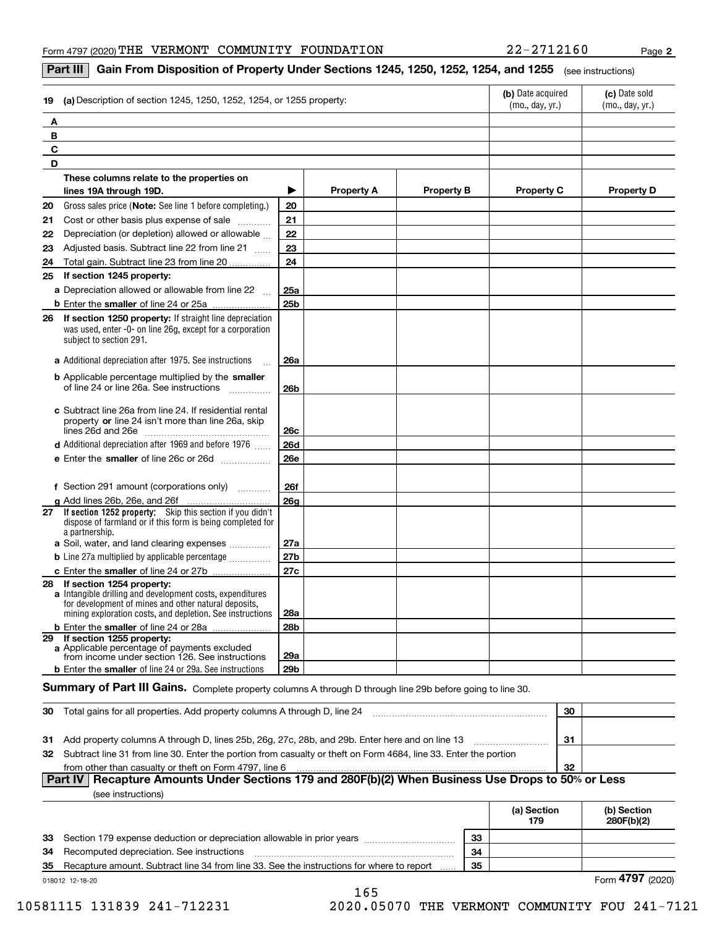**2**

|  | Part III   Gain From Disposition of Property Under Sections 1245, 1250, 1252, 1254, and 1255 (see instructions) |  |
|--|-----------------------------------------------------------------------------------------------------------------|--|
|--|-----------------------------------------------------------------------------------------------------------------|--|

| 19                              | (a) Description of section 1245, 1250, 1252, 1254, or 1255 property:                                                                                                           |                 | (b) Date acquired<br>(mo., day, yr.) | (c) Date sold<br>(mo., day, yr.) |                   |                   |
|---------------------------------|--------------------------------------------------------------------------------------------------------------------------------------------------------------------------------|-----------------|--------------------------------------|----------------------------------|-------------------|-------------------|
| Α                               |                                                                                                                                                                                |                 |                                      |                                  |                   |                   |
| В                               |                                                                                                                                                                                |                 |                                      |                                  |                   |                   |
| C                               |                                                                                                                                                                                |                 |                                      |                                  |                   |                   |
| D                               |                                                                                                                                                                                |                 |                                      |                                  |                   |                   |
|                                 | These columns relate to the properties on                                                                                                                                      |                 |                                      |                                  |                   |                   |
| lines 19A through 19D.          |                                                                                                                                                                                | ▶               | <b>Property A</b>                    | <b>Property B</b>                | <b>Property C</b> | <b>Property D</b> |
| 20                              | Gross sales price (Note: See line 1 before completing.)                                                                                                                        | 20              |                                      |                                  |                   |                   |
| 21                              | Cost or other basis plus expense of sale                                                                                                                                       | 21              |                                      |                                  |                   |                   |
| 22                              | Depreciation (or depletion) allowed or allowable                                                                                                                               | 22              |                                      |                                  |                   |                   |
| 23                              | Adjusted basis. Subtract line 22 from line 21                                                                                                                                  | 23              |                                      |                                  |                   |                   |
| 24                              | Total gain. Subtract line 23 from line 20                                                                                                                                      | 24              |                                      |                                  |                   |                   |
| If section 1245 property:<br>25 |                                                                                                                                                                                |                 |                                      |                                  |                   |                   |
|                                 | a Depreciation allowed or allowable from line 22<br>$\mathbb{R}$                                                                                                               | 25a             |                                      |                                  |                   |                   |
|                                 |                                                                                                                                                                                | 25 <sub>b</sub> |                                      |                                  |                   |                   |
| 26<br>subject to section 291.   | <b>If section 1250 property:</b> If straight line depreciation<br>was used, enter -0- on line 26g, except for a corporation                                                    |                 |                                      |                                  |                   |                   |
|                                 | a Additional depreciation after 1975. See instructions                                                                                                                         | <b>26a</b>      |                                      |                                  |                   |                   |
|                                 | <b>b</b> Applicable percentage multiplied by the smaller<br>of line 24 or line 26a. See instructions                                                                           | 26b             |                                      |                                  |                   |                   |
|                                 | c Subtract line 26a from line 24. If residential rental<br>property or line 24 isn't more than line 26a, skip                                                                  | 26c             |                                      |                                  |                   |                   |
|                                 | d Additional depreciation after 1969 and before 1976                                                                                                                           | <b>26d</b>      |                                      |                                  |                   |                   |
|                                 |                                                                                                                                                                                | <b>26e</b>      |                                      |                                  |                   |                   |
|                                 | f Section 291 amount (corporations only)                                                                                                                                       | <b>26f</b>      |                                      |                                  |                   |                   |
| g Add lines 26b, 26e, and 26f   |                                                                                                                                                                                | <b>26a</b>      |                                      |                                  |                   |                   |
| a partnership.                  | 27 If section 1252 property: Skip this section if you didn't<br>dispose of farmland or if this form is being completed for                                                     |                 |                                      |                                  |                   |                   |
|                                 | a Soil, water, and land clearing expenses                                                                                                                                      | 27a             |                                      |                                  |                   |                   |
|                                 | <b>b</b> Line 27a multiplied by applicable percentage <i></i>                                                                                                                  | 27b             |                                      |                                  |                   |                   |
|                                 | c Enter the smaller of line 24 or 27b                                                                                                                                          | 27c             |                                      |                                  |                   |                   |
| 28 If section 1254 property:    | a Intangible drilling and development costs, expenditures<br>for development of mines and other natural deposits,<br>mining exploration costs, and depletion. See instructions | 28a             |                                      |                                  |                   |                   |
|                                 | b Enter the smaller of line 24 or 28a                                                                                                                                          | <b>28b</b>      |                                      |                                  |                   |                   |
| 29 If section 1255 property:    | a Applicable percentage of payments excluded<br>from income under section 126. See instructions                                                                                | 29a             |                                      |                                  |                   |                   |
|                                 | <b>b</b> Enter the smaller of line 24 or 29a. See instructions                                                                                                                 | 29b             |                                      |                                  |                   |                   |

#### $S$ ummary of Part III Gains. Complete property columns A through D through line 29b before going to line 30.

| -30 | Total gains for all properties. Add property columns A through D, line 24                                           | 30 |  |  |  |  |
|-----|---------------------------------------------------------------------------------------------------------------------|----|--|--|--|--|
|     |                                                                                                                     |    |  |  |  |  |
| -31 | Add property columns A through D, lines 25b, 26g, 27c, 28b, and 29b. Enter here and on line 13                      | 31 |  |  |  |  |
|     | 32 Subtract line 31 from line 30. Enter the portion from casualty or theft on Form 4684, line 33. Enter the portion |    |  |  |  |  |
|     | from other than casualty or theft on Form 4797, line 6                                                              | 32 |  |  |  |  |
|     | Part IV   Recapture Amounts Under Sections 179 and 280F(b)(2) When Business Use Drops to 50% or Less                |    |  |  |  |  |

|  | (see instructions) |  |
|--|--------------------|--|
|  |                    |  |

|    |                                                                                           |    | (a) Section<br>179 | (b) Section<br>280F(b)(2) |
|----|-------------------------------------------------------------------------------------------|----|--------------------|---------------------------|
|    | 33 Section 179 expense deduction or depreciation allowable in prior years                 | 33 |                    |                           |
| 34 | Recomputed depreciation. See instructions                                                 | 34 |                    |                           |
| 35 | Recapture amount. Subtract line 34 from line 33. See the instructions for where to report | 35 |                    |                           |
|    | 018012 12-18-20                                                                           |    |                    | Form 4797 (2020)          |

165

10581115 131839 241-712231 2020.05070 THE VERMONT COMMUNITY FOU 241-7121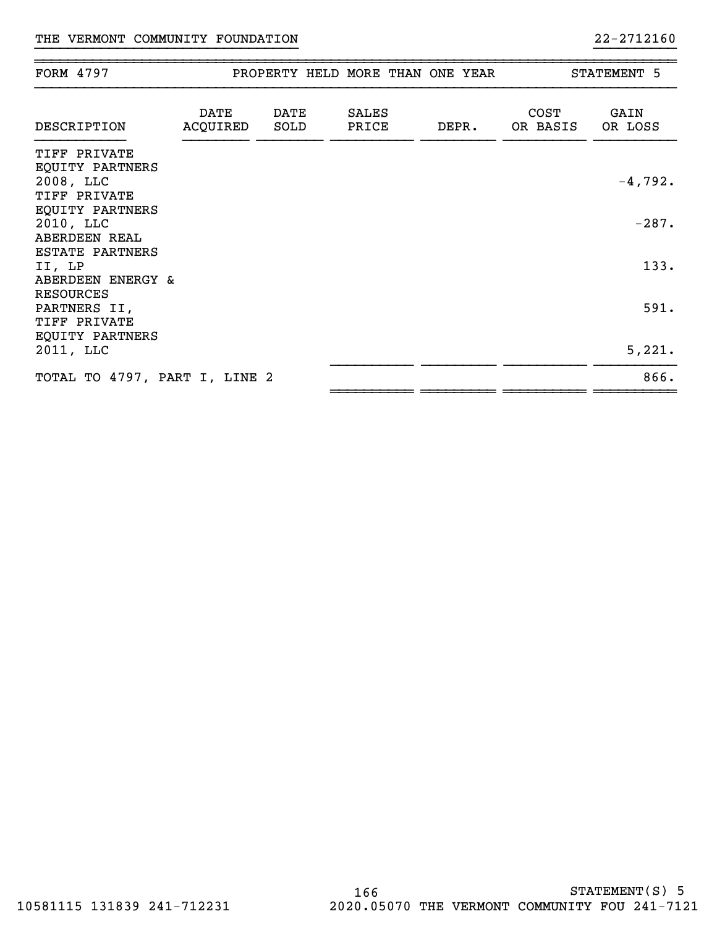| FORM 4797                                                          |                  |              | PROPERTY HELD MORE THAN ONE YEAR |       | STATEMENT 5             |                 |  |
|--------------------------------------------------------------------|------------------|--------------|----------------------------------|-------|-------------------------|-----------------|--|
| DESCRIPTION                                                        | DATE<br>ACQUIRED | DATE<br>SOLD | <b>SALES</b><br>PRICE            | DEPR. | <b>COST</b><br>OR BASIS | GAIN<br>OR LOSS |  |
| TIFF PRIVATE<br>EQUITY PARTNERS<br>2008, LLC<br>TIFF PRIVATE       |                  |              |                                  |       |                         | $-4,792.$       |  |
| EQUITY PARTNERS<br>2010, LLC<br><b>ABERDEEN REAL</b>               |                  |              |                                  |       |                         | $-287.$         |  |
| ESTATE PARTNERS<br>II, LP<br>ABERDEEN ENERGY &<br><b>RESOURCES</b> |                  |              |                                  |       |                         | 133.            |  |
| PARTNERS II,<br>TIFF PRIVATE<br>EQUITY PARTNERS                    |                  |              |                                  |       |                         | 591.            |  |
| 2011, LLC                                                          |                  |              |                                  |       |                         | 5,221.          |  |
| TOTAL TO 4797, PART I, LINE 2                                      |                  |              |                                  |       |                         | 866.            |  |

}}}}}}}}}}}}}}}}}}}}}}}}}}}}}}}} }}}}}}}}}}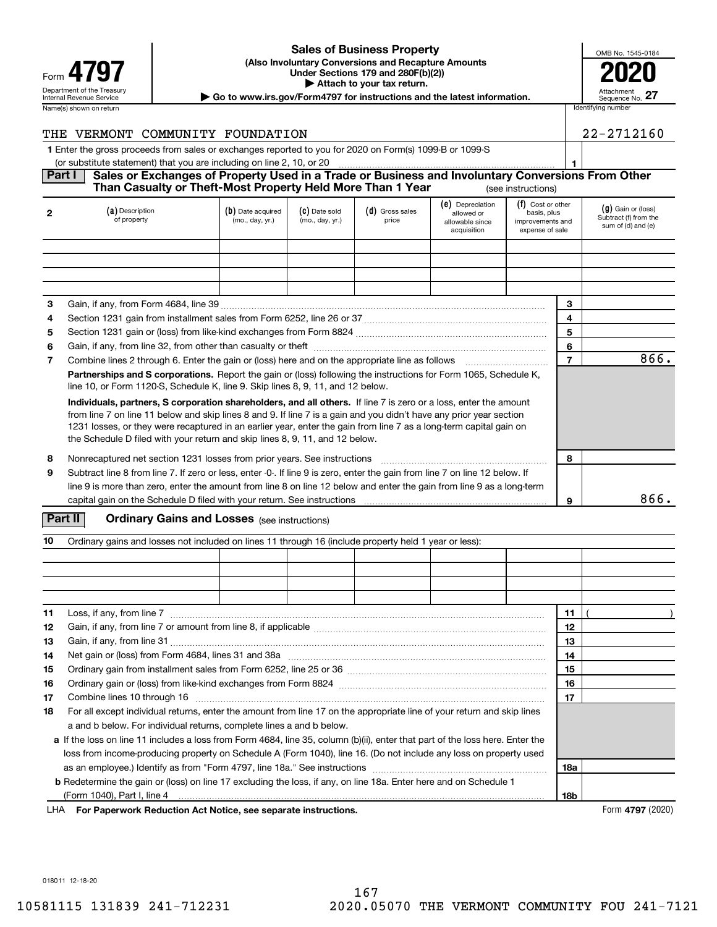| Form                                                          |
|---------------------------------------------------------------|
| Department of the Treasury<br><b>Internal Revenue Service</b> |
| Name(s) shown on return                                       |

#### **(Also Involuntary Conversions and Recapture Amounts Under Sections 179 and 280F(b)(2)) 4797 2020 | Attach to your tax return. Sales of Business Property**

| OMB No. 1545-0184             |
|-------------------------------|
|                               |
| Attachment<br>Sequence No. 27 |

Department of the Treasury **Number of the Treasury Attachment**<br>Internal Revenue Service **Sequence No.**<br>Dequence No.

| Name(s) shown on return                                                                                                                                                                         |                                |                                         |                                       |                            |                                                                                                                           |                                                                 | Identifying number                            |  |
|-------------------------------------------------------------------------------------------------------------------------------------------------------------------------------------------------|--------------------------------|-----------------------------------------|---------------------------------------|----------------------------|---------------------------------------------------------------------------------------------------------------------------|-----------------------------------------------------------------|-----------------------------------------------|--|
| THE.                                                                                                                                                                                            | VERMONT COMMUNITY FOUNDATION   |                                         |                                       |                            |                                                                                                                           |                                                                 | 22-2712160                                    |  |
| 1 Enter the gross proceeds from sales or exchanges reported to you for 2020 on Form(s) 1099-B or 1099-S                                                                                         |                                |                                         |                                       |                            |                                                                                                                           |                                                                 |                                               |  |
| (or substitute statement) that you are including on line 2, 10, or 20                                                                                                                           |                                |                                         |                                       |                            |                                                                                                                           |                                                                 |                                               |  |
| Part I<br>Sales or Exchanges of Property Used in a Trade or Business and Involuntary Conversions From Other<br>Than Casualty or Theft-Most Property Held More Than 1 Year<br>(see instructions) |                                |                                         |                                       |                            |                                                                                                                           |                                                                 |                                               |  |
|                                                                                                                                                                                                 | (a) Description<br>of property | (b) Date acquired<br>$(m_0, d_0)$ $(r)$ | $(c)$ Date sold<br>$(m_0, d_0)$ $(r)$ | $(d)$ Gross sales<br>nrice | (e) Depreciation<br>allowed or<br>and the company of the state of the state of the state of the state of the state of the | $(f)$ Cost or other<br>basis, plus<br>المسما مقمم مسمريه بمسمعا | $(g)$ Gain or (loss)<br>Subtract (f) from the |  |

|                                                                                                                                                                                                                                                                                                                                                                                                                                               | of property                                                                                                                                                                                         | (mo., day, yr.) | (mo., day, yr.) | price | allowable since<br>acquisition | improvements and<br>expense of sale |      | Subtract (i) from the<br>sum of (d) and (e) |
|-----------------------------------------------------------------------------------------------------------------------------------------------------------------------------------------------------------------------------------------------------------------------------------------------------------------------------------------------------------------------------------------------------------------------------------------------|-----------------------------------------------------------------------------------------------------------------------------------------------------------------------------------------------------|-----------------|-----------------|-------|--------------------------------|-------------------------------------|------|---------------------------------------------|
|                                                                                                                                                                                                                                                                                                                                                                                                                                               |                                                                                                                                                                                                     |                 |                 |       |                                |                                     |      |                                             |
|                                                                                                                                                                                                                                                                                                                                                                                                                                               |                                                                                                                                                                                                     |                 |                 |       |                                |                                     |      |                                             |
|                                                                                                                                                                                                                                                                                                                                                                                                                                               |                                                                                                                                                                                                     |                 |                 |       |                                |                                     |      |                                             |
|                                                                                                                                                                                                                                                                                                                                                                                                                                               |                                                                                                                                                                                                     |                 |                 |       |                                |                                     |      |                                             |
| 3                                                                                                                                                                                                                                                                                                                                                                                                                                             |                                                                                                                                                                                                     |                 |                 |       |                                |                                     | 3    |                                             |
| 4                                                                                                                                                                                                                                                                                                                                                                                                                                             |                                                                                                                                                                                                     |                 |                 |       |                                |                                     | 4    |                                             |
| 5                                                                                                                                                                                                                                                                                                                                                                                                                                             |                                                                                                                                                                                                     |                 |                 |       |                                |                                     | 5    |                                             |
| 6                                                                                                                                                                                                                                                                                                                                                                                                                                             |                                                                                                                                                                                                     |                 |                 |       |                                |                                     | 6    |                                             |
| 7                                                                                                                                                                                                                                                                                                                                                                                                                                             | Combine lines 2 through 6. Enter the gain or (loss) here and on the appropriate line as follows                                                                                                     |                 |                 |       |                                | 7                                   | 866. |                                             |
|                                                                                                                                                                                                                                                                                                                                                                                                                                               | Partnerships and S corporations. Report the gain or (loss) following the instructions for Form 1065, Schedule K,<br>line 10, or Form 1120-S, Schedule K, line 9. Skip lines 8, 9, 11, and 12 below. |                 |                 |       |                                |                                     |      |                                             |
| Individuals, partners, S corporation shareholders, and all others. If line 7 is zero or a loss, enter the amount<br>from line 7 on line 11 below and skip lines 8 and 9. If line 7 is a gain and you didn't have any prior year section<br>1231 losses, or they were recaptured in an earlier year, enter the gain from line 7 as a long-term capital gain on<br>the Schedule D filed with your return and skip lines 8, 9, 11, and 12 below. |                                                                                                                                                                                                     |                 |                 |       |                                |                                     |      |                                             |
| 8                                                                                                                                                                                                                                                                                                                                                                                                                                             | Nonrecaptured net section 1231 losses from prior years. See instructions                                                                                                                            |                 |                 |       |                                |                                     |      |                                             |
| 9                                                                                                                                                                                                                                                                                                                                                                                                                                             | Subtract line 8 from line 7. If zero or less, enter -0-. If line 9 is zero, enter the gain from line 7 on line 12 below. If                                                                         |                 |                 |       |                                |                                     |      |                                             |
|                                                                                                                                                                                                                                                                                                                                                                                                                                               | line 9 is more than zero, enter the amount from line 8 on line 12 below and enter the gain from line 9 as a long-term                                                                               |                 |                 |       |                                |                                     |      |                                             |
|                                                                                                                                                                                                                                                                                                                                                                                                                                               |                                                                                                                                                                                                     |                 |                 |       |                                |                                     | 9    | 866.                                        |

#### **Part II** | Crdinary Gains and Losses (see instructions)

| 10 | Ordinary gains and losses not included on lines 11 through 16 (include property held 1 year or less):                                                                                                                                                                                       |  |  |  |  |  |    |  |
|----|---------------------------------------------------------------------------------------------------------------------------------------------------------------------------------------------------------------------------------------------------------------------------------------------|--|--|--|--|--|----|--|
|    |                                                                                                                                                                                                                                                                                             |  |  |  |  |  |    |  |
|    |                                                                                                                                                                                                                                                                                             |  |  |  |  |  |    |  |
|    |                                                                                                                                                                                                                                                                                             |  |  |  |  |  |    |  |
|    |                                                                                                                                                                                                                                                                                             |  |  |  |  |  |    |  |
| 11 | Loss, if any, from line 7 <b>Constitution</b> 2 <b>Constitution</b> 2 <b>Constitution</b> 2 <b>Constitution</b> 2 <b>Constitution</b> 2 <b>Constitution</b> 2 <b>Constitution</b> 2 <b>Constitution</b> 2 <b>Constitution</b> 2 <b>Constitution</b> 2 <b>Constitution</b> 2 <b>Constitu</b> |  |  |  |  |  | 11 |  |
| 12 |                                                                                                                                                                                                                                                                                             |  |  |  |  |  | 12 |  |
| 13 |                                                                                                                                                                                                                                                                                             |  |  |  |  |  | 13 |  |
| 14 |                                                                                                                                                                                                                                                                                             |  |  |  |  |  | 14 |  |
| 15 |                                                                                                                                                                                                                                                                                             |  |  |  |  |  |    |  |
| 16 |                                                                                                                                                                                                                                                                                             |  |  |  |  |  |    |  |
| 17 | Combine lines 10 through 16                                                                                                                                                                                                                                                                 |  |  |  |  |  |    |  |
| 18 | For all except individual returns, enter the amount from line 17 on the appropriate line of your return and skip lines                                                                                                                                                                      |  |  |  |  |  |    |  |
|    | a and b below. For individual returns, complete lines a and b below.                                                                                                                                                                                                                        |  |  |  |  |  |    |  |
|    | a If the loss on line 11 includes a loss from Form 4684, line 35, column (b)(ii), enter that part of the loss here. Enter the                                                                                                                                                               |  |  |  |  |  |    |  |
|    | loss from income-producing property on Schedule A (Form 1040), line 16. (Do not include any loss on property used                                                                                                                                                                           |  |  |  |  |  |    |  |
|    |                                                                                                                                                                                                                                                                                             |  |  |  |  |  |    |  |
|    | <b>b</b> Redetermine the gain or (loss) on line 17 excluding the loss, if any, on line 18a. Enter here and on Schedule 1                                                                                                                                                                    |  |  |  |  |  |    |  |
|    |                                                                                                                                                                                                                                                                                             |  |  |  |  |  |    |  |

**For Paperwork Reduction Act Notice, see separate instructions.** Form **4797** (2020) LHA

018011 12-18-20